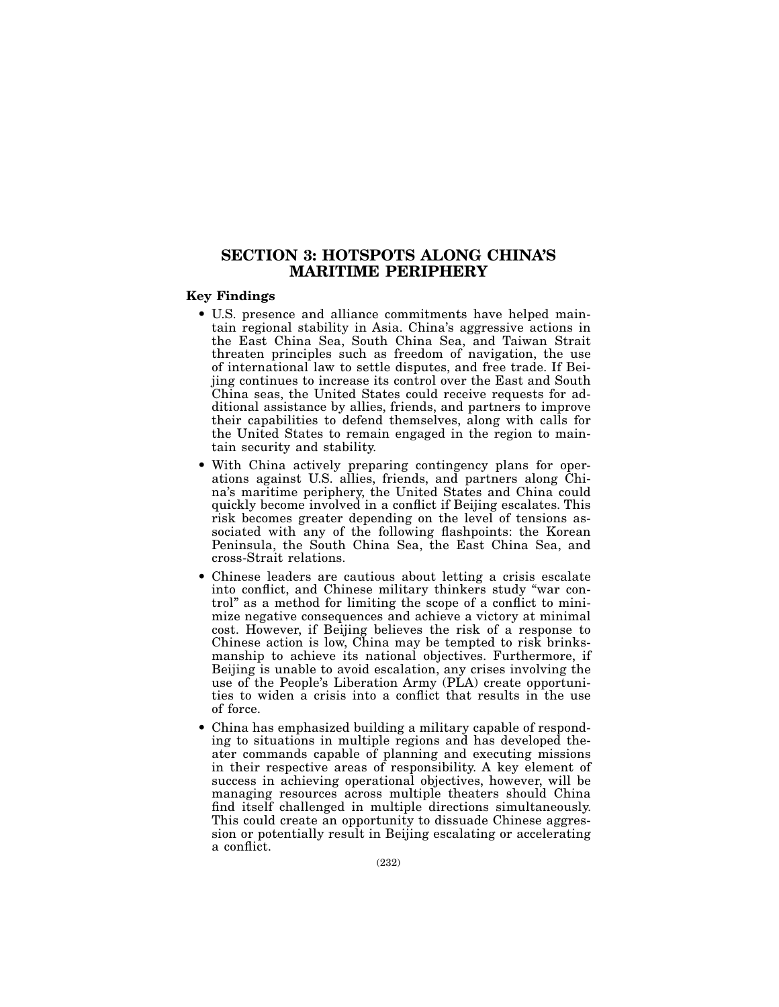# SECTION 3: HOTSPOTS ALONG CHINA'S MARITIME PERIPHERY

## Key Findings

- U.S. presence and alliance commitments have helped maintain regional stability in Asia. China's aggressive actions in the East China Sea, South China Sea, and Taiwan Strait threaten principles such as freedom of navigation, the use of international law to settle disputes, and free trade. If Beijing continues to increase its control over the East and South China seas, the United States could receive requests for additional assistance by allies, friends, and partners to improve their capabilities to defend themselves, along with calls for the United States to remain engaged in the region to maintain security and stability.
- With China actively preparing contingency plans for operations against U.S. allies, friends, and partners along China's maritime periphery, the United States and China could quickly become involved in a conflict if Beijing escalates. This risk becomes greater depending on the level of tensions associated with any of the following flashpoints: the Korean Peninsula, the South China Sea, the East China Sea, and cross-Strait relations.
- Chinese leaders are cautious about letting a crisis escalate into conflict, and Chinese military thinkers study "war control" as a method for limiting the scope of a conflict to minimize negative consequences and achieve a victory at minimal cost. However, if Beijing believes the risk of a response to Chinese action is low, China may be tempted to risk brinksmanship to achieve its national objectives. Furthermore, if Beijing is unable to avoid escalation, any crises involving the use of the People's Liberation Army (PLA) create opportunities to widen a crisis into a conflict that results in the use of force.
- China has emphasized building a military capable of responding to situations in multiple regions and has developed theater commands capable of planning and executing missions in their respective areas of responsibility. A key element of success in achieving operational objectives, however, will be managing resources across multiple theaters should China find itself challenged in multiple directions simultaneously. This could create an opportunity to dissuade Chinese aggression or potentially result in Beijing escalating or accelerating a conflict.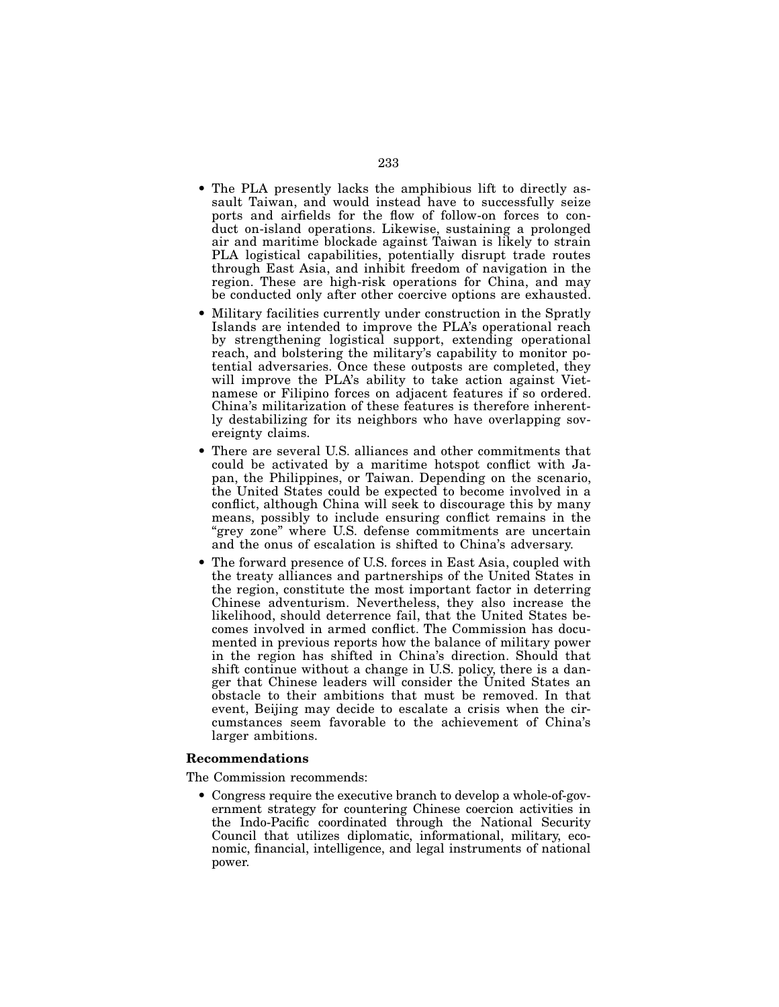- The PLA presently lacks the amphibious lift to directly assault Taiwan, and would instead have to successfully seize ports and airfields for the flow of follow-on forces to conduct on-island operations. Likewise, sustaining a prolonged air and maritime blockade against Taiwan is likely to strain PLA logistical capabilities, potentially disrupt trade routes through East Asia, and inhibit freedom of navigation in the region. These are high-risk operations for China, and may be conducted only after other coercive options are exhausted.
- Military facilities currently under construction in the Spratly Islands are intended to improve the PLA's operational reach by strengthening logistical support, extending operational reach, and bolstering the military's capability to monitor potential adversaries. Once these outposts are completed, they will improve the PLA's ability to take action against Vietnamese or Filipino forces on adjacent features if so ordered. China's militarization of these features is therefore inherently destabilizing for its neighbors who have overlapping sovereignty claims.
- There are several U.S. alliances and other commitments that could be activated by a maritime hotspot conflict with Japan, the Philippines, or Taiwan. Depending on the scenario, the United States could be expected to become involved in a conflict, although China will seek to discourage this by many means, possibly to include ensuring conflict remains in the "grey zone" where U.S. defense commitments are uncertain and the onus of escalation is shifted to China's adversary.
- The forward presence of U.S. forces in East Asia, coupled with the treaty alliances and partnerships of the United States in the region, constitute the most important factor in deterring Chinese adventurism. Nevertheless, they also increase the likelihood, should deterrence fail, that the United States becomes involved in armed conflict. The Commission has documented in previous reports how the balance of military power in the region has shifted in China's direction. Should that shift continue without a change in U.S. policy, there is a danger that Chinese leaders will consider the United States an obstacle to their ambitions that must be removed. In that event, Beijing may decide to escalate a crisis when the circumstances seem favorable to the achievement of China's larger ambitions.

## Recommendations

The Commission recommends:

• Congress require the executive branch to develop a whole-of-government strategy for countering Chinese coercion activities in the Indo-Pacific coordinated through the National Security Council that utilizes diplomatic, informational, military, economic, financial, intelligence, and legal instruments of national power.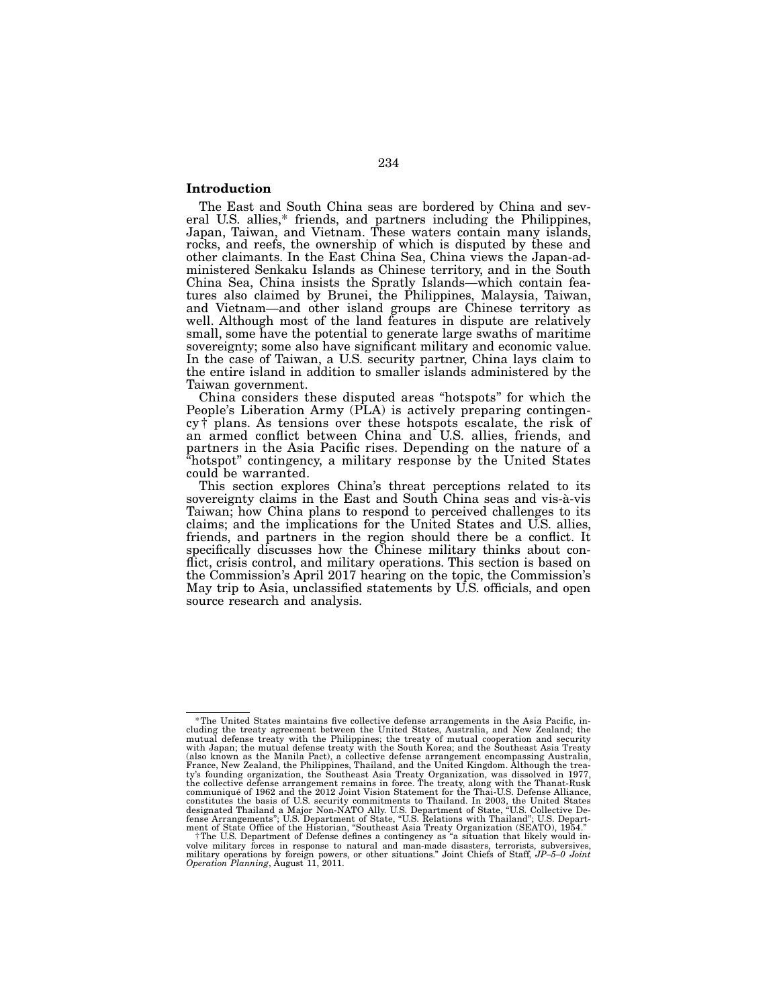## Introduction

The East and South China seas are bordered by China and sev- eral U.S. allies,\* friends, and partners including the Philippines, Japan, Taiwan, and Vietnam. These waters contain many islands, rocks, and reefs, the ownership of which is disputed by these and other claimants. In the East China Sea, China views the Japan-ad- ministered Senkaku Islands as Chinese territory, and in the South China Sea, China insists the Spratly Islands—which contain fea- tures also claimed by Brunei, the Philippines, Malaysia, Taiwan, and Vietnam—and other island groups are Chinese territory as well. Although most of the land features in dispute are relatively small, some have the potential to generate large swaths of maritime sovereignty; some also have significant military and economic value. In the case of Taiwan, a U.S. security partner, China lays claim to the entire island in addition to smaller islands administered by the Taiwan government.

China considers these disputed areas "hotspots" for which the People's Liberation Army (PLA) is actively preparing contingen- cy † plans. As tensions over these hotspots escalate, the risk of an armed conflict between China and U.S. allies, friends, and partners in the Asia Pacific rises. Depending on the nature of a "hotspot" contingency, a military response by the United States could be warranted.

This section explores China's threat perceptions related to its sovereignty claims in the East and South China seas and vis-à-vis Taiwan; how China plans to respond to perceived challenges to its claims; and the implications for the United States and U.S. allies, friends, and partners in the region should there be a conflict. It specifically discusses how the Chinese military thinks about con- flict, crisis control, and military operations. This section is based on the Commission's April 2017 hearing on the topic, the Commission's May trip to Asia, unclassified statements by U.S. officials, and open source research and analysis.

<sup>\*</sup>The United States maintains five collective defense arrangements in the Asia Pacific, including the treaty agreement between the United States, Australia, and New Zealand; the mutual defense treaty with the Philippines; constitutes the basis of U.S. security commitments to Thailand. In 2003, the United States<br>designated Thailand a Major Non-NATO Ally. U.S. Department of State, "U.S. Collective De-<br>fense Arrangements"; U.S. Department of S

<sup>&</sup>lt;sup>†</sup>The U.S. Department of Defense defines a contingency as "a situation that likely would in-<br>volve military forces in response to natural and man-made disasters, terrorists, subversives,<br>military operations by foreign pow *Operation Planning*, August 11, 2011.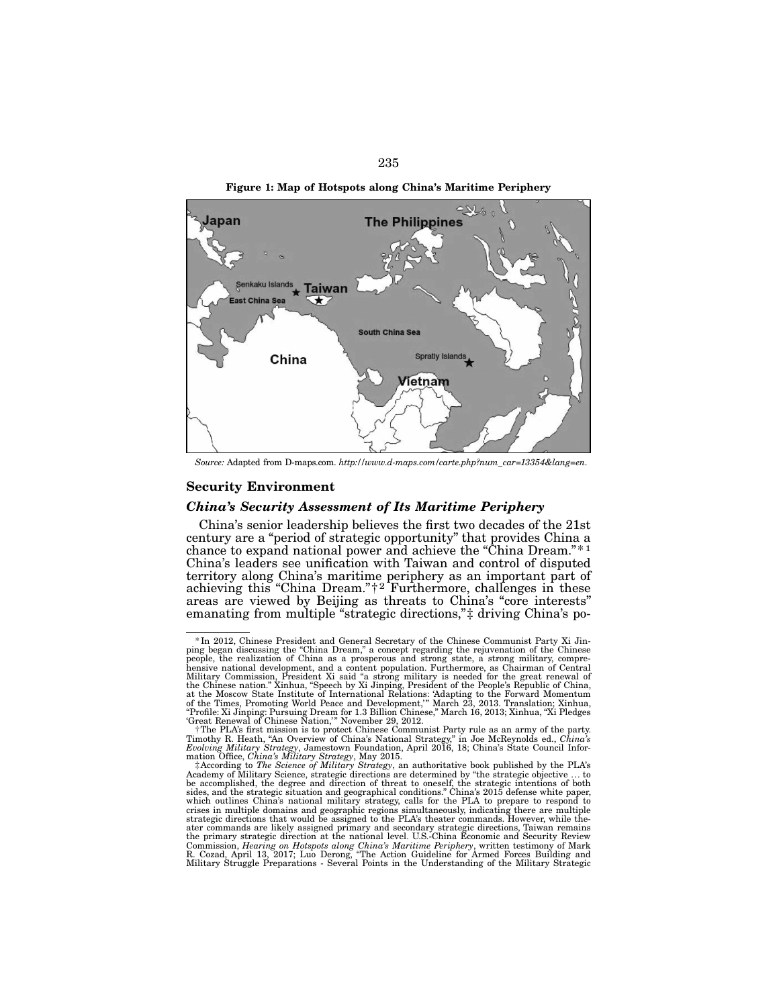



*Source:* Adapted from D-maps.com. *http://www.d-maps.com/carte.php?num\_car=13354&lang=en*.

### Security Environment

## *China's Security Assessment of Its Maritime Periphery*

China's senior leadership believes the first two decades of the 21st century are a "period of strategic opportunity" that provides China a chance to expand national power and achieve the "China Dream."\* 1 China's leaders see unification with Taiwan and control of disputed territory along China's maritime periphery as an important part of achieving this "China Dream."<sup>†2</sup> Furthermore, challenges in these areas are viewed by Beijing as threats to China's "core interests" emanating from multiple "strategic directions,"‡ driving China's po-

<sup>\*</sup>In 2012, Chinese President and General Secretary of the Chinese Communist Party Xi Jinping began discussing the "China Dream," a concept regarding the rejuvenation of the Chinese<br>people, the realization of China as a prosperous and strong state, a strong military, compre-<br>hensive national development, and a Military Commission, President Xi said "a strong military is needed for the great renewal of<br>the Chinese nation." Xinhua, "Speech by Xi Jinping, President of the People's Republic of China,<br>at the Moscow State Institute of

f The PLA's first mission is to protect Chinese Communist Party rule as an army of the party.<br>Timothy R. Heath, "An Overview of China's National Strategy," in Joe McReynolds ed., C*hina's*<br>Evolving Military Strategy, James

mation Office, *China's Military Strategy*, May 2015.<br>  $\ddagger$ According to *The Science of Military Strategy*, an authoritative book published by the PLA's<br>  $\ddagger$ According to *The Science*, strategic directions are determin crises in multiple domains and geographic regions simultaneously, indicating there are multiple strategic directions that would be assigned to the PLA's theater commands. However, while thestrategic directions that would be assigned to the PLA's theater commands. However, while the-<br>ater commands are likely assigned primary and secondary strategic directions, Taiwan remains<br>the primary strategic direction at Commission, *Hearing on Hotspots along China's Maritime Periphery*, written testimony of Mark R. Cozad, April 13, 2017; Luo Derong, "The Action Guideline for Armed Forces Building and Military Struggle Preparations - Several Points in the Understanding of the Military Strategic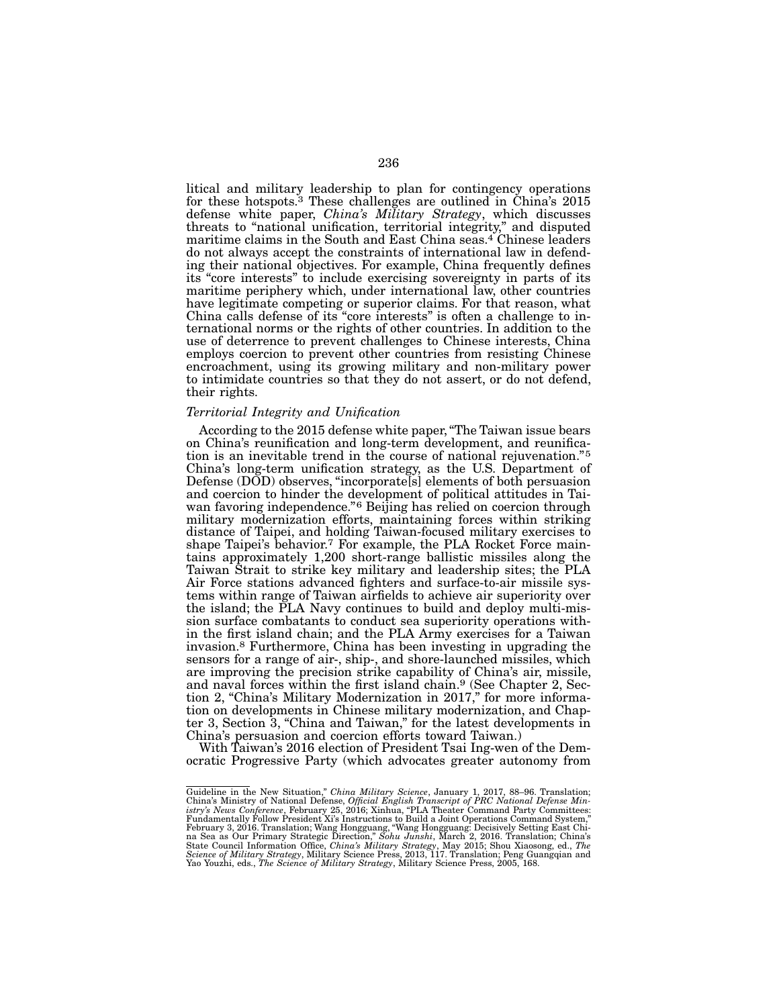litical and military leadership to plan for contingency operations for these hotspots.3 These challenges are outlined in China's 2015 defense white paper, *China's Military Strategy*, which discusses threats to "national unification, territorial integrity," and disputed maritime claims in the South and East China seas.4 Chinese leaders do not always accept the constraints of international law in defend- ing their national objectives. For example, China frequently defines its "core interests" to include exercising sovereignty in parts of its maritime periphery which, under international law, other countries have legitimate competing or superior claims. For that reason, what China calls defense of its "core interests" is often a challenge to in- ternational norms or the rights of other countries. In addition to the use of deterrence to prevent challenges to Chinese interests, China employs coercion to prevent other countries from resisting Chinese encroachment, using its growing military and non-military power to intimidate countries so that they do not assert, or do not defend, their rights.

### *Territorial Integrity and Unification*

According to the 2015 defense white paper, "The Taiwan issue bears on China's reunification and long-term development, and reunification is an inevitable trend in the course of national rejuvenation."<sup>5</sup> China's long-term unification strategy, as the U.S. Department of Defense (DOD) observes, "incorporate[s] elements of both persuasion and coercion to hinder the development of political attitudes in Taiwan favoring independence."6 Beijing has relied on coercion through military modernization efforts, maintaining forces within striking distance of Taipei, and holding Taiwan-focused military exercises to shape Taipei's behavior.7 For example, the PLA Rocket Force maintains approximately 1,200 short-range ballistic missiles along the Taiwan Strait to strike key military and leadership sites; the PLA Air Force stations advanced fighters and surface-to-air missile systems within range of Taiwan airfields to achieve air superiority over the island; the PLA Navy continues to build and deploy multi-mission surface combatants to conduct sea superiority operations within the first island chain; and the PLA Army exercises for a Taiwan invasion.8 Furthermore, China has been investing in upgrading the sensors for a range of air-, ship-, and shore-launched missiles, which are improving the precision strike capability of China's air, missile, and naval forces within the first island chain.9 (See Chapter 2, Section 2, "China's Military Modernization in 2017," for more information on developments in Chinese military modernization, and Chapter 3, Section 3, "China and Taiwan," for the latest developments in China's persuasion and coercion efforts toward Taiwan.)

With Taiwan's 2016 election of President Tsai Ing-wen of the Democratic Progressive Party (which advocates greater autonomy from

Guideline in the New Situation," China Military Science, January 1, 2017, 88–96. Translation; China's Ministry of National Defense, Official English Transcript of PRC National Defense Min-<br>istry's News Conference, February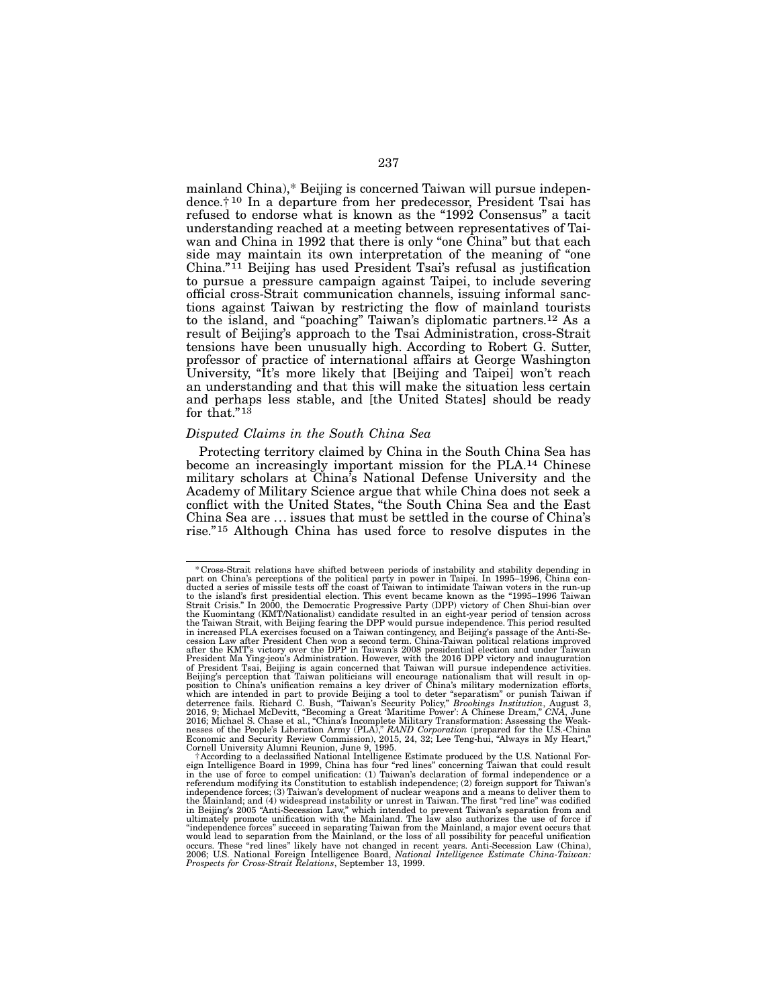mainland China),\* Beijing is concerned Taiwan will pursue independence.† 10 In a departure from her predecessor, President Tsai has refused to endorse what is known as the "1992 Consensus" a tacit understanding reached at a meeting between representatives of Taiwan and China in 1992 that there is only "one China" but that each side may maintain its own interpretation of the meaning of "one China."<sup>11</sup> Beijing has used President Tsai's refusal as justification to pursue a pressure campaign against Taipei, to include severing official cross-Strait communication channels, issuing informal sanctions against Taiwan by restricting the flow of mainland tourists to the island, and "poaching" Taiwan's diplomatic partners.12 As a result of Beijing's approach to the Tsai Administration, cross-Strait tensions have been unusually high. According to Robert G. Sutter, professor of practice of international affairs at George Washington University, "It's more likely that [Beijing and Taipei] won't reach an understanding and that this will make the situation less certain and perhaps less stable, and [the United States] should be ready for that."<sup>13</sup>

# *Disputed Claims in the South China Sea*

Protecting territory claimed by China in the South China Sea has become an increasingly important mission for the PLA.14 Chinese military scholars at China's National Defense University and the Academy of Military Science argue that while China does not seek a conflict with the United States, "the South China Sea and the East China Sea are ... issues that must be settled in the course of China's rise."15 Although China has used force to resolve disputes in the

<sup>\*</sup>Cross-Strait relations have shifted between periods of instability and stability depending in part on China's perceptions of the political party in power in Taipei. In 1995–1996, China con- ducted a series of missile tests off the coast of Taiwan to intimidate Taiwan voters in the run-up to the island's first presidential election. This event became known as the "1995–1996 Taiwan<br>Strait Crisis." In 2000, the Democratic Progressive Party (DPP) victory of Chen Shui-bian over<br>the Kuomintang (KMT/Nationalist) the Taiwan Strait, with Beijing fearing the DPP would pursue independence. This period resulted in increased PLA exercises focused on a Taiwan contingency, and Beijing's passage of the Anti-Se- cession Law after President Chen won a second term. China-Taiwan political relations improved after the KMT's victory over the DPP in Taiwan's 2008 presidential election and under Taiwan<br>President Ma Ying-jeou's Administration. However, with the 2016 DPP victory and inauguration<br>of President Tsai, Beijing is again Beijing's perception that Taiwan politicians will encourage nationalism that will result in op-<br>position to China's unification remains a key driver of China's military modernization efforts,<br>which are intended in part to

f According to a declassified National Intelligence Estimate produced by the U.S. National Foreign Intelligence Board in 1999, China has four "red lines" concerning Taiwan that could result in the use of force in the use o referendum modifying its Constitution to establish independence; (2) foreign support for Taiwan's independence forces; (3) Taiwan's development of nuclear weapons and a means to deliver them to the Mainland; and (4) widespread instability or unrest in Taiwan. The first "red line" was codified in Beijing's 2005 "Anti-Secession Law," which intended to prevent Taiwan's separation from and ultimately promote unification with the Mainland. The law also authorizes the use of force if "independence forces" succeed in separating Taiwan from the Mainland, a major event occurs that would lead to separation from the Mainland, or the loss of all possibility for peaceful unification<br>occurs. These "red lines" likely have not changed in recent years. Anti-Secession Law (China),<br>2006; U.S. National Foreign *Prospects for Cross-Strait Relations*, September 13, 1999.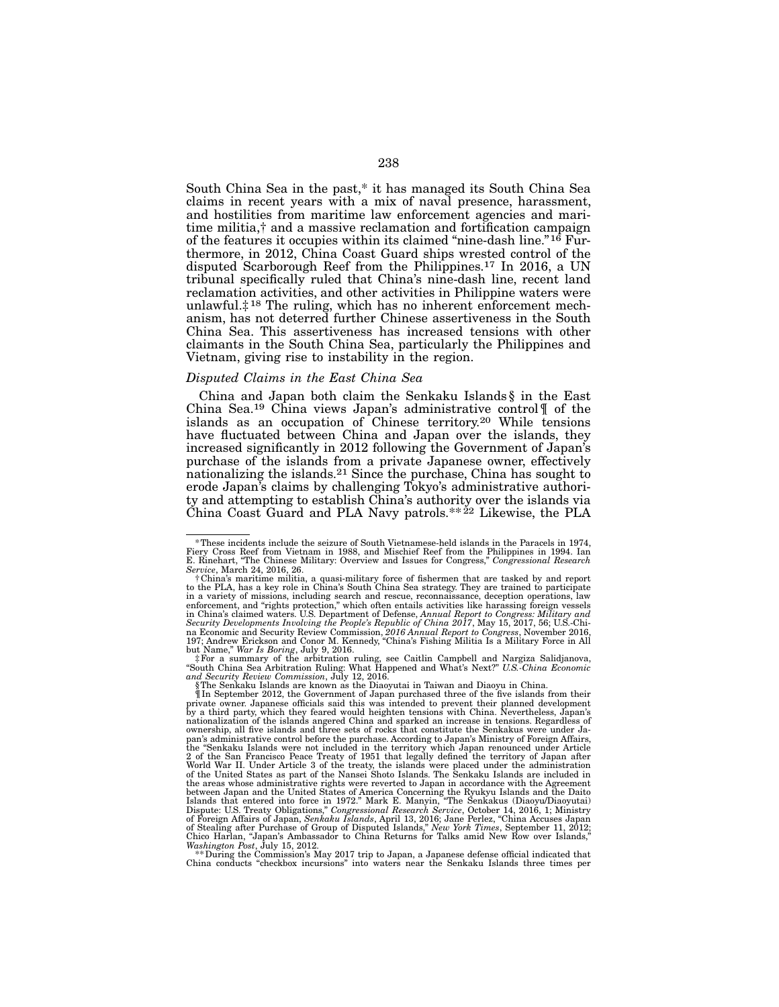South China Sea in the past,\* it has managed its South China Sea claims in recent years with a mix of naval presence, harassment, and hostilities from maritime law enforcement agencies and maritime militia,† and a massive reclamation and fortification campaign of the features it occupies within its claimed "nine-dash line."16 Furthermore, in 2012, China Coast Guard ships wrested control of the disputed Scarborough Reef from the Philippines.17 In 2016, a UN tribunal specifically ruled that China's nine-dash line, recent land reclamation activities, and other activities in Philippine waters were unlawful. $\ddagger$ <sup>18</sup> The ruling, which has no inherent enforcement mechanism, has not deterred further Chinese assertiveness in the South China Sea. This assertiveness has increased tensions with other claimants in the South China Sea, particularly the Philippines and Vietnam, giving rise to instability in the region.

### *Disputed Claims in the East China Sea*

China and Japan both claim the Senkaku Islands § in the East China Sea.19 China views Japan's administrative control¶ of the islands as an occupation of Chinese territory.20 While tensions have fluctuated between China and Japan over the islands, they increased significantly in 2012 following the Government of Japan's purchase of the islands from a private Japanese owner, effectively nationalizing the islands.21 Since the purchase, China has sought to erode Japan's claims by challenging Tokyo's administrative authority and attempting to establish China's authority over the islands via China Coast Guard and PLA Navy patrols.\*\* $^{22}$  Likewise, the PLA

*Washington Post*, July 15, 2012. **All y 2017** trip to Japan, a Japanese defense official indicated that  $*$  During the Commission's May 2017 trip to Japan, a Japanese defense official indicated that China conducts "checkbox incursions" into waters near the Senkaku Islands three times per

<sup>\*</sup>These incidents include the seizure of South Vietnamese-held islands in the Paracels in 1974, Fiery Cross Reef from Vietnam in 1988, and Mischief Reef from the Philippines in 1994. Ian E. Rinehart, "The Chinese Military: Overview and Issues for Congress," *Congressional Research Service*, March 24, 2016, 26.

<sup>†</sup>China's maritime militia, a quasi-military force of fishermen that are tasked by and report to the PLA, has a key role in China's South China Sea strategy. They are trained to participate in a variety of missions, including search and rescue, reconnaïssance, deception operations, law<br>enforcement, and "rights protection," which often entails activities like harassing foreign vessels<br>in China's claimed waters Security Developments Involving the People's Republic of China 2017, May 15, 2017, 56; U.S.-Chi-<br>na Economic and Security Review Commission, 2016 Annual Report to Congress, November 2016,<br>197; Andrew Erickson and Conor M.

but Name," *War Is Boring*, July 9, 2016.<br>‡For a summary of the arbitration ruling, see Caitlin Campbell and Nargiza Salidjanova,<br>"South China Sea Arbitration Ruling: What Happened and What's Next?" *U.S.-China Economic and Security Review Commission*, July 12, 2016. §The Senkaku Islands are known as the Diaoyutai in Taiwan and Diaoyu in China.

<sup>¶</sup>In September 2012, the Government of Japan purchased three of the five islands from their private owner. Japanese officials said this was intended to prevent their planned development<br>by a third party, which they feared would heighten tensions with China. Nevertheless, Japan's<br>nationalization of the islands ang ownership, all five islands and three sets of rocks that constitute the Senkakus were under Ja-<br>pan's administrative control before the purchase. According to Japan's Ministry of Foreign Affairs,<br>the "Senkaku Islands were 2 of the San Francisco Peace Treaty of 1951 that legally defined the territory of Japan after<br>World War II. Under Article 3 of the treaty, the islands were placed under the administration<br>of the United States as part of th the areas whose administrative rights were reverted to Japan in accordance with the Agreement between Japan and the United States of America Concerning the Ryukyu Islands and the Daito<br>Islands that entered into force in 1972." Mark E. Manyin, "The Senkakus (Diaoyu/Diaoyutai)<br>Dispute: U.S. Treaty Obligations," Congr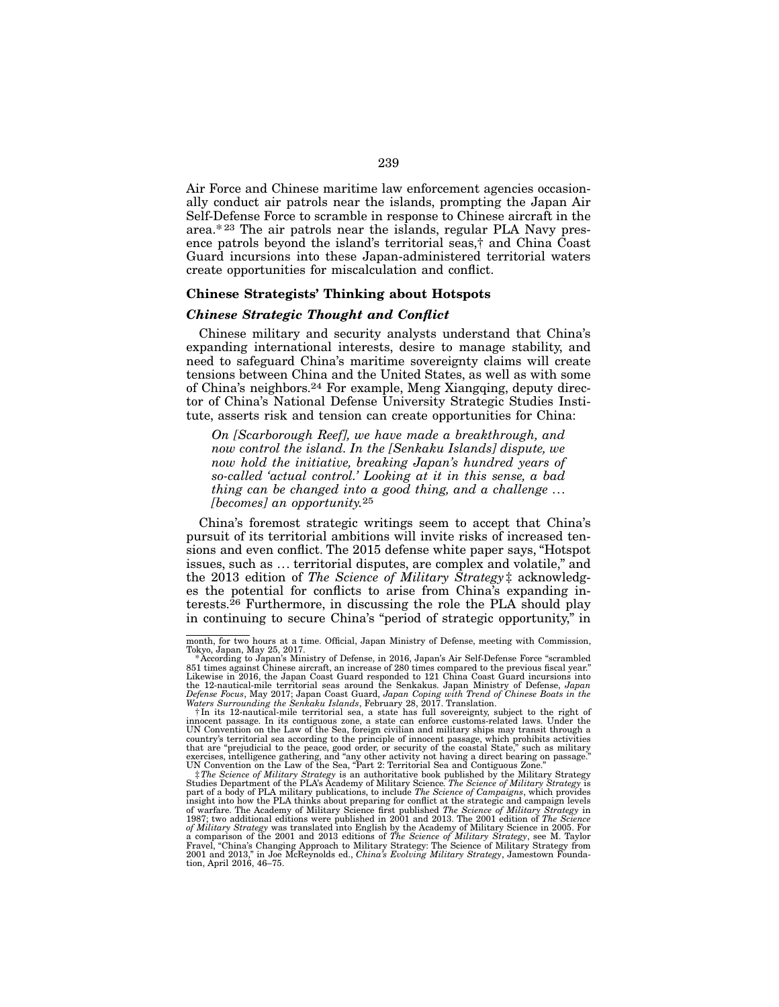Air Force and Chinese maritime law enforcement agencies occasionally conduct air patrols near the islands, prompting the Japan Air Self-Defense Force to scramble in response to Chinese aircraft in the area.\* 23 The air patrols near the islands, regular PLA Navy presence patrols beyond the island's territorial seas,† and China Coast Guard incursions into these Japan-administered territorial waters create opportunities for miscalculation and conflict.

## Chinese Strategists' Thinking about Hotspots

### *Chinese Strategic Thought and Conflict*

Chinese military and security analysts understand that China's expanding international interests, desire to manage stability, and need to safeguard China's maritime sovereignty claims will create tensions between China and the United States, as well as with some of China's neighbors.24 For example, Meng Xiangqing, deputy director of China's National Defense University Strategic Studies Institute, asserts risk and tension can create opportunities for China:

*On [Scarborough Reef], we have made a breakthrough, and now control the island. In the [Senkaku Islands] dispute, we now hold the initiative, breaking Japan's hundred years of so-called 'actual control.' Looking at it in this sense, a bad thing can be changed into a good thing, and a challenge ... [becomes] an opportunity.*25

China's foremost strategic writings seem to accept that China's pursuit of its territorial ambitions will invite risks of increased tensions and even conflict. The 2015 defense white paper says, "Hotspot issues, such as ... territorial disputes, are complex and volatile," and the 2013 edition of *The Science of Military Strategy* ‡ acknowledges the potential for conflicts to arise from China's expanding interests.26 Furthermore, in discussing the role the PLA should play in continuing to secure China's "period of strategic opportunity," in

month, for two hours at a time. Official, Japan Ministry of Defense, meeting with Commission,

Tokyo, Japan, May 25, 2017.<br>\*According to Japan's Ministry of Defense, in 2016, Japan's Air Self-Defense Force "scrambled<br>851 times against Chinese aircraft, an increase of 280 times compared to the previous fiscal year." Likewise in 2016, the Japan Coast Guard responded to 121 China Coast Guard incursions into<br>the 12-nautical-mile territorial seas around the Senkakus. Japan Ministry of Defense, *Japan*<br>Defense Focus, May 2017; Japan Coast

Waters Surrounding the Senkaku Islands, February 28, 2017. Translation.<br>†In its 12-nautical-mile territorial sea, a state has full sovereignty, subject to the right of<br>innocent passage. In its contiguous zone, a state can UN Convention on the Law of the Sea, foreign civilian and military ships may transit through a country's territorial sea according to the principle of innocent passage, which prohibits activities that are "prejudicial to the peace, good order, or security of the coastal State," such as military exercises, intellige

Studies Department of the PLA's Academy of Military Science. *The Science of Military Strategy* is<br>part of a body of PLA military publications, to include *The Science of Campaigns*, which provides<br>insight into how the PLA of warfare. The Academy of Military Science first published *The Science of Military Strategy* in 1987; two additional editions were published in 2001 and 2013. The 2001 edition of *The Science* in *After Diffultary Strate* tion, April 2016, 46–75.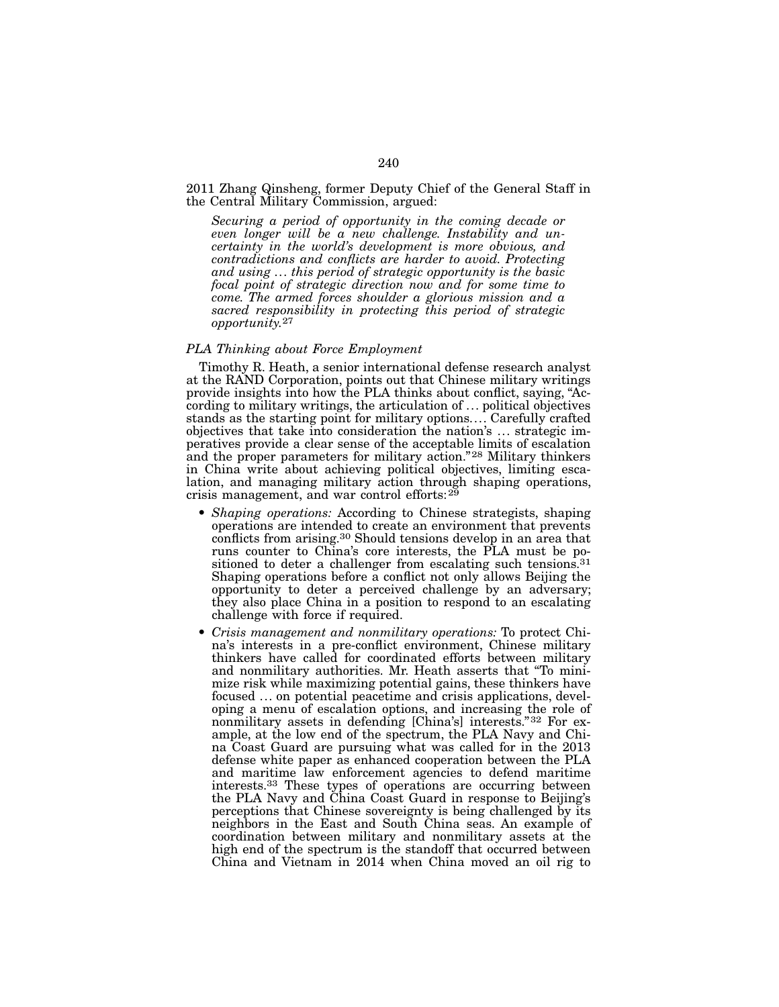## 2011 Zhang Qinsheng, former Deputy Chief of the General Staff in the Central Military Commission, argued:

*Securing a period of opportunity in the coming decade or even longer will be a new challenge. Instability and uncertainty in the world's development is more obvious, and contradictions and conflicts are harder to avoid. Protecting and using ... this period of strategic opportunity is the basic focal point of strategic direction now and for some time to come. The armed forces shoulder a glorious mission and a sacred responsibility in protecting this period of strategic opportunity.*27

## *PLA Thinking about Force Employment*

Timothy R. Heath, a senior international defense research analyst at the RAND Corporation, points out that Chinese military writings provide insights into how the PLA thinks about conflict, saying, "According to military writings, the articulation of ... political objectives stands as the starting point for military options.... Carefully crafted objectives that take into consideration the nation's ... strategic imperatives provide a clear sense of the acceptable limits of escalation and the proper parameters for military action."<sup>28</sup> Military thinkers in China write about achieving political objectives, limiting escalation, and managing military action through shaping operations, crisis management, and war control efforts:29

- *Shaping operations:* According to Chinese strategists, shaping operations are intended to create an environment that prevents conflicts from arising.30 Should tensions develop in an area that runs counter to China's core interests, the PLA must be positioned to deter a challenger from escalating such tensions.<sup>31</sup> Shaping operations before a conflict not only allows Beijing the opportunity to deter a perceived challenge by an adversary; they also place China in a position to respond to an escalating challenge with force if required.
- *Crisis management and nonmilitary operations:* To protect China's interests in a pre-conflict environment, Chinese military thinkers have called for coordinated efforts between military and nonmilitary authorities. Mr. Heath asserts that "To minimize risk while maximizing potential gains, these thinkers have focused ... on potential peacetime and crisis applications, developing a menu of escalation options, and increasing the role of nonmilitary assets in defending [China's] interests."32 For example, at the low end of the spectrum, the PLA Navy and China Coast Guard are pursuing what was called for in the 2013 defense white paper as enhanced cooperation between the PLA and maritime law enforcement agencies to defend maritime interests.33 These types of operations are occurring between the PLA Navy and China Coast Guard in response to Beijing's perceptions that Chinese sovereignty is being challenged by its neighbors in the East and South China seas. An example of coordination between military and nonmilitary assets at the high end of the spectrum is the standoff that occurred between China and Vietnam in 2014 when China moved an oil rig to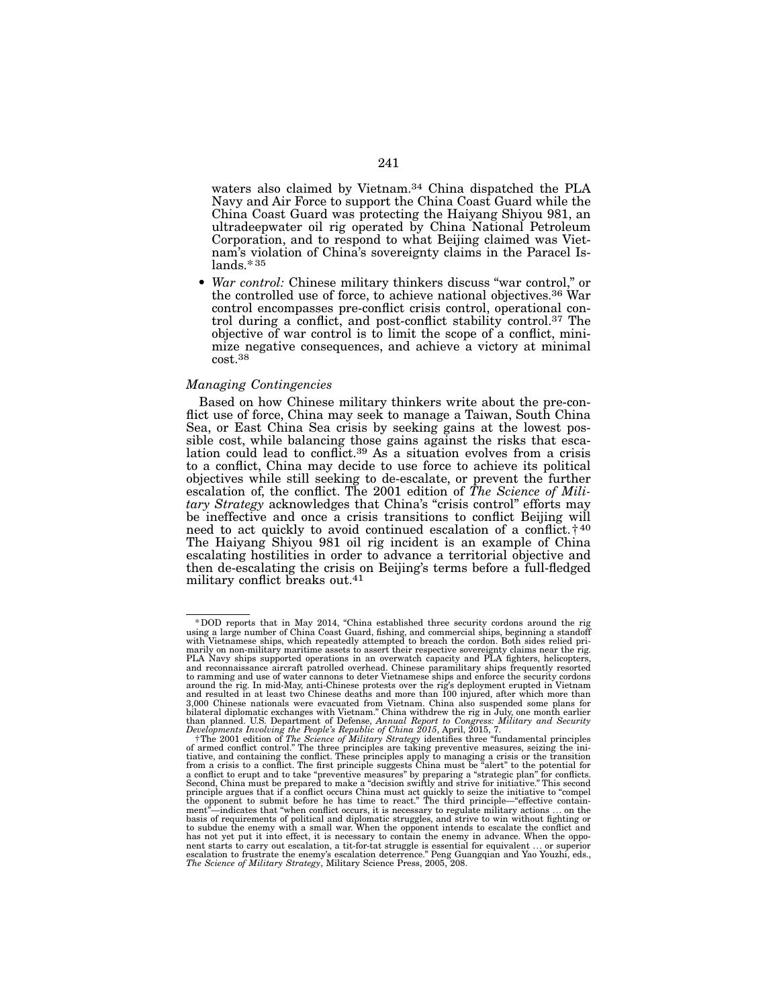waters also claimed by Vietnam.34 China dispatched the PLA Navy and Air Force to support the China Coast Guard while the China Coast Guard was protecting the Haiyang Shiyou 981, an ultradeepwater oil rig operated by China National Petroleum Corporation, and to respond to what Beijing claimed was Viet-<br>nam's violation of China's sovereignty claims in the Paracel Is-<br>lands.\*35

• *War control:* Chinese military thinkers discuss "war control," or the controlled use of force, to achieve national objectives.<sup>36</sup> War control encompasses pre-conflict crisis control, operational control during a conflict, and post-conflict stability control.<sup>37</sup> The objective of war control is to limit the scope of a conflict, minimize negative consequences, and achieve a victory at minimal cost.38

## *Managing Contingencies*

Based on how Chinese military thinkers write about the pre-con-<br>flict use of force, China may seek to manage a Taiwan, South China<br>Sea, or East China Sea crisis by seeking gains at the lowest possible cost, while balancing those gains against the risks that escalation could lead to conflict.<sup>39</sup> As a situation evolves from a crisis to a conflict, China may decide to use force to achieve its political objectives while still seeking to de-escalate, or prevent the further escalation of, the conflict. The 2001 edition of *The Science of Military Strategy* acknowledges that China's "crisis control" efforts may be ineffective and once a crisis transitions to conflict Beijing will need to act quickly to avoid continued escalation of a conflict. $\dagger^{40}$ The Haiyang Shiyou 981 oil rig incident is an example of China escalating hostilities in order to advance a territorial objective and then de-escalating the crisis on Beijing's terms before a full-fledged military conflict breaks out.41

<sup>\*</sup> DOD reports that in May 2014, "China established three security cordons around the rig<br>using a large number of China Coast Guard, fishing, and commercial ships, beginning a standoff<br>with Vietnamese ships, which repeatedl PLA Navy ships supported operations in an overwatch capacity and PLA fighters, helicopters, and reconnaissance aircraft patrolled overhead. Chinese paramilitary ships frequently resorted to ramming and use of water cannons to deter Vietnamese ships and enforce the security cordons<br>around the rig. In mid-May, anti-Chinese protests over the rig's deployment erupted in Vietnam<br>and resulted in at least two Chi 3,000 Chinese nationals were evacuated from Vietnam. China also suspended some plans for<br>bilateral diplomatic exchanges with Vietnam." China withdrew the rig in July, one month earlier<br>than planned. U.S. Department of Defe

*Developments Involving the People's Republic of China 2015*, April, 2015, 7. †The 2001 edition of *The Science of Military Strategy* identifies three "fundamental principles of armed conflict control." The three principles are taking preventive measures, seizing the initiative, and containing the conflict. These principles apply to managing a crisis or the transition a crisis to a conflict. T basis of requirements of political and diplomatic struggles, and strive to win without fighting or to subdue the enemy with a small war. When the opponent intends to escalate the conflict and has not yet put it into effect, it is necessary to contain the enemy in advance. When the oppo-<br>nent starts to carry out escalation, a tit-for-tat struggle is essential for equivalent ... or superior<br>escalation to frustrat *The Science of Military Strategy*, Military Science Press, 2005, 208.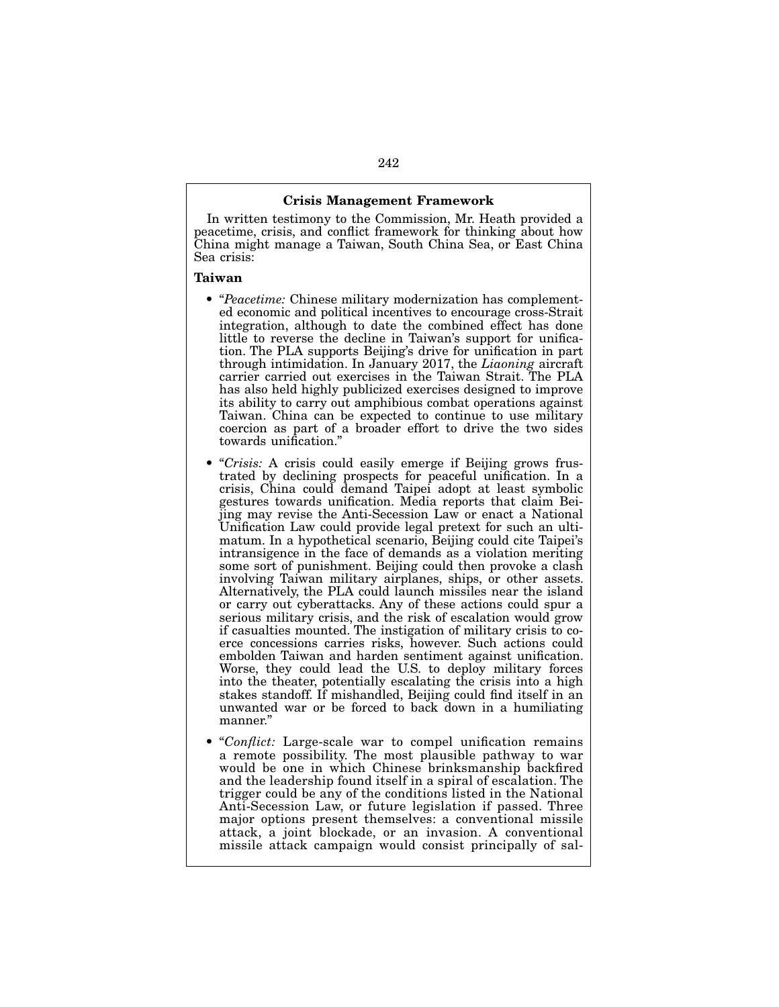## Crisis Management Framework

In written testimony to the Commission, Mr. Heath provided a peacetime, crisis, and conflict framework for thinking about how China might manage a Taiwan, South China Sea, or East China Sea crisis:

#### Taiwan

- "*Peacetime:* Chinese military modernization has complemented economic and political incentives to encourage cross-Strait integration, although to date the combined effect has done little to reverse the decline in Taiwan's support for unification. The PLA supports Beijing's drive for unification in part through intimidation. In January 2017, the *Liaoning* aircraft carrier carried out exercises in the Taiwan Strait. The PLA has also held highly publicized exercises designed to improve its ability to carry out amphibious combat operations against Taiwan. China can be expected to continue to use military coercion as part of a broader effort to drive the two sides towards unification."
- "*Crisis:* A crisis could easily emerge if Beijing grows frustrated by declining prospects for peaceful unification. In a crisis, China could demand Taipei adopt at least symbolic gestures towards unification. Media reports that claim Beijing may revise the Anti-Secession Law or enact a National Unification Law could provide legal pretext for such an ultimatum. In a hypothetical scenario, Beijing could cite Taipei's intransigence in the face of demands as a violation meriting some sort of punishment. Beijing could then provoke a clash involving Taiwan military airplanes, ships, or other assets. Alternatively, the PLA could launch missiles near the island or carry out cyberattacks. Any of these actions could spur a serious military crisis, and the risk of escalation would grow if casualties mounted. The instigation of military crisis to coerce concessions carries risks, however. Such actions could embolden Taiwan and harden sentiment against unification. Worse, they could lead the U.S. to deploy military forces into the theater, potentially escalating the crisis into a high stakes standoff. If mishandled, Beijing could find itself in an unwanted war or be forced to back down in a humiliating manner."
- "*Conflict:* Large-scale war to compel unification remains a remote possibility. The most plausible pathway to war would be one in which Chinese brinksmanship backfired and the leadership found itself in a spiral of escalation. The trigger could be any of the conditions listed in the National Anti-Secession Law, or future legislation if passed. Three major options present themselves: a conventional missile attack, a joint blockade, or an invasion. A conventional missile attack campaign would consist principally of sal-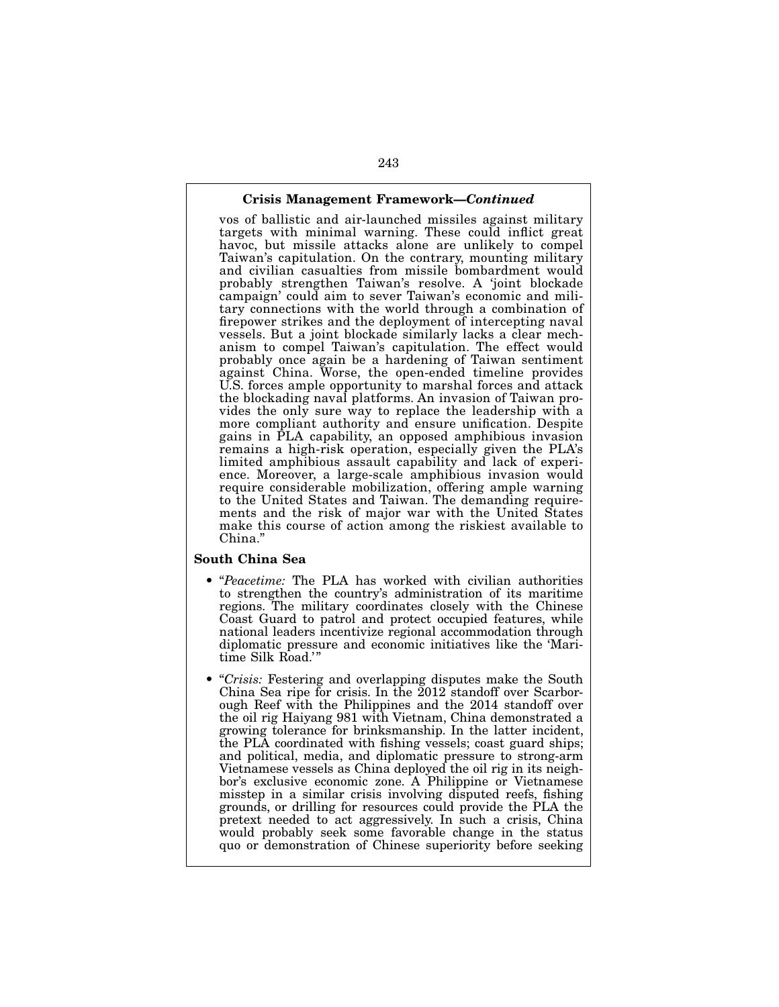## Crisis Management Framework—*Continued*

vos of ballistic and air-launched missiles against military targets with minimal warning. These could inflict great havoc, but missile attacks alone are unlikely to compel Taiwan's capitulation. On the contrary, mounting military and civilian casualties from missile bombardment would probably strengthen Taiwan's resolve. A 'joint blockade campaign' could aim to sever Taiwan's economic and military connections with the world through a combination of firepower strikes and the deployment of intercepting naval vessels. But a joint blockade similarly lacks a clear mechanism to compel Taiwan's capitulation. The effect would probably once again be a hardening of Taiwan sentiment against China. Worse, the open-ended timeline provides U.S. forces ample opportunity to marshal forces and attack the blockading naval platforms. An invasion of Taiwan provides the only sure way to replace the leadership with a more compliant authority and ensure unification. Despite gains in PLA capability, an opposed amphibious invasion remains a high-risk operation, especially given the PLA's limited amphibious assault capability and lack of experience. Moreover, a large-scale amphibious invasion would require considerable mobilization, offering ample warning to the United States and Taiwan. The demanding requirements and the risk of major war with the United States make this course of action among the riskiest available to China<sup>"</sup>

## South China Sea

- "*Peacetime:* The PLA has worked with civilian authorities to strengthen the country's administration of its maritime regions. The military coordinates closely with the Chinese Coast Guard to patrol and protect occupied features, while national leaders incentivize regional accommodation through diplomatic pressure and economic initiatives like the 'Maritime Silk Road.'
- "*Crisis:* Festering and overlapping disputes make the South China Sea ripe for crisis. In the 2012 standoff over Scarborough Reef with the Philippines and the 2014 standoff over the oil rig Haiyang 981 with Vietnam, China demonstrated a growing tolerance for brinksmanship. In the latter incident, the PLA coordinated with fishing vessels; coast guard ships; and political, media, and diplomatic pressure to strong-arm Vietnamese vessels as China deployed the oil rig in its neighbor's exclusive economic zone. A Philippine or Vietnamese misstep in a similar crisis involving disputed reefs, fishing grounds, or drilling for resources could provide the PLA the pretext needed to act aggressively. In such a crisis, China would probably seek some favorable change in the status quo or demonstration of Chinese superiority before seeking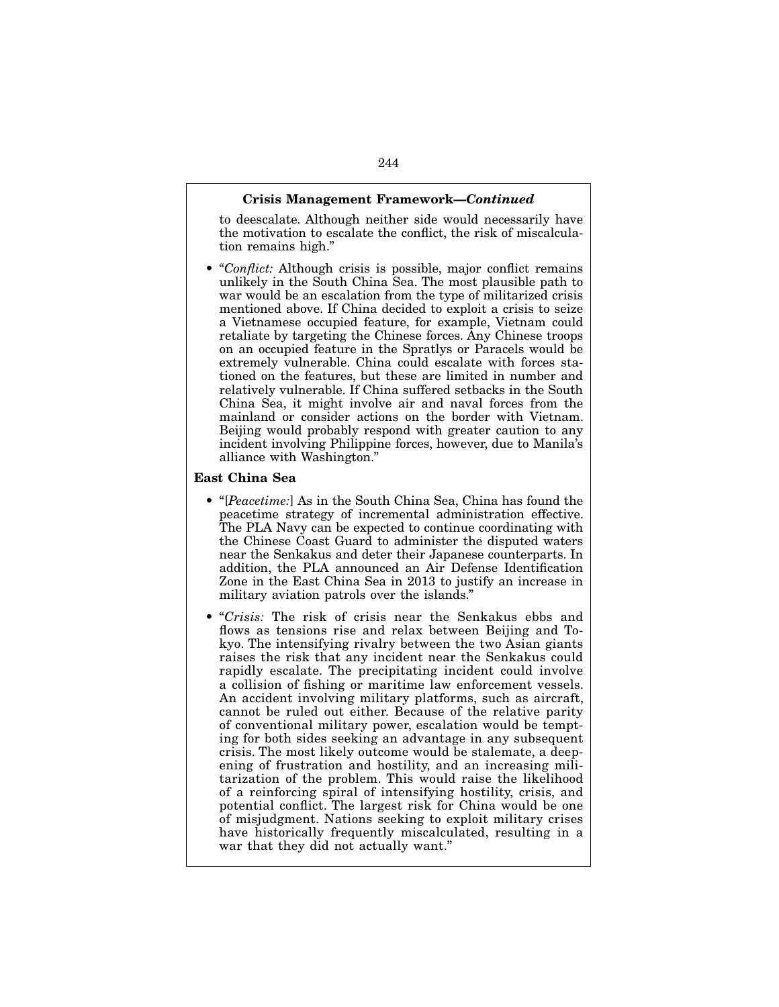## Crisis Management Framework—*Continued*

to deescalate. Although neither side would necessarily have the motivation to escalate the conflict, the risk of miscalculation remains high."

• "*Conflict:* Although crisis is possible, major conflict remains unlikely in the South China Sea. The most plausible path to war would be an escalation from the type of militarized crisis mentioned above. If China decided to exploit a crisis to seize a Vietnamese occupied feature, for example, Vietnam could retaliate by targeting the Chinese forces. Any Chinese troops on an occupied feature in the Spratlys or Paracels would be extremely vulnerable. China could escalate with forces stationed on the features, but these are limited in number and relatively vulnerable. If China suffered setbacks in the South China Sea, it might involve air and naval forces from the mainland or consider actions on the border with Vietnam. Beijing would probably respond with greater caution to any incident involving Philippine forces, however, due to Manila's alliance with Washington."

## East China Sea

- "[*Peacetime:*] As in the South China Sea, China has found the peacetime strategy of incremental administration effective. The PLA Navy can be expected to continue coordinating with the Chinese Coast Guard to administer the disputed waters near the Senkakus and deter their Japanese counterparts. In addition, the PLA announced an Air Defense Identification Zone in the East China Sea in 2013 to justify an increase in military aviation patrols over the islands."
- "*Crisis:* The risk of crisis near the Senkakus ebbs and flows as tensions rise and relax between Beijing and Tokyo. The intensifying rivalry between the two Asian giants raises the risk that any incident near the Senkakus could rapidly escalate. The precipitating incident could involve a collision of fishing or maritime law enforcement vessels. An accident involving military platforms, such as aircraft, cannot be ruled out either. Because of the relative parity of conventional military power, escalation would be tempting for both sides seeking an advantage in any subsequent crisis. The most likely outcome would be stalemate, a deepening of frustration and hostility, and an increasing militarization of the problem. This would raise the likelihood of a reinforcing spiral of intensifying hostility, crisis, and potential conflict. The largest risk for China would be one of misjudgment. Nations seeking to exploit military crises have historically frequently miscalculated, resulting in a war that they did not actually want."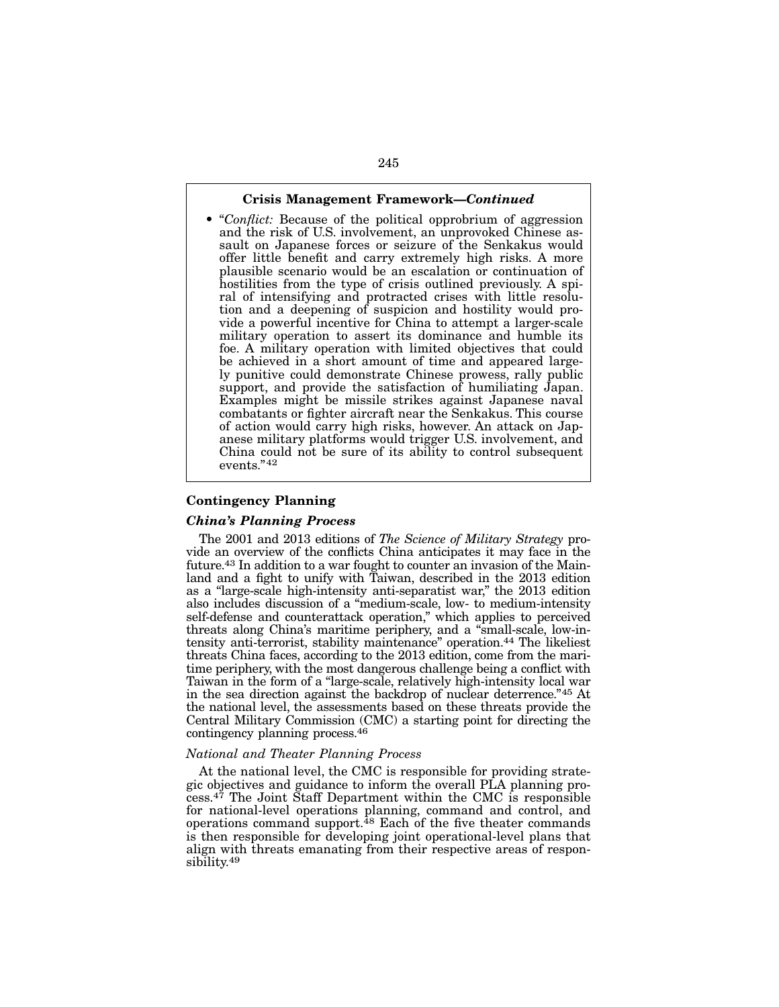### Crisis Management Framework—*Continued*

• "*Conflict:* Because of the political opprobrium of aggression and the risk of U.S. involvement, an unprovoked Chinese assault on Japanese forces or seizure of the Senkakus would offer little benefit and carry extremely high risks. A more plausible scenario would be an escalation or continuation of hostilities from the type of crisis outlined previously. A spiral of intensifying and protracted crises with little resolution and a deepening of suspicion and hostility would provide a powerful incentive for China to attempt a larger-scale military operation to assert its dominance and humble its foe. A military operation with limited objectives that could be achieved in a short amount of time and appeared largely punitive could demonstrate Chinese prowess, rally public support, and provide the satisfaction of humiliating Japan. Examples might be missile strikes against Japanese naval combatants or fighter aircraft near the Senkakus. This course of action would carry high risks, however. An attack on Japanese military platforms would trigger U.S. involvement, and China could not be sure of its ability to control subsequent events."42

## Contingency Planning

#### *China's Planning Process*

The 2001 and 2013 editions of *The Science of Military Strategy* provide an overview of the conflicts China anticipates it may face in the future.43 In addition to a war fought to counter an invasion of the Mainland and a fight to unify with Taiwan, described in the 2013 edition as a "large-scale high-intensity anti-separatist war," the 2013 edition also includes discussion of a "medium-scale, low- to medium-intensity self-defense and counterattack operation," which applies to perceived threats along China's maritime periphery, and a "small-scale, low-intensity anti-terrorist, stability maintenance" operation.<sup>44</sup> The likeliest threats China faces, according to the 2013 edition, come from the maritime periphery, with the most dangerous challenge being a conflict with Taiwan in the form of a "large-scale, relatively high-intensity local war in the sea direction against the backdrop of nuclear deterrence."45 At the national level, the assessments based on these threats provide the Central Military Commission (CMC) a starting point for directing the contingency planning process.46

### *National and Theater Planning Process*

At the national level, the CMC is responsible for providing strategic objectives and guidance to inform the overall PLA planning pro- $\overline{\text{c}}$ ess.<sup>47</sup> The Joint Staff Department within the CMC is responsible for national-level operations planning, command and control, and operations command support.<sup>48</sup> Each of the five theater commands is then responsible for developing joint operational-level plans that align with threats emanating from their respective areas of responsibility.49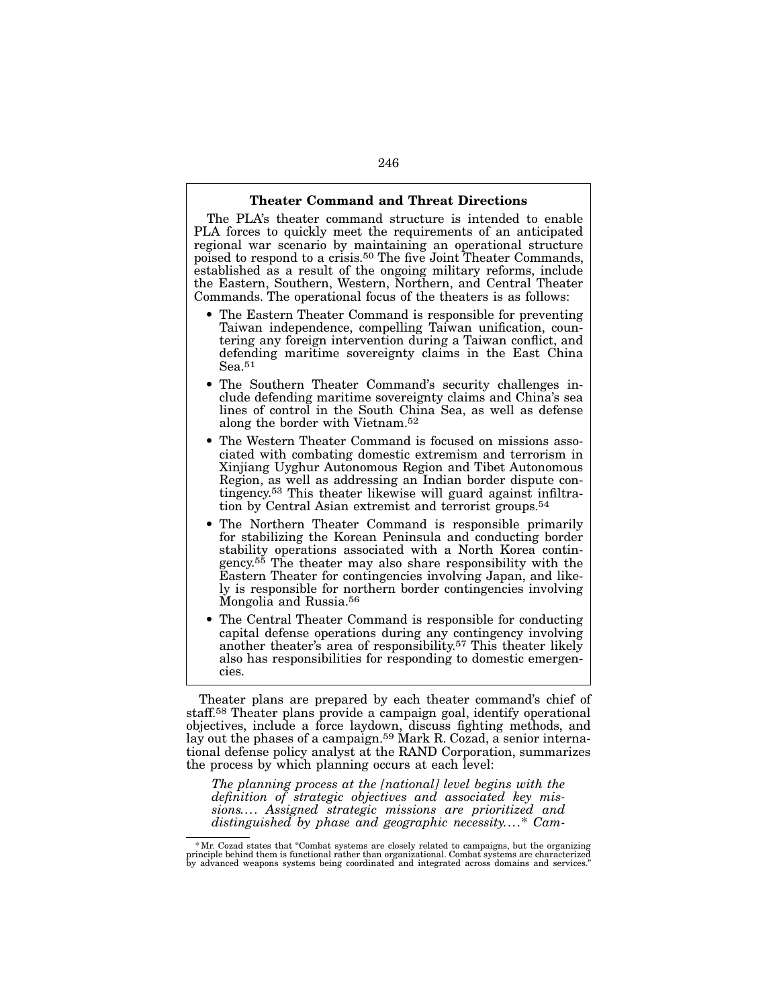#### Theater Command and Threat Directions

The PLA's theater command structure is intended to enable PLA forces to quickly meet the requirements of an anticipated regional war scenario by maintaining an operational structure poised to respond to a crisis.50 The five Joint Theater Commands, established as a result of the ongoing military reforms, include the Eastern, Southern, Western, Northern, and Central Theater Commands. The operational focus of the theaters is as follows:

- The Eastern Theater Command is responsible for preventing Taiwan independence, compelling Taiwan unification, countering any foreign intervention during a Taiwan conflict, and defending maritime sovereignty claims in the East China Sea.51
- The Southern Theater Command's security challenges include defending maritime sovereignty claims and China's sea lines of control in the South China Sea, as well as defense along the border with Vietnam.52
- The Western Theater Command is focused on missions associated with combating domestic extremism and terrorism in Xinjiang Uyghur Autonomous Region and Tibet Autonomous Region, as well as addressing an Indian border dispute contingency.53 This theater likewise will guard against infiltration by Central Asian extremist and terrorist groups.54
- The Northern Theater Command is responsible primarily for stabilizing the Korean Peninsula and conducting border stability operations associated with a North Korea contingency.<sup>55</sup> The theater may also share responsibility with the Eastern Theater for contingencies involving Japan, and likely is responsible for northern border contingencies involving Mongolia and Russia.56
- The Central Theater Command is responsible for conducting capital defense operations during any contingency involving another theater's area of responsibility.57 This theater likely also has responsibilities for responding to domestic emergencies.

Theater plans are prepared by each theater command's chief of staff.58 Theater plans provide a campaign goal, identify operational objectives, include a force laydown, discuss fighting methods, and lay out the phases of a campaign.<sup>59</sup> Mark R. Cozad, a senior international defense policy analyst at the RAND Corporation, summarizes the process by which planning occurs at each level:

*The planning process at the [national] level begins with the definition of strategic objectives and associated key missions.... Assigned strategic missions are prioritized and distinguished by phase and geographic necessity....*\* *Cam-*

<sup>\*</sup>Mr. Cozad states that "Combat systems are closely related to campaigns, but the organizing principle behind them is functional rather than organizational. Combat systems are characterized by advanced weapons systems being coordinated and integrated across domains and services."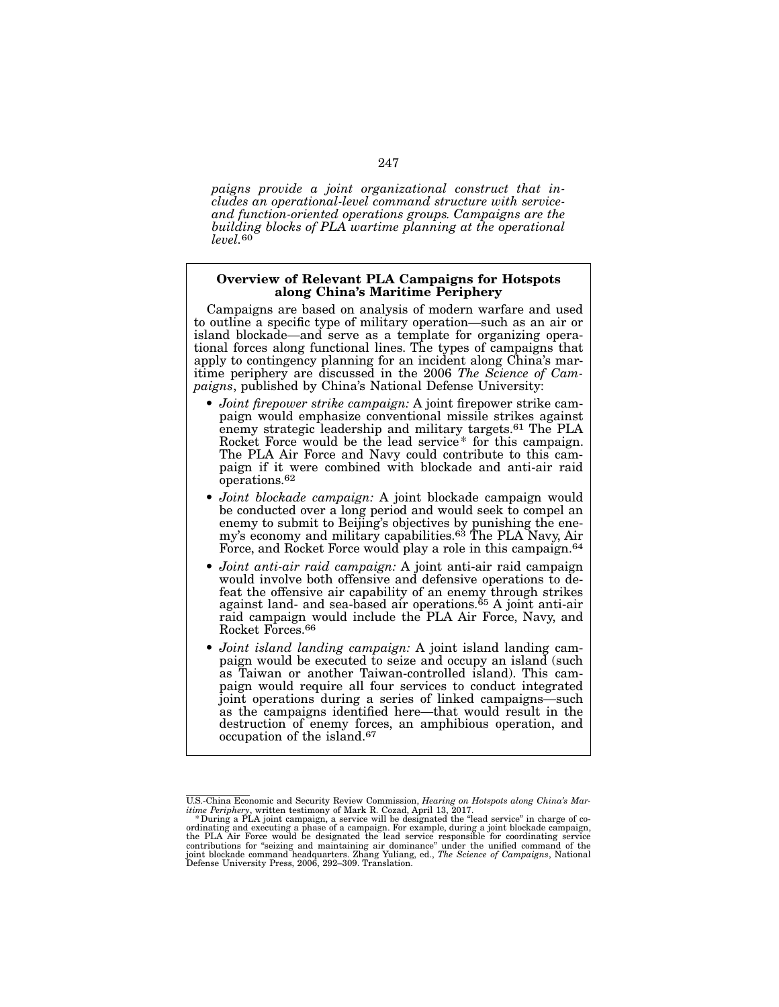*paigns provide a joint organizational construct that includes an operational-level command structure with serviceand function-oriented operations groups. Campaigns are the building blocks of PLA wartime planning at the operational level.*60

## Overview of Relevant PLA Campaigns for Hotspots along China's Maritime Periphery

Campaigns are based on analysis of modern warfare and used to outline a specific type of military operation—such as an air or island blockade—and serve as a template for organizing operational forces along functional lines. The types of campaigns that apply to contingency planning for an incident along China's maritime periphery are discussed in the 2006 *The Science of Cam- paigns*, published by China's National Defense University:

- *Joint firepower strike campaign:* A joint firepower strike cam- paign would emphasize conventional missile strikes against enemy strategic leadership and military targets.61 The PLA Rocket Force would be the lead service\* for this campaign.<br>The PLA Air Force and Navy could contribute to this campaign if it were combined with blockade and anti-air raid operations.62
- *Joint blockade campaign:* A joint blockade campaign would be conducted over a long period and would seek to compel an enemy to submit to Beijing's objectives by punishing the enemy's economy and military capabilities.63 The PLA Navy, Air Force, and Rocket Force would play a role in this campaign.<sup>64</sup>
- *Joint anti-air raid campaign:* A joint anti-air raid campaign would involve both offensive and defensive operations to defeat the offensive air capability of an enemy through strikes against land- and sea-based air operations.<sup>65</sup> A joint anti-air raid campaign would include the PLA Air Force, Navy, and Rocket Forces.66
- *Joint island landing campaign:* A joint island landing campaign would be executed to seize and occupy an island (such as Taiwan or another Taiwan-controlled island). This campaign would require all four services to conduct integrated joint operations during a series of linked campaigns—such as the campaigns identified here—that would result in the destruction of enemy forces, an amphibious operation, and occupation of the island.67

U.S.-China Economic and Security Review Commission, *Hearing on Hotspots along China's Mar-*<br>*itime Periphery*, written testimony of Mark R. Cozad, April 13, 2017.<br>
<sup>\*</sup> During a PLA joint campaign, a service will be design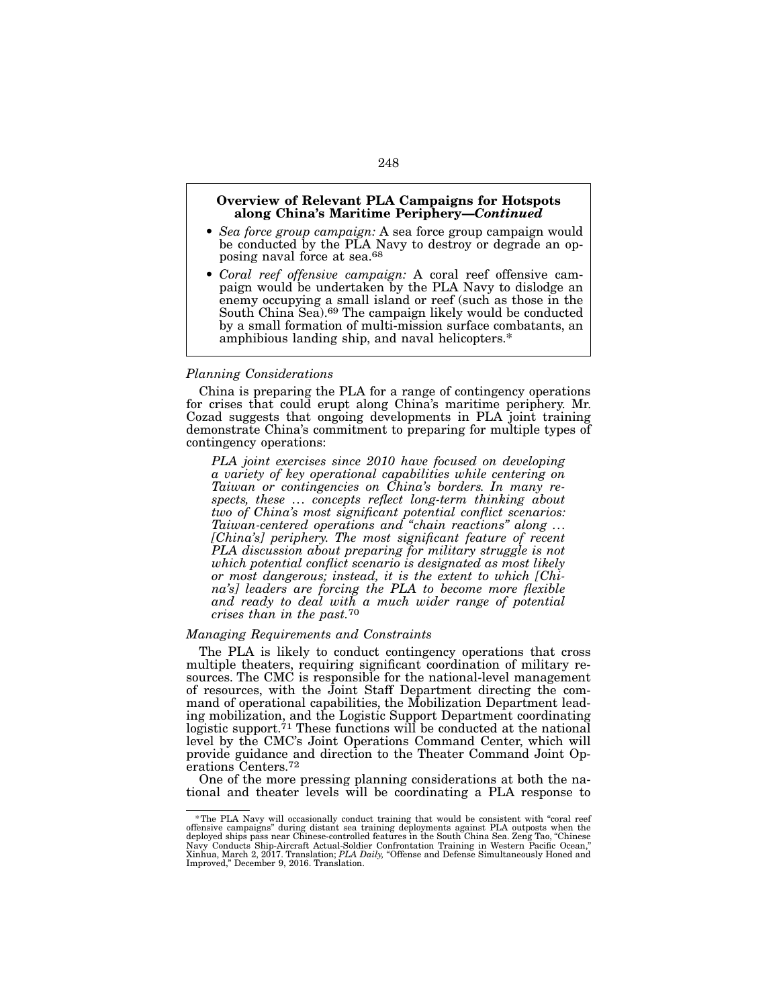## Overview of Relevant PLA Campaigns for Hotspots along China's Maritime Periphery—*Continued*

- *Sea force group campaign:* A sea force group campaign would be conducted by the PLA Navy to destroy or degrade an opposing naval force at sea.<sup>68</sup>
- *Coral reef offensive campaign:* A coral reef offensive cam- paign would be undertaken by the PLA Navy to dislodge an enemy occupying a small island or reef (such as those in the South China Sea).69 The campaign likely would be conducted by a small formation of multi-mission surface combatants, an amphibious landing ship, and naval helicopters.\*

## *Planning Considerations*

China is preparing the PLA for a range of contingency operations for crises that could erupt along China's maritime periphery. Mr. Cozad suggests that ongoing developments in PLA joint training demonstrate China's commitment to preparing for multiple types of contingency operations:

*PLA joint exercises since 2010 have focused on developing a variety of key operational capabilities while centering on Taiwan or contingencies on China's borders. In many respects, these ... concepts reflect long-term thinking about two of China's most significant potential conflict scenarios: Taiwan-centered operations and "chain reactions" along ...* [China's] periphery. The most significant feature of recent *PLA discussion about preparing for military struggle is not which potential conflict scenario is designated as most likely or most dangerous; instead, it is the extent to which [China's] leaders are forcing the PLA to become more flexible and ready to deal with a much wider range of potential crises than in the past.*70

## *Managing Requirements and Constraints*

The PLA is likely to conduct contingency operations that cross multiple theaters, requiring significant coordination of military resources. The CMC is responsible for the national-level management of resources, with the Joint Staff Department directing the command of operational capabilities, the Mobilization Department lead- ing mobilization, and the Logistic Support Department coordinating logistic support.<sup>71</sup> These functions will be conducted at the national level by the CMC's Joint Operations Command Center, which will provide guidance and direction to the Theater Command Joint Operations Centers.<sup>72</sup>

One of the more pressing planning considerations at both the na- tional and theater levels will be coordinating a PLA response to

<sup>\*</sup>The PLA Navy will occasionally conduct training that would be consistent with "coral reef offensive campaigns" during distant sea training deployments against PLA outposts when the<br>deployed ships pass near Chinese-controlled features in the South China Sea. Zeng Tao, "Chinese Newy Conducts<br>Navy Conducts Ship-Ai Improved," December 9, 2016. Translation.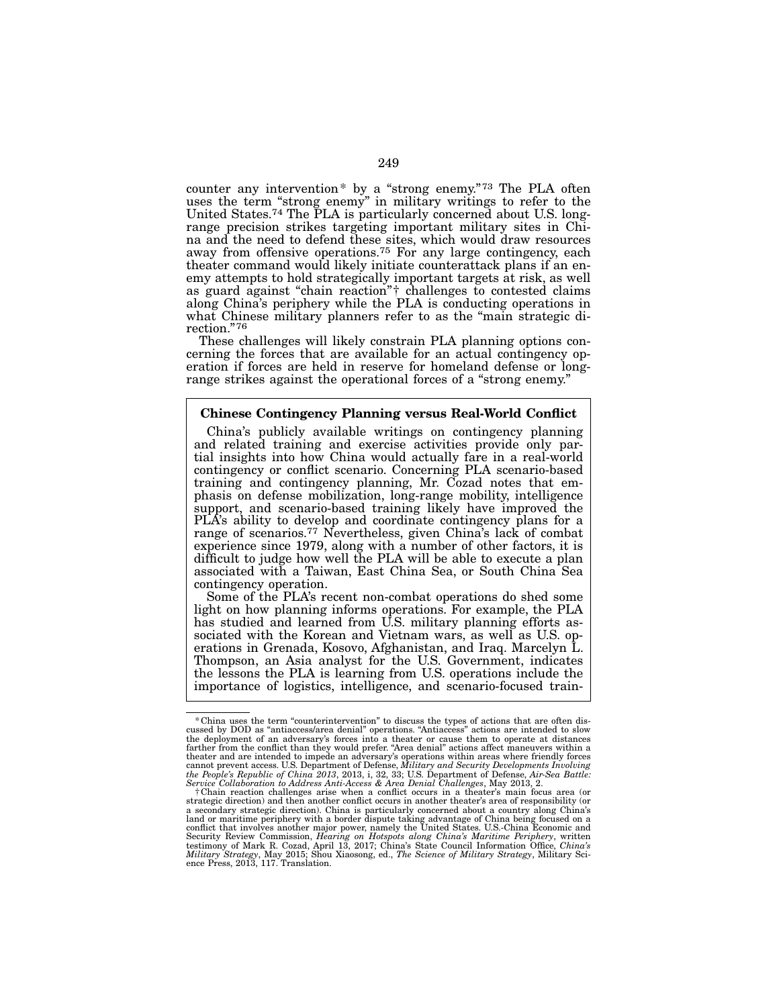counter any intervention\* by a "strong enemy."73 The PLA often uses the term "strong enemy" in military writings to refer to the United States.74 The PLA is particularly concerned about U.S. longrange precision strikes targeting important military sites in Chi- na and the need to defend these sites, which would draw resources away from offensive operations.<sup>75</sup> For any large contingency, each theater command would likely initiate counterattack plans if an enemy attempts to hold strategically important targets at risk, as well as guard against "chain reaction"† challenges to contested claims along China's periphery while the PLA is conducting operations in what Chinese military planners refer to as the "main strategic di-<br>rection."<sup>76</sup><br>These challenges will likely constrain PLA planning options con-

cerning the forces that are available for an actual contingency operation if forces are held in reserve for homeland defense or longrange strikes against the operational forces of a "strong enemy."

## Chinese Contingency Planning versus Real-World Conflict

China's publicly available writings on contingency planning and related training and exercise activities provide only par- tial insights into how China would actually fare in a real-world contingency or conflict scenario. Concerning PLA scenario-based training and contingency planning, Mr. Cozad notes that emphasis on defense mobilization, long-range mobility, intelligence support, and scenario-based training likely have improved the PLA's ability to develop and coordinate contingency plans for a range of scenarios.77 Nevertheless, given China's lack of combat experience since 1979, along with a number of other factors, it is difficult to judge how well the PLA will be able to execute a plan associated with a Taiwan, East China Sea, or South China Sea contingency operation.

Some of the PLA's recent non-combat operations do shed some light on how planning informs operations. For example, the PLA has studied and learned from U.S. military planning efforts associated with the Korean and Vietnam wars, as well as U.S. operations in Grenada, Kosovo, Afghanistan, and Iraq. Marcelyn L. Thompson, an Asia analyst for the U.S. Government, indicates the lessons the PLA is learning from U.S. operations include the importance of logistics, intelligence, and scenario-focused train-

<sup>\*</sup> China uses the term "counterintervention" to discuss the types of actions that are often discussed by DOD as "antiaccess/area denial" operations. "Antiaccess" actions are intended to slow the deployment of an adversary's theater and are intended to impede an adversary's operations within areas where friendly forces<br>cannot prevent access. U.S. Department of Defense, Military and Security Developments Involving<br>the People's Republic of China

*Service Collaboration to Address Anti-Access & Area Denial Challenges*, May 2013, 2. †Chain reaction challenges arise when a conflict occurs in a theater's main focus area (or strategic direction) and then another conflict occurs in another theater's area of responsibility (or a secondary strategic direction). China is particularly concerned about a country along China's land or maritime periphery with a border dispute taking advantage of China being focused on a conflict that involves another m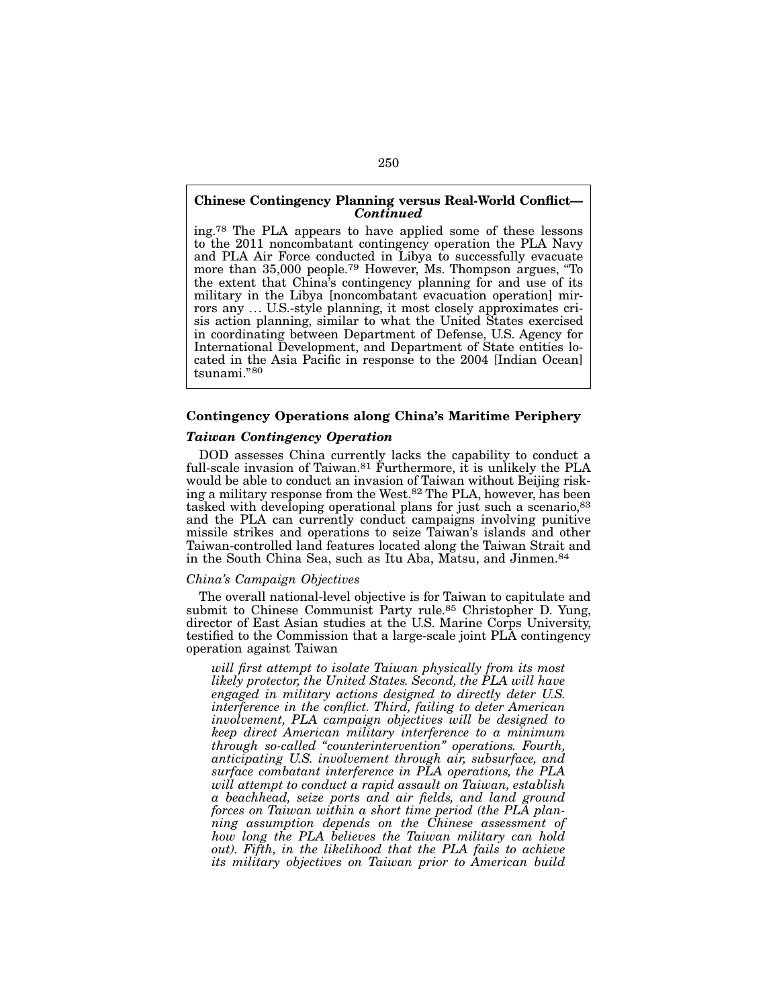## Chinese Contingency Planning versus Real-World Conflict— *Continued*

ing.78 The PLA appears to have applied some of these lessons to the 2011 noncombatant contingency operation the PLA Navy and PLA Air Force conducted in Libya to successfully evacuate more than 35,000 people.79 However, Ms. Thompson argues, "To the extent that China's contingency planning for and use of its military in the Libya [noncombatant evacuation operation] mirrors any ... U.S.-style planning, it most closely approximates crisis action planning, similar to what the United States exercised in coordinating between Department of Defense, U.S. Agency for International Development, and Department of State entities located in the Asia Pacific in response to the 2004 [Indian Ocean] tsunami."80

# Contingency Operations along China's Maritime Periphery

# *Taiwan Contingency Operation*

DOD assesses China currently lacks the capability to conduct a full-scale invasion of Taiwan.<sup>81</sup> Furthermore, it is unlikely the PLA would be able to conduct an invasion of Taiwan without Beijing risking a military response from the West.82 The PLA, however, has been tasked with developing operational plans for just such a scenario, <sup>83</sup> and the PLA can currently conduct campaigns involving punitive missile strikes and operations to seize Taiwan's islands and other Taiwan-controlled land features located along the Taiwan Strait and in the South China Sea, such as Itu Aba, Matsu, and Jinmen.84

### *China's Campaign Objectives*

The overall national-level objective is for Taiwan to capitulate and submit to Chinese Communist Party rule.<sup>85</sup> Christopher D. Yung, director of East Asian studies at the U.S. Marine Corps University, testified to the Commission that a large-scale joint PLA contingency operation against Taiwan

*will first attempt to isolate Taiwan physically from its most likely protector, the United States. Second, the PLA will have engaged in military actions designed to directly deter U.S. interference in the conflict. Third, failing to deter American involvement, PLA campaign objectives will be designed to keep direct American military interference to a minimum through so-called "counterintervention" operations. Fourth, anticipating U.S. involvement through air, subsurface, and surface combatant interference in PLA operations, the PLA will attempt to conduct a rapid assault on Taiwan, establish a beachhead, seize ports and air fields, and land ground forces on Taiwan within a short time period (the PLA planning assumption depends on the Chinese assessment of how long the PLA believes the Taiwan military can hold out). Fifth, in the likelihood that the PLA fails to achieve its military objectives on Taiwan prior to American build*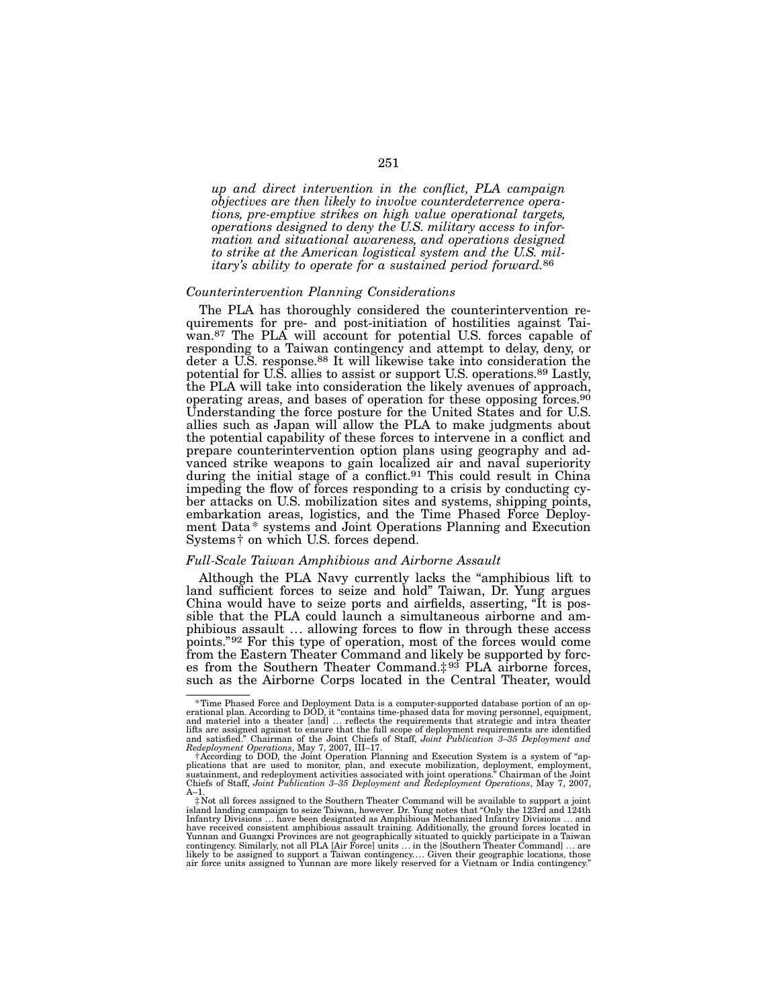*up and direct intervention in the conflict, PLA campaign objectives are then likely to involve counterdeterrence operations, pre-emptive strikes on high value operational targets, operations designed to deny the U.S. military access to information and situational awareness, and operations designed to strike at the American logistical system and the U.S. military's ability to operate for a sustained period forward.*86

# *Counterintervention Planning Considerations*

The PLA has thoroughly considered the counterintervention requirements for pre- and post-initiation of hostilities against Taiwan.87 The PLA will account for potential U.S. forces capable of responding to a Taiwan contingency and attempt to delay, deny, or deter a U.S. response.<sup>88</sup> It will likewise take into consideration the potential for U.S. allies to assist or support U.S. operations.89 Lastly, the PLA will take into consideration the likely avenues of approach, operating areas, and bases of operation for these opposing forces.90 Understanding the force posture for the United States and for U.S. allies such as Japan will allow the PLA to make judgments about the potential capability of these forces to intervene in a conflict and prepare counterintervention option plans using geography and advanced strike weapons to gain localized air and naval superiority during the initial stage of a conflict.<sup>91</sup> This could result in China impeding the flow of forces responding to a crisis by conducting cyber attacks on U.S. mobilization sites and systems, shipping points, embarkation areas, logistics, and the Time Phased Force Deployment Data\* systems and Joint Operations Planning and Execution Systems† on which U.S. forces depend.

### *Full-Scale Taiwan Amphibious and Airborne Assault*

Although the PLA Navy currently lacks the "amphibious lift to land sufficient forces to seize and hold" Taiwan, Dr. Yung argues China would have to seize ports and airfields, asserting, "It is possible that the PLA could launch a simultaneous airborne and amphibious assault ... allowing forces to flow in through these access points."92 For this type of operation, most of the forces would come from the Eastern Theater Command and likely be supported by forces from the Southern Theater Command.<sup> $\ddagger$ 93</sup> PLA airborne forces, such as the Airborne Corps located in the Central Theater, would

fime Phased Force and Deployment Data is a computer-supported database portion of an operational plan. According to DOD, it "contains time-phased data for moving personnel, equipment,<br>and materiel into a theater [and] ... lifts are assigned against to ensure that the full scope of deployment requirements are identified<br>and satisfied." Chairman of the Joint Chiefs of Staff, Joint Publication 3–35 Deployment and<br>Redeployment Operations, May 7

f According to DOD, the Joint Operation Planning and Execution System is a system of "applications that are used to monitor, plan, and execute mobilization, deployment, employment, sustainment, and redeployment activities Chiefs of Staff, *Joint Publication 3–35 Deployment and Redeployment Operations*, May 7, 2007, A–1. ‡Not all forces assigned to the Southern Theater Command will be available to support a joint

island landing campaign to seize Taiwan, however. Dr. Yung notes that "Only the 123rd and 124th Infantry Divisions ... have been designated as Amphibious Mechanized Infantry Divisions ... and have received consistent amphibious assault training. Additionally, the ground forces located in<br>Yunnan and Guangxi Provinces are not geographically situated to quickly participate in a Taiwan<br>contingency. Similarly, not a likely to be assigned to Support a Taiwan contingency.... Given their geographic locations, those air force units assigned to Yunnan are more likely reserved for a Vietnam or India contingency."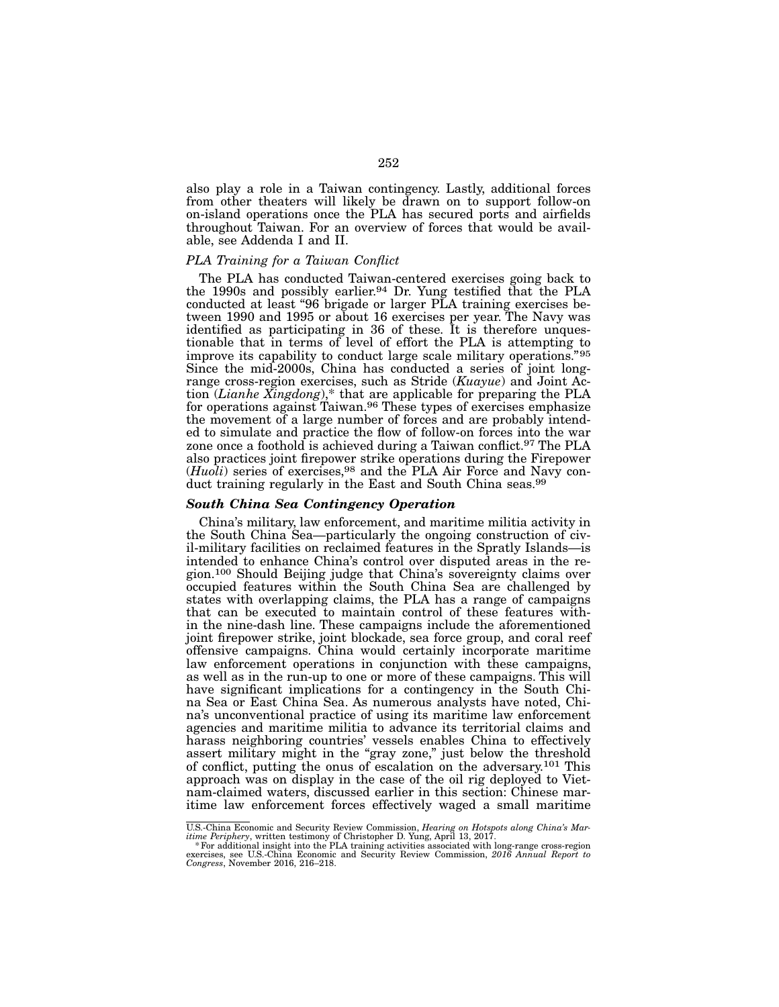also play a role in a Taiwan contingency. Lastly, additional forces from other theaters will likely be drawn on to support follow-on on-island operations once the PLA has secured ports and airfields throughout Taiwan. For an overview of forces that would be available, see Addenda I and II.

#### *PLA Training for a Taiwan Conflict*

The PLA has conducted Taiwan-centered exercises going back to the 1990s and possibly earlier.94 Dr. Yung testified that the PLA conducted at least "96 brigade or larger PLA training exercises between 1990 and 1995 or about 16 exercises per year. The Navy was identified as participating in 36 of these. It is therefore unquestionable that in terms of level of effort the PLA is attempting to improve its capability to conduct large scale military operations."95 Since the mid-2000s, China has conducted a series of joint longrange cross-region exercises, such as Stride (*Kuayue*) and Joint Action (*Lianhe Xingdong*),\* that are applicable for preparing the PLA for operations against Taiwan.96 These types of exercises emphasize the movement of a large number of forces and are probably intended to simulate and practice the flow of follow-on forces into the war zone once a foothold is achieved during a Taiwan conflict.<sup>97</sup> The PLA also practices joint firepower strike operations during the Firepower (*Huoli*) series of exercises,98 and the PLA Air Force and Navy conduct training regularly in the East and South China seas.<sup>99</sup>

#### *South China Sea Contingency Operation*

China's military, law enforcement, and maritime militia activity in the South China Sea—particularly the ongoing construction of civil-military facilities on reclaimed features in the Spratly Islands—is intended to enhance China's control over disputed areas in the region.100 Should Beijing judge that China's sovereignty claims over occupied features within the South China Sea are challenged by states with overlapping claims, the PLA has a range of campaigns that can be executed to maintain control of these features within the nine-dash line. These campaigns include the aforementioned joint firepower strike, joint blockade, sea force group, and coral reef offensive campaigns. China would certainly incorporate maritime law enforcement operations in conjunction with these campaigns, as well as in the run-up to one or more of these campaigns. This will have significant implications for a contingency in the South China Sea or East China Sea. As numerous analysts have noted, China's unconventional practice of using its maritime law enforcement agencies and maritime militia to advance its territorial claims and harass neighboring countries' vessels enables China to effectively assert military might in the "gray zone," just below the threshold of conflict, putting the onus of escalation on the adversary.101 This approach was on display in the case of the oil rig deployed to Vietnam-claimed waters, discussed earlier in this section: Chinese maritime law enforcement forces effectively waged a small maritime

U.S.-China Economic and Security Review Commission, *Hearing on Hotspots along China's Mar-*

itime Periphery, written testimony of Christopher D. Yung, April 13, 2017.<br>\* For additional insight into the PLA training activities associated with long-range cross-region<br>exercises, see U.S.-China Economic and Security R *Congress*, November 2016, 216–218.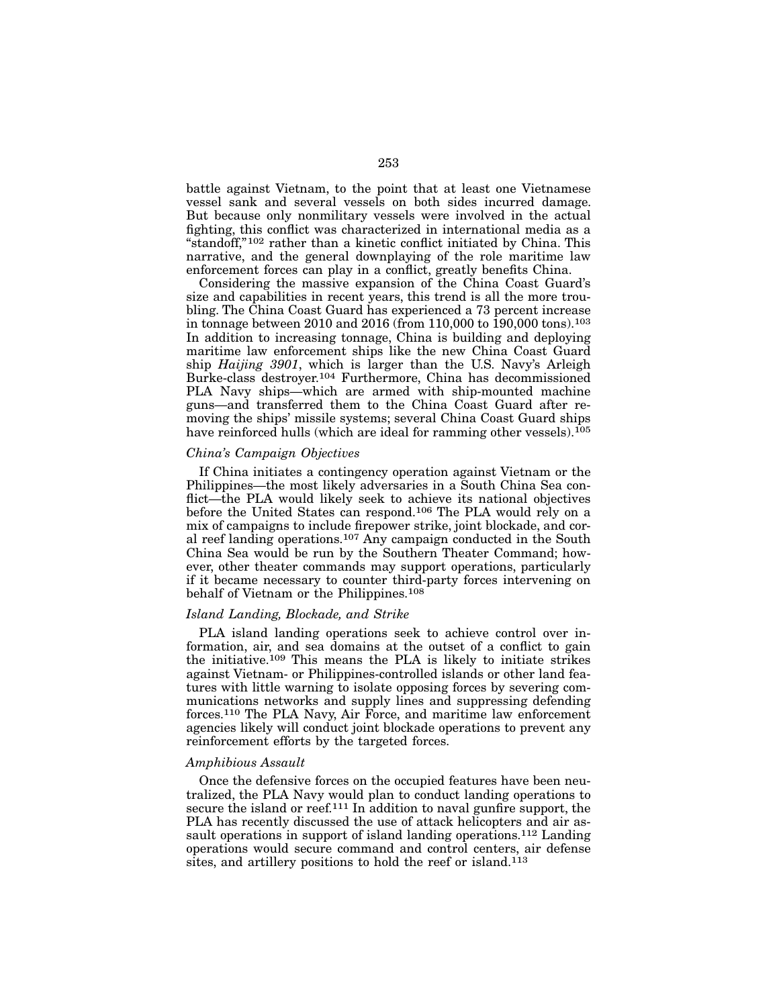battle against Vietnam, to the point that at least one Vietnamese vessel sank and several vessels on both sides incurred damage. But because only nonmilitary vessels were involved in the actual fighting, this conflict was characterized in international media as a "standoff,"102 rather than a kinetic conflict initiated by China. This narrative, and the general downplaying of the role maritime law enforcement forces can play in a conflict, greatly benefits China.

Considering the massive expansion of the China Coast Guard's size and capabilities in recent years, this trend is all the more troubling. The China Coast Guard has experienced a 73 percent increase in tonnage between 2010 and 2016 (from 110,000 to 190,000 tons).103 In addition to increasing tonnage, China is building and deploying maritime law enforcement ships like the new China Coast Guard ship *Haijing 3901*, which is larger than the U.S. Navy's Arleigh Burke-class destroyer.104 Furthermore, China has decommissioned PLA Navy ships—which are armed with ship-mounted machine guns—and transferred them to the China Coast Guard after removing the ships' missile systems; several China Coast Guard ships have reinforced hulls (which are ideal for ramming other vessels).<sup>105</sup>

### *China's Campaign Objectives*

If China initiates a contingency operation against Vietnam or the Philippines—the most likely adversaries in a South China Sea conflict—the PLA would likely seek to achieve its national objectives before the United States can respond.106 The PLA would rely on a mix of campaigns to include firepower strike, joint blockade, and coral reef landing operations.107 Any campaign conducted in the South China Sea would be run by the Southern Theater Command; however, other theater commands may support operations, particularly if it became necessary to counter third-party forces intervening on behalf of Vietnam or the Philippines.108

## *Island Landing, Blockade, and Strike*

PLA island landing operations seek to achieve control over information, air, and sea domains at the outset of a conflict to gain the initiative.109 This means the PLA is likely to initiate strikes against Vietnam- or Philippines-controlled islands or other land features with little warning to isolate opposing forces by severing communications networks and supply lines and suppressing defending forces.110 The PLA Navy, Air Force, and maritime law enforcement agencies likely will conduct joint blockade operations to prevent any reinforcement efforts by the targeted forces.

#### *Amphibious Assault*

Once the defensive forces on the occupied features have been neutralized, the PLA Navy would plan to conduct landing operations to secure the island or reef.<sup>111</sup> In addition to naval gunfire support, the PLA has recently discussed the use of attack helicopters and air assault operations in support of island landing operations.112 Landing operations would secure command and control centers, air defense sites, and artillery positions to hold the reef or island.<sup>113</sup>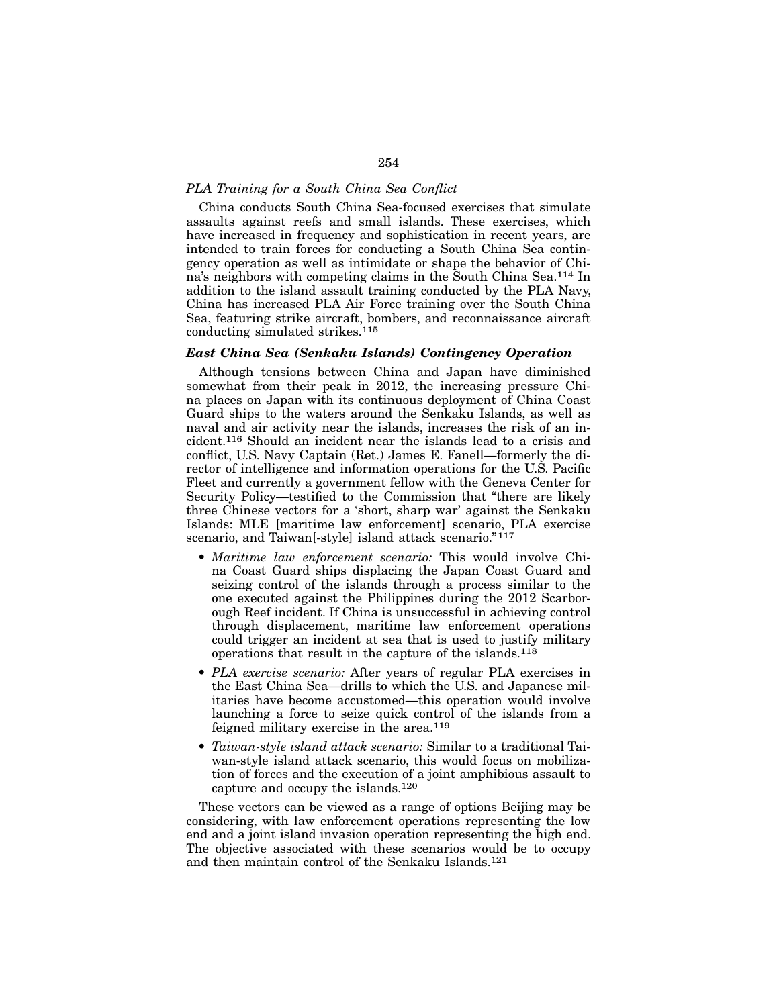# *PLA Training for a South China Sea Conflict*

China conducts South China Sea-focused exercises that simulate assaults against reefs and small islands. These exercises, which have increased in frequency and sophistication in recent years, are intended to train forces for conducting a South China Sea contingency operation as well as intimidate or shape the behavior of China's neighbors with competing claims in the South China Sea.114 In addition to the island assault training conducted by the PLA Navy, China has increased PLA Air Force training over the South China Sea, featuring strike aircraft, bombers, and reconnaissance aircraft conducting simulated strikes.115

## *East China Sea (Senkaku Islands) Contingency Operation*

Although tensions between China and Japan have diminished somewhat from their peak in 2012, the increasing pressure China places on Japan with its continuous deployment of China Coast Guard ships to the waters around the Senkaku Islands, as well as naval and air activity near the islands, increases the risk of an incident.116 Should an incident near the islands lead to a crisis and conflict, U.S. Navy Captain (Ret.) James E. Fanell—formerly the director of intelligence and information operations for the U.S. Pacific Fleet and currently a government fellow with the Geneva Center for Security Policy—testified to the Commission that "there are likely three Chinese vectors for a 'short, sharp war' against the Senkaku Islands: MLE [maritime law enforcement] scenario, PLA exercise scenario, and Taiwan<sup>[-style]</sup> island attack scenario."<sup>117</sup>

- *Maritime law enforcement scenario:* This would involve China Coast Guard ships displacing the Japan Coast Guard and seizing control of the islands through a process similar to the one executed against the Philippines during the 2012 Scarborough Reef incident. If China is unsuccessful in achieving control through displacement, maritime law enforcement operations could trigger an incident at sea that is used to justify military operations that result in the capture of the islands.118
- *PLA exercise scenario:* After years of regular PLA exercises in the East China Sea—drills to which the U.S. and Japanese militaries have become accustomed—this operation would involve launching a force to seize quick control of the islands from a feigned military exercise in the area.119
- *Taiwan-style island attack scenario:* Similar to a traditional Taiwan-style island attack scenario, this would focus on mobilization of forces and the execution of a joint amphibious assault to capture and occupy the islands.120

These vectors can be viewed as a range of options Beijing may be considering, with law enforcement operations representing the low end and a joint island invasion operation representing the high end. The objective associated with these scenarios would be to occupy and then maintain control of the Senkaku Islands.121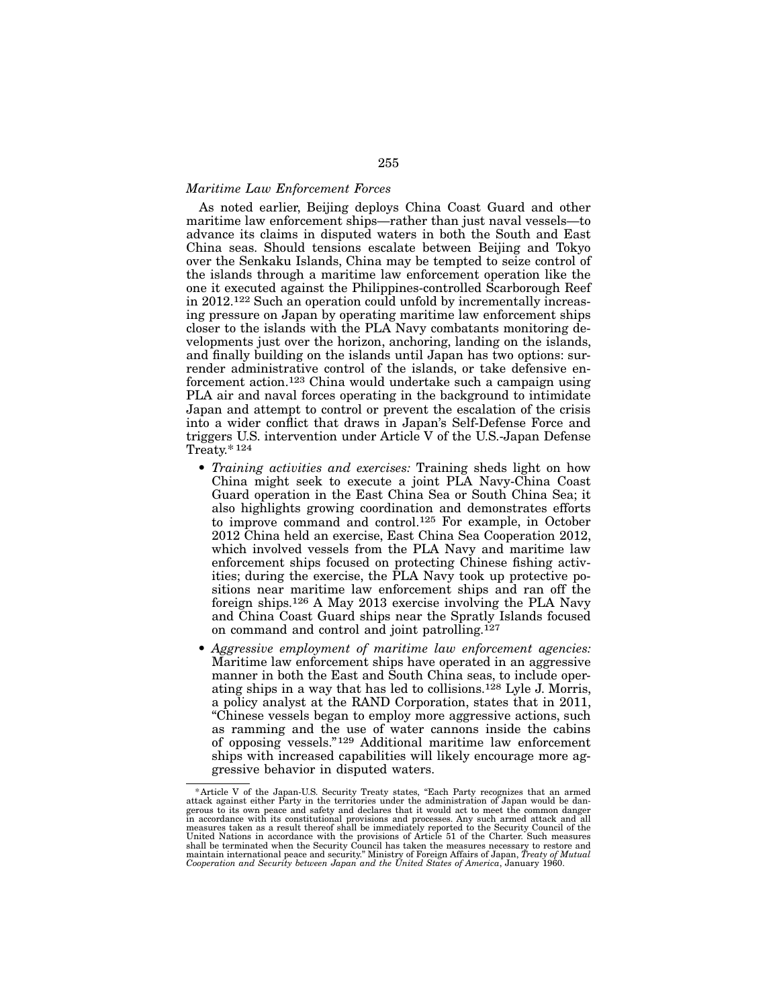# *Maritime Law Enforcement Forces*

As noted earlier, Beijing deploys China Coast Guard and other maritime law enforcement ships—rather than just naval vessels—to advance its claims in disputed waters in both the South and East China seas. Should tensions escalate between Beijing and Tokyo over the Senkaku Islands, China may be tempted to seize control of the islands through a maritime law enforcement operation like the one it executed against the Philippines-controlled Scarborough Reef in 2012.122 Such an operation could unfold by incrementally increasing pressure on Japan by operating maritime law enforcement ships closer to the islands with the PLA Navy combatants monitoring developments just over the horizon, anchoring, landing on the islands, and finally building on the islands until Japan has two options: surrender administrative control of the islands, or take defensive enforcement action.123 China would undertake such a campaign using PLA air and naval forces operating in the background to intimidate Japan and attempt to control or prevent the escalation of the crisis into a wider conflict that draws in Japan's Self-Defense Force and triggers U.S. intervention under Article V of the U.S.-Japan Defense Treaty.\* 124

- *Training activities and exercises:* Training sheds light on how China might seek to execute a joint PLA Navy-China Coast Guard operation in the East China Sea or South China Sea; it also highlights growing coordination and demonstrates efforts to improve command and control.125 For example, in October 2012 China held an exercise, East China Sea Cooperation 2012, which involved vessels from the PLA Navy and maritime law enforcement ships focused on protecting Chinese fishing activities; during the exercise, the PLA Navy took up protective positions near maritime law enforcement ships and ran off the foreign ships.126 A May 2013 exercise involving the PLA Navy and China Coast Guard ships near the Spratly Islands focused on command and control and joint patrolling.127
- *Aggressive employment of maritime law enforcement agencies:*  Maritime law enforcement ships have operated in an aggressive manner in both the East and South China seas, to include operating ships in a way that has led to collisions.128 Lyle J. Morris, a policy analyst at the RAND Corporation, states that in 2011, "Chinese vessels began to employ more aggressive actions, such as ramming and the use of water cannons inside the cabins of opposing vessels."129 Additional maritime law enforcement ships with increased capabilities will likely encourage more aggressive behavior in disputed waters.

<sup>\*</sup>Article V of the Japan-U.S. Security Treaty states, "Each Party recognizes that an armed<br>attack against either Party in the territories under the administration of Japan would be dan-<br>gerous to its own peace and safety an United Nations in accordance with the provisions of Article 51 of the Charter. Such measures shall be terminated when the Security Council has taken the measures necessary to restore and maintain international peace and security." Ministry of Foreign Affairs of Japan, *Treaty of Mutual Cooperation and Security between Japan and the United States of America*, January 1960.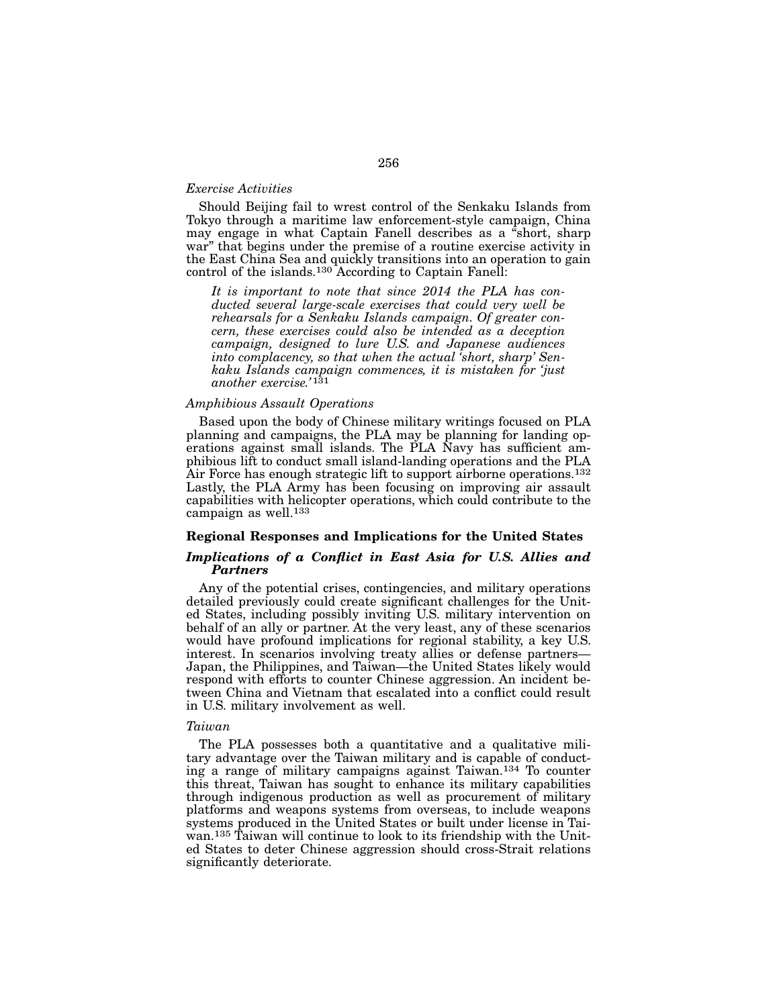## *Exercise Activities*

Should Beijing fail to wrest control of the Senkaku Islands from Tokyo through a maritime law enforcement-style campaign, China may engage in what Captain Fanell describes as a "short, sharp war" that begins under the premise of a routine exercise activity in the East China Sea and quickly transitions into an operation to gain control of the islands.130 According to Captain Fanell:

*It is important to note that since 2014 the PLA has conducted several large-scale exercises that could very well be rehearsals for a Senkaku Islands campaign. Of greater concern, these exercises could also be intended as a deception campaign, designed to lure U.S. and Japanese audiences into complacency, so that when the actual 'short, sharp' Senkaku Islands campaign commences, it is mistaken for 'just another exercise.'* 131

## *Amphibious Assault Operations*

Based upon the body of Chinese military writings focused on PLA planning and campaigns, the PLA may be planning for landing operations against small islands. The PLA Navy has sufficient amphibious lift to conduct small island-landing operations and the PLA Air Force has enough strategic lift to support airborne operations.<sup>132</sup> Lastly, the PLA Army has been focusing on improving air assault capabilities with helicopter operations, which could contribute to the campaign as well.133

### Regional Responses and Implications for the United States

# *Implications of a Conflict in East Asia for U.S. Allies and Partners*

Any of the potential crises, contingencies, and military operations detailed previously could create significant challenges for the United States, including possibly inviting U.S. military intervention on behalf of an ally or partner. At the very least, any of these scenarios would have profound implications for regional stability, a key U.S. interest. In scenarios involving treaty allies or defense partners— Japan, the Philippines, and Taiwan—the United States likely would respond with efforts to counter Chinese aggression. An incident between China and Vietnam that escalated into a conflict could result in U.S. military involvement as well.

## *Taiwan*

The PLA possesses both a quantitative and a qualitative military advantage over the Taiwan military and is capable of conducting a range of military campaigns against Taiwan.134 To counter this threat, Taiwan has sought to enhance its military capabilities through indigenous production as well as procurement of military platforms and weapons systems from overseas, to include weapons systems produced in the United States or built under license in Taiwan.135 Taiwan will continue to look to its friendship with the United States to deter Chinese aggression should cross-Strait relations significantly deteriorate.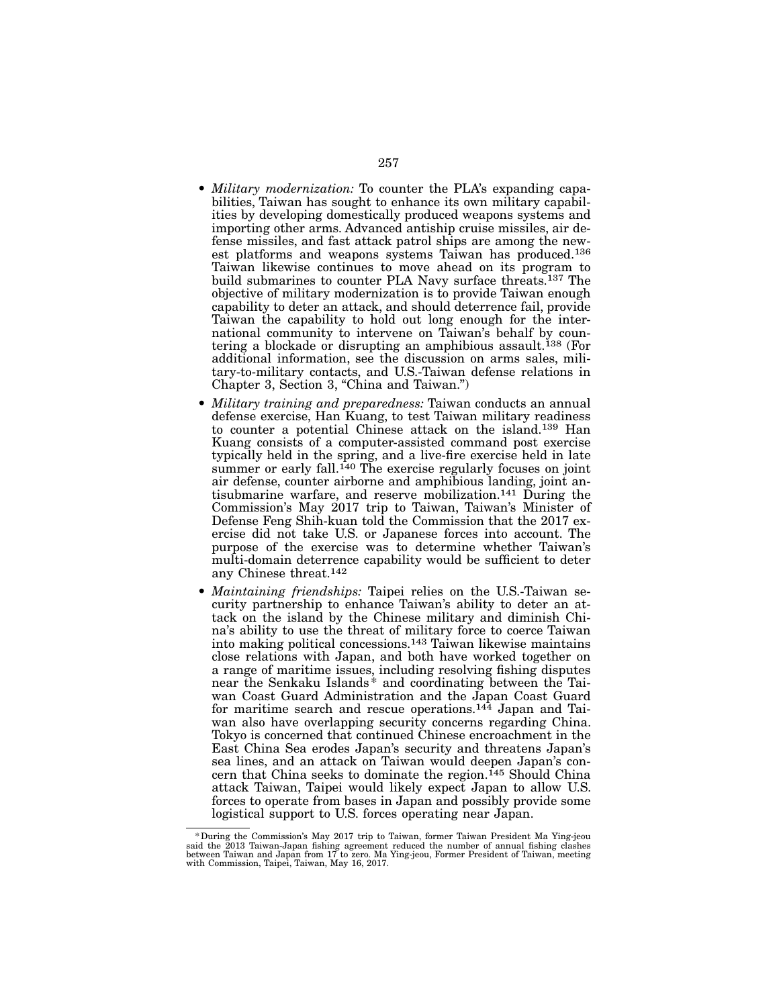- *Military modernization:* To counter the PLA's expanding capabilities, Taiwan has sought to enhance its own military capabilities by developing domestically produced weapons systems and importing other arms. Advanced antiship cruise missiles, air defense missiles, and fast attack patrol ships are among the newest platforms and weapons systems Taiwan has produced.136 Taiwan likewise continues to move ahead on its program to build submarines to counter PLA Navy surface threats.<sup>137</sup> The objective of military modernization is to provide Taiwan enough capability to deter an attack, and should deterrence fail, provide Taiwan the capability to hold out long enough for the international community to intervene on Taiwan's behalf by countering a blockade or disrupting an amphibious assault.<sup>138</sup> (For additional information, see the discussion on arms sales, military-to-military contacts, and U.S.-Taiwan defense relations in Chapter 3, Section 3, "China and Taiwan.")
- *Military training and preparedness:* Taiwan conducts an annual defense exercise, Han Kuang, to test Taiwan military readiness to counter a potential Chinese attack on the island.139 Han Kuang consists of a computer-assisted command post exercise typically held in the spring, and a live-fire exercise held in late summer or early fall.<sup>140</sup> The exercise regularly focuses on joint air defense, counter airborne and amphibious landing, joint antisubmarine warfare, and reserve mobilization.141 During the Commission's May 2017 trip to Taiwan, Taiwan's Minister of Defense Feng Shih-kuan told the Commission that the 2017 exercise did not take U.S. or Japanese forces into account. The purpose of the exercise was to determine whether Taiwan's multi-domain deterrence capability would be sufficient to deter any Chinese threat.142
- *Maintaining friendships:* Taipei relies on the U.S.-Taiwan security partnership to enhance Taiwan's ability to deter an attack on the island by the Chinese military and diminish China's ability to use the threat of military force to coerce Taiwan into making political concessions.143 Taiwan likewise maintains close relations with Japan, and both have worked together on a range of maritime issues, including resolving fishing disputes near the Senkaku Islands \* and coordinating between the Taiwan Coast Guard Administration and the Japan Coast Guard for maritime search and rescue operations.<sup>144</sup> Japan and Taiwan also have overlapping security concerns regarding China. Tokyo is concerned that continued Chinese encroachment in the East China Sea erodes Japan's security and threatens Japan's sea lines, and an attack on Taiwan would deepen Japan's concern that China seeks to dominate the region.<sup>145</sup> Should China attack Taiwan, Taipei would likely expect Japan to allow U.S. forces to operate from bases in Japan and possibly provide some logistical support to U.S. forces operating near Japan.

buring the Commission's May 2017 trip to Taiwan, former Taiwan President Ma Ying-jeou \*\*\*<br>said the 2013 Taiwan-Japan fishing agreement reduced the number of annual fishing clashes<br>between Taiwan and Japan from 17 to zero. with Commission, Taipei, Taiwan, May 16, 2017.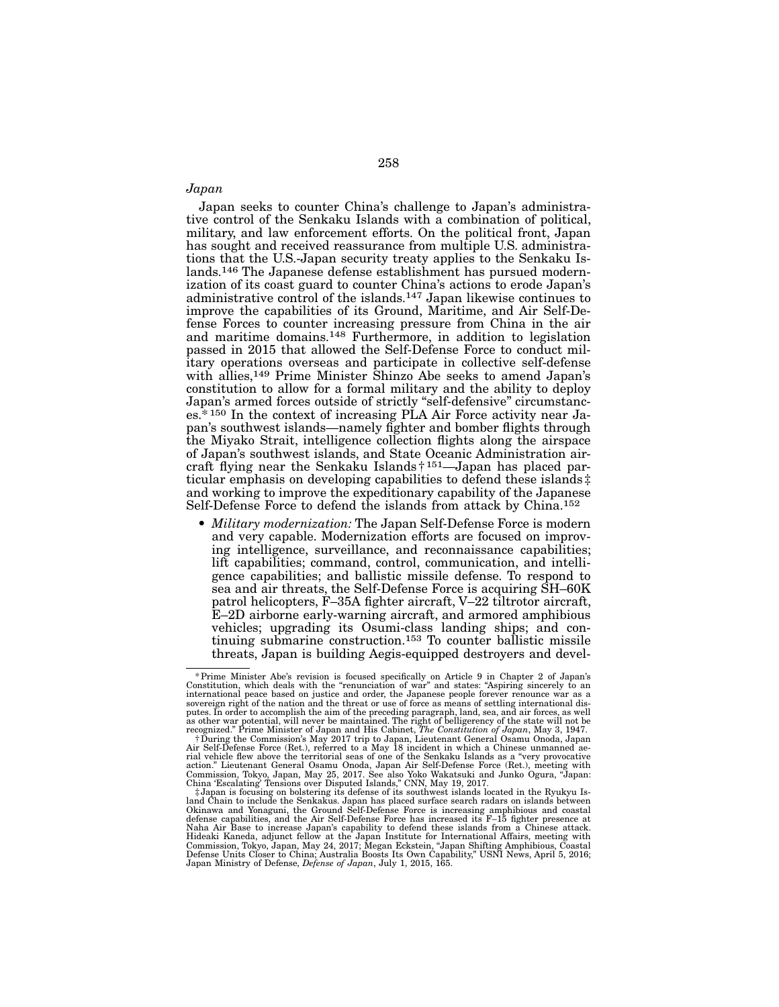## *Japan*

Japan seeks to counter China's challenge to Japan's administrative control of the Senkaku Islands with a combination of political, military, and law enforcement efforts. On the political front, Japan has sought and received reassurance from multiple U.S. administrations that the U.S.-Japan security treaty applies to the Senkaku Islands.146 The Japanese defense establishment has pursued modernization of its coast guard to counter China's actions to erode Japan's administrative control of the islands.147 Japan likewise continues to improve the capabilities of its Ground, Maritime, and Air Self-Defense Forces to counter increasing pressure from China in the air and maritime domains.148 Furthermore, in addition to legislation passed in 2015 that allowed the Self-Defense Force to conduct military operations overseas and participate in collective self-defense with allies,149 Prime Minister Shinzo Abe seeks to amend Japan's constitution to allow for a formal military and the ability to deploy Japan's armed forces outside of strictly "self-defensive" circumstances.\* 150 In the context of increasing PLA Air Force activity near Japan's southwest islands—namely fighter and bomber flights through the Miyako Strait, intelligence collection flights along the airspace of Japan's southwest islands, and State Oceanic Administration aircraft flying near the Senkaku Islands† 151—Japan has placed particular emphasis on developing capabilities to defend these islands ‡ and working to improve the expeditionary capability of the Japanese Self-Defense Force to defend the islands from attack by China.152

• *Military modernization:* The Japan Self-Defense Force is modern and very capable. Modernization efforts are focused on improving intelligence, surveillance, and reconnaissance capabilities; lift capabilities; command, control, communication, and intelligence capabilities; and ballistic missile defense. To respond to sea and air threats, the Self-Defense Force is acquiring SH–60K patrol helicopters, F–35A fighter aircraft, V–22 tiltrotor aircraft, E–2D airborne early-warning aircraft, and armored amphibious vehicles; upgrading its Osumi-class landing ships; and continuing submarine construction.153 To counter ballistic missile threats, Japan is building Aegis-equipped destroyers and devel-

<sup>&</sup>lt;sup>\*</sup> Prime Minister Abe's revision is focused specifically on Article 9 in Chapter 2 of Japan's<br>Constitution, which deals with the "renunciation of war" and states: "Aspiring sincerely to an<br>international peace based on jus sovereign right of the nation and the threat or use of force as means of settling international dis-<br>putes. In order to accomplish the aim of the preceding paragraph, land, sea, and air forces, as well<br>as other war potenti

recognized." Prime Minister of Japan and His Cabinet, *The Constitution of Japan*, May 3, 1947.<br>† During the Commission's May 2017 trip to Japan, Lieutenant General Osamu Onoda, Japan<br>Air Self-Defense Force (Ret.), referre

rial vehicle flew above the territorial seas of one of the Senkaku Islands as a "very provocative action." Lieutenant General Osamu Onoda, Japan Air Self-Defense Force (Ret.), meeting with Commission, Tokyo, Japan, May 25, Naha Air Base to increase Japan's capability to defend these islands from a Chinese attack.<br>Hideaki Kaneda, adjunct fellow at the Japan Institute for International Affairs, meeting with<br>Commission, Tokyo, Japan, May 24, 20 Japan Ministry of Defense, *Defense of Japan*, July 1, 2015, 165.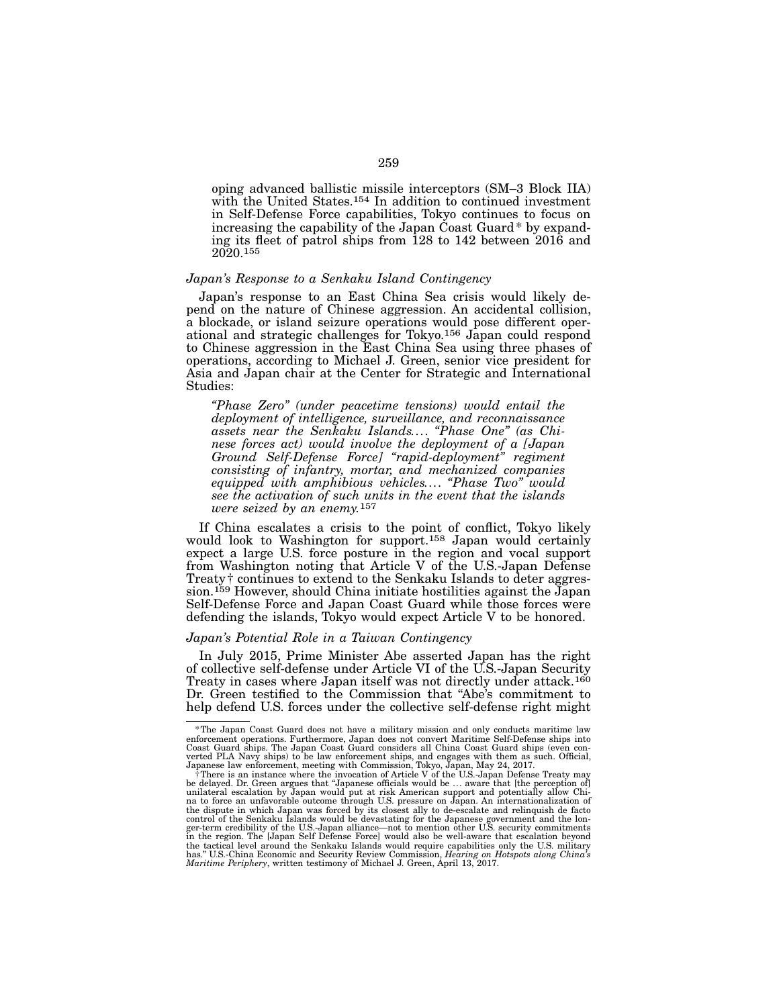oping advanced ballistic missile interceptors (SM–3 Block IIA) with the United States.<sup>154</sup> In addition to continued investment in Self-Defense Force capabilities, Tokyo continues to focus on increasing the capability of the Japan Coast Guard\* by expanding its fleet of patrol ships from 128 to 142 between 2016 and 2020.155

### *Japan's Response to a Senkaku Island Contingency*

Japan's response to an East China Sea crisis would likely depend on the nature of Chinese aggression. An accidental collision, a blockade, or island seizure operations would pose different operational and strategic challenges for Tokyo.156 Japan could respond to Chinese aggression in the East China Sea using three phases of operations, according to Michael J. Green, senior vice president for Asia and Japan chair at the Center for Strategic and International Studies:

*"Phase Zero" (under peacetime tensions) would entail the deployment of intelligence, surveillance, and reconnaissance assets near the Senkaku Islands.... "Phase One" (as Chinese forces act) would involve the deployment of a [Japan Ground Self-Defense Force] "rapid-deployment" regiment consisting of infantry, mortar, and mechanized companies equipped with amphibious vehicles.... "Phase Two" would see the activation of such units in the event that the islands were seized by an enemy.*157

If China escalates a crisis to the point of conflict, Tokyo likely would look to Washington for support.<sup>158</sup> Japan would certainly expect a large U.S. force posture in the region and vocal support from Washington noting that Article V of the U.S.-Japan Defense Treaty† continues to extend to the Senkaku Islands to deter aggression.159 However, should China initiate hostilities against the Japan Self-Defense Force and Japan Coast Guard while those forces were defending the islands, Tokyo would expect Article V to be honored.

### *Japan's Potential Role in a Taiwan Contingency*

In July 2015, Prime Minister Abe asserted Japan has the right of collective self-defense under Article VI of the U.S.-Japan Security Treaty in cases where Japan itself was not directly under attack.<sup>160</sup> Dr. Green testified to the Commission that "Abe's commitment to help defend U.S. forces under the collective self-defense right might

<sup>\*</sup>The Japan Coast Guard does not have a military mission and only conducts maritime law enforcement operations. Furthermore, Japan does not convert Maritime Self-Defense ships into

Coast Guard ships. The Japan Coast Guard considers all China Coast Guard ships (even converted PLA Navy ships) to be law enforcement indips, and engages with them as such. Official, Japanese law enforcement, meeting with the dispute in which Japan was forced by its closest ally to de-escalate and relinquish de facto<br>control of the Senkaku Islands would be devastating for the Japanese government and the lon-<br>ger-term credibility of the U.S. *Maritime Periphery*, written testimony of Michael J. Green, April 13, 2017.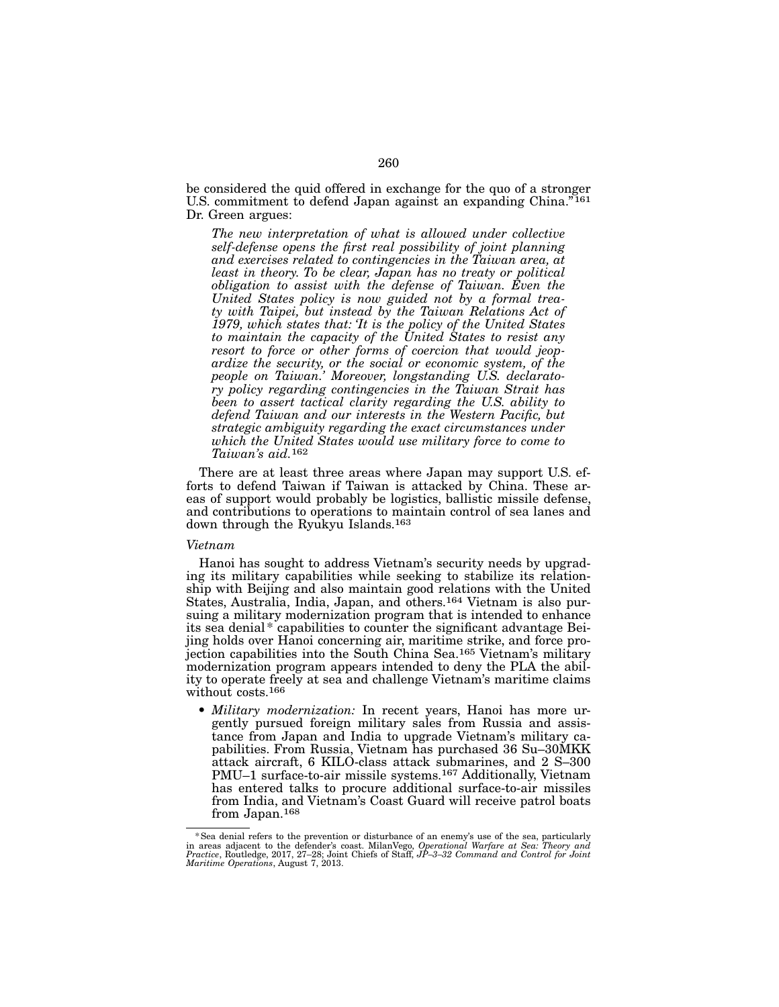be considered the quid offered in exchange for the quo of a stronger U.S. commitment to defend Japan against an expanding China."<sup>161</sup> Dr. Green argues:

*The new interpretation of what is allowed under collective self-defense opens the first real possibility of joint planning and exercises related to contingencies in the Taiwan area, at least in theory. To be clear, Japan has no treaty or political obligation to assist with the defense of Taiwan. Even the United States policy is now guided not by a formal treaty with Taipei, but instead by the Taiwan Relations Act of 1979, which states that: 'It is the policy of the United States to maintain the capacity of the United States to resist any resort to force or other forms of coercion that would jeopardize the security, or the social or economic system, of the people on Taiwan.' Moreover, longstanding U.S. declaratory policy regarding contingencies in the Taiwan Strait has been to assert tactical clarity regarding the U.S. ability to defend Taiwan and our interests in the Western Pacific, but strategic ambiguity regarding the exact circumstances under which the United States would use military force to come to Taiwan's aid.*162

There are at least three areas where Japan may support U.S. efforts to defend Taiwan if Taiwan is attacked by China. These areas of support would probably be logistics, ballistic missile defense, and contributions to operations to maintain control of sea lanes and down through the Ryukyu Islands.<sup>163</sup>

#### *Vietnam*

Hanoi has sought to address Vietnam's security needs by upgrading its military capabilities while seeking to stabilize its relationship with Beijing and also maintain good relations with the United States, Australia, India, Japan, and others.164 Vietnam is also pursuing a military modernization program that is intended to enhance its sea denial\* capabilities to counter the significant advantage Beijing holds over Hanoi concerning air, maritime strike, and force projection capabilities into the South China Sea.165 Vietnam's military modernization program appears intended to deny the PLA the ability to operate freely at sea and challenge Vietnam's maritime claims without costs.<sup>166</sup>

• *Military modernization:* In recent years, Hanoi has more urgently pursued foreign military sales from Russia and assistance from Japan and India to upgrade Vietnam's military capabilities. From Russia, Vietnam has purchased 36 Su–30MKK attack aircraft, 6 KILO-class attack submarines, and 2 S–300 PMU–1 surface-to-air missile systems.167 Additionally, Vietnam has entered talks to procure additional surface-to-air missiles from India, and Vietnam's Coast Guard will receive patrol boats from Japan.<sup>168</sup>

<sup>&</sup>lt;sup>\*</sup> Sea denial refers to the prevention or disturbance of an enemy's use of the sea, particularly  $\frac{1}{2}$ <br>in areas adjacent to the defender's coast. MilanVego, Operational Warfare at Sea: Theory and<br>Practice, Routledge, *Maritime Operations*, August 7, 2013.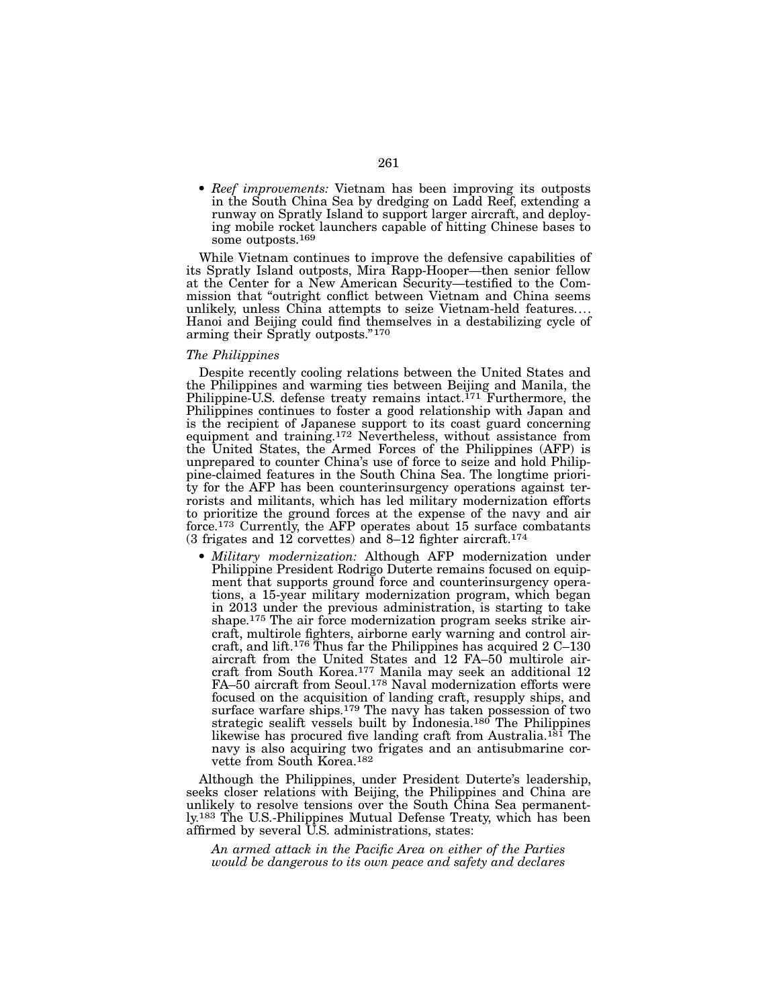• *Reef improvements:* Vietnam has been improving its outposts in the South China Sea by dredging on Ladd Reef, extending a runway on Spratly Island to support larger aircraft, and deploying mobile rocket launchers capable of hitting Chinese bases to some outposts.169

While Vietnam continues to improve the defensive capabilities of its Spratly Island outposts, Mira Rapp-Hooper—then senior fellow at the Center for a New American Security—testified to the Commission that "outright conflict between Vietnam and China seems unlikely, unless China attempts to seize Vietnam-held features.... Hanoi and Beijing could find themselves in a destabilizing cycle of arming their Spratly outposts."170

#### *The Philippines*

Despite recently cooling relations between the United States and the Philippines and warming ties between Beijing and Manila, the Philippine-U.S. defense treaty remains intact.<sup>171</sup> Furthermore, the Philippines continues to foster a good relationship with Japan and is the recipient of Japanese support to its coast guard concerning equipment and training.172 Nevertheless, without assistance from the United States, the Armed Forces of the Philippines (AFP) is unprepared to counter China's use of force to seize and hold Philippine-claimed features in the South China Sea. The longtime priority for the AFP has been counterinsurgency operations against terrorists and militants, which has led military modernization efforts to prioritize the ground forces at the expense of the navy and air force.<sup>173</sup> Currently, the AFP operates about 15 surface combatants (3 frigates and 12 corvettes) and 8–12 fighter aircraft.174

• *Military modernization:* Although AFP modernization under Philippine President Rodrigo Duterte remains focused on equipment that supports ground force and counterinsurgency operations, a 15-year military modernization program, which began in 2013 under the previous administration, is starting to take shape.175 The air force modernization program seeks strike aircraft, multirole fighters, airborne early warning and control aircraft, and lift.<sup>176</sup> Thus far the Philippines has acquired  $2 \text{ C}$ –130 aircraft from the United States and 12 FA–50 multirole aircraft from South Korea.177 Manila may seek an additional 12 FA–50 aircraft from Seoul.178 Naval modernization efforts were focused on the acquisition of landing craft, resupply ships, and surface warfare ships.<sup>179</sup> The navy has taken possession of two strategic sealift vessels built by Indonesia.180 The Philippines likewise has procured five landing craft from Australia.<sup>181</sup> The navy is also acquiring two frigates and an antisubmarine corvette from South Korea.182

Although the Philippines, under President Duterte's leadership, seeks closer relations with Beijing, the Philippines and China are unlikely to resolve tensions over the South China Sea permanently.183 The U.S.-Philippines Mutual Defense Treaty, which has been affirmed by several U.S. administrations, states:

*An armed attack in the Pacific Area on either of the Parties would be dangerous to its own peace and safety and declares*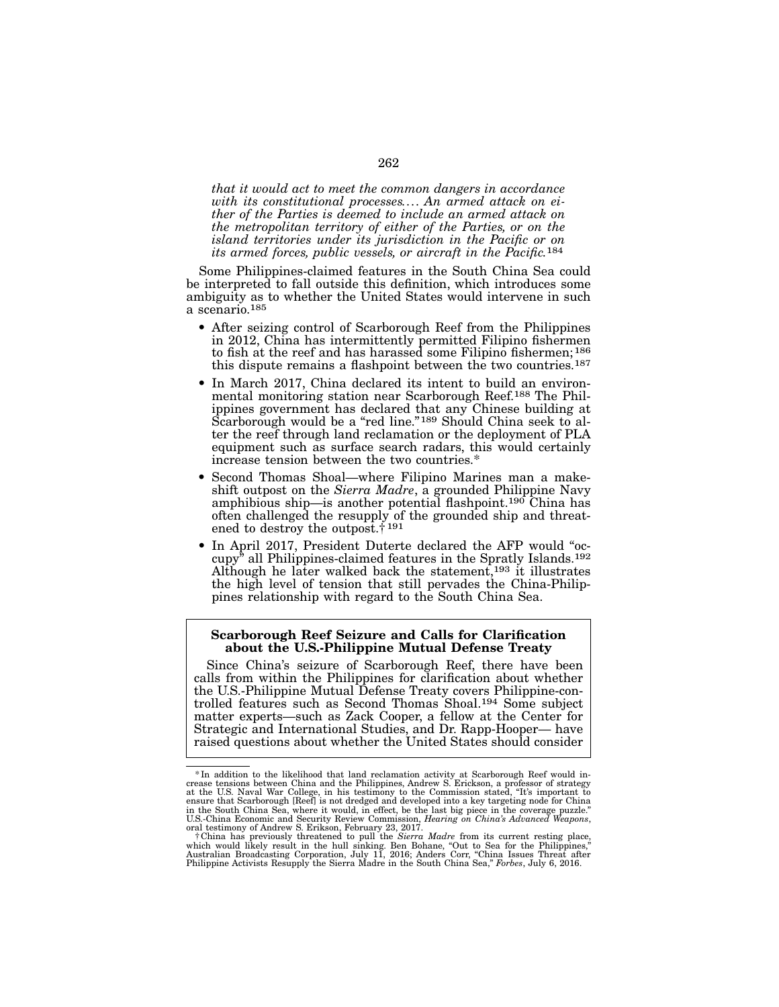*that it would act to meet the common dangers in accordance with its constitutional processes.... An armed attack on ei- ther of the Parties is deemed to include an armed attack on the metropolitan territory of either of the Parties, or on the island territories under its jurisdiction in the Pacific or on its armed forces, public vessels, or aircraft in the Pacific.*184

Some Philippines-claimed features in the South China Sea could be interpreted to fall outside this definition, which introduces some ambiguity as to whether the United States would intervene in such a scenario.185

- After seizing control of Scarborough Reef from the Philippines in 2012, China has intermittently permitted Filipino fishermen to fish at the reef and has harassed some Filipino fishermen;186 this dispute remains a flashpoint between the two countries.187
- In March 2017, China declared its intent to build an environ-<br>mental monitoring station near Scarborough Reef.<sup>188</sup> The Phil-<br>ippines government has declared that any Chinese building at Scarborough would be a "red line."<sup>189</sup> Should China seek to al-<br>ter the reef through land reclamation or the deployment of PLA equipment such as surface search radars, this would certainly increase tension between the two countries.\*
- Second Thomas Shoal—where Filipino Marines man a makeshift outpost on the *Sierra Madre*, a grounded Philippine Navy amphibious ship—is another potential flashpoint.190 China has often challenged the resupply of the grounded ship and threatened to destroy the outpost.† 191
- In April 2017, President Duterte declared the AFP would "occupy" all Philippines-claimed features in the Spratly Islands.192 Although he later walked back the statement,<sup>193</sup> it illustrates the high level of tension that still pervades the China-Philippines relationship with regard to the South China Sea.

## Scarborough Reef Seizure and Calls for Clarification about the U.S.-Philippine Mutual Defense Treaty

Since China's seizure of Scarborough Reef, there have been calls from within the Philippines for clarification about whether the U.S.-Philippine Mutual Defense Treaty covers Philippine-controlled features such as Second Thomas Shoal.194 Some subject matter experts—such as Zack Cooper, a fellow at the Center for Strategic and International Studies, and Dr. Rapp-Hooper— have raised questions about whether the United States should consider

<sup>\*</sup>In addition to the likelihood that land reclamation activity at Scarborough Reef would in-<br>crease tensions between China and the Philippines, Andrew S. Erickson, a professor of strategy<br>at the U.S. Naval War College, in

Philippine Activists Resupply the Sierra Madre in the South China Sea," *Forbes*, July 6, 2016.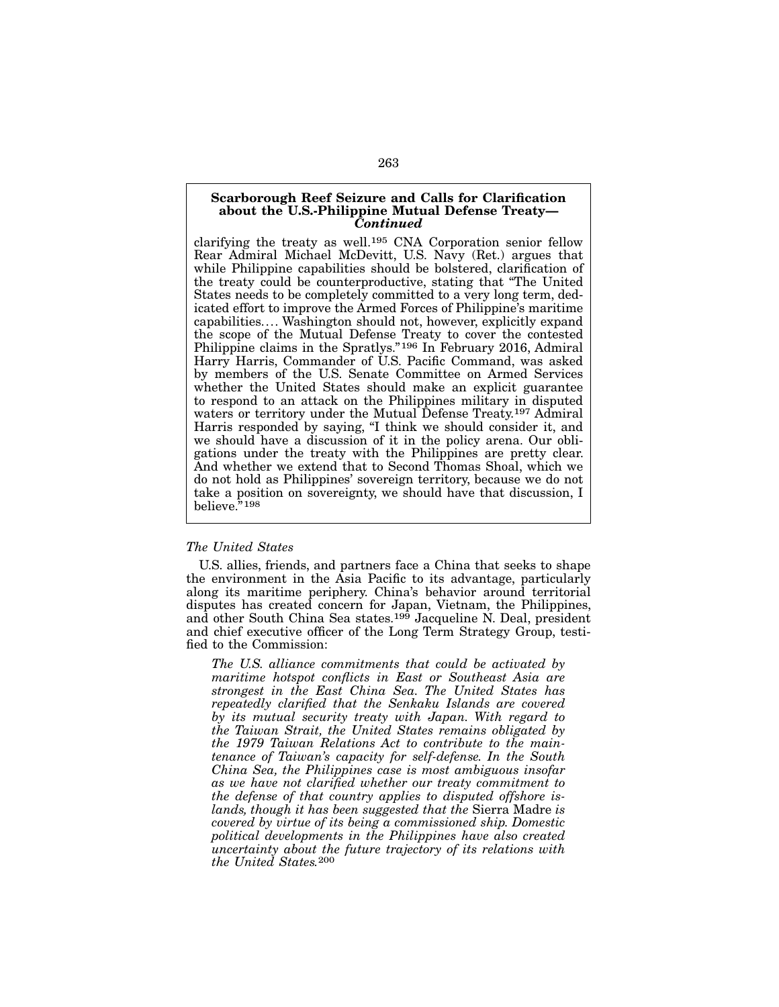## Scarborough Reef Seizure and Calls for Clarification about the U.S.-Philippine Mutual Defense Treaty— *Continued*

clarifying the treaty as well.195 CNA Corporation senior fellow Rear Admiral Michael McDevitt, U.S. Navy (Ret.) argues that while Philippine capabilities should be bolstered, clarification of the treaty could be counterproductive, stating that "The United States needs to be completely committed to a very long term, dedicated effort to improve the Armed Forces of Philippine's maritime capabilities.... Washington should not, however, explicitly expand the scope of the Mutual Defense Treaty to cover the contested Philippine claims in the Spratlys."<sup>196</sup> In February 2016, Admiral Harry Harris, Commander of U.S. Pacific Command, was asked by members of the U.S. Senate Committee on Armed Services whether the United States should make an explicit guarantee to respond to an attack on the Philippines military in disputed waters or territory under the Mutual Defense Treaty.<sup>197</sup> Admiral Harris responded by saying, "I think we should consider it, and we should have a discussion of it in the policy arena. Our obligations under the treaty with the Philippines are pretty clear. And whether we extend that to Second Thomas Shoal, which we do not hold as Philippines' sovereign territory, because we do not take a position on sovereignty, we should have that discussion, I believe."198

### *The United States*

U.S. allies, friends, and partners face a China that seeks to shape the environment in the Asia Pacific to its advantage, particularly along its maritime periphery. China's behavior around territorial disputes has created concern for Japan, Vietnam, the Philippines, and other South China Sea states.<sup>199</sup> Jacqueline N. Deal, president and chief executive officer of the Long Term Strategy Group, testified to the Commission:

*The U.S. alliance commitments that could be activated by maritime hotspot conflicts in East or Southeast Asia are strongest in the East China Sea. The United States has repeatedly clarified that the Senkaku Islands are covered by its mutual security treaty with Japan. With regard to the Taiwan Strait, the United States remains obligated by the 1979 Taiwan Relations Act to contribute to the maintenance of Taiwan's capacity for self-defense. In the South China Sea, the Philippines case is most ambiguous insofar as we have not clarified whether our treaty commitment to the defense of that country applies to disputed offshore islands, though it has been suggested that the* Sierra Madre *is covered by virtue of its being a commissioned ship. Domestic political developments in the Philippines have also created uncertainty about the future trajectory of its relations with the United States.*200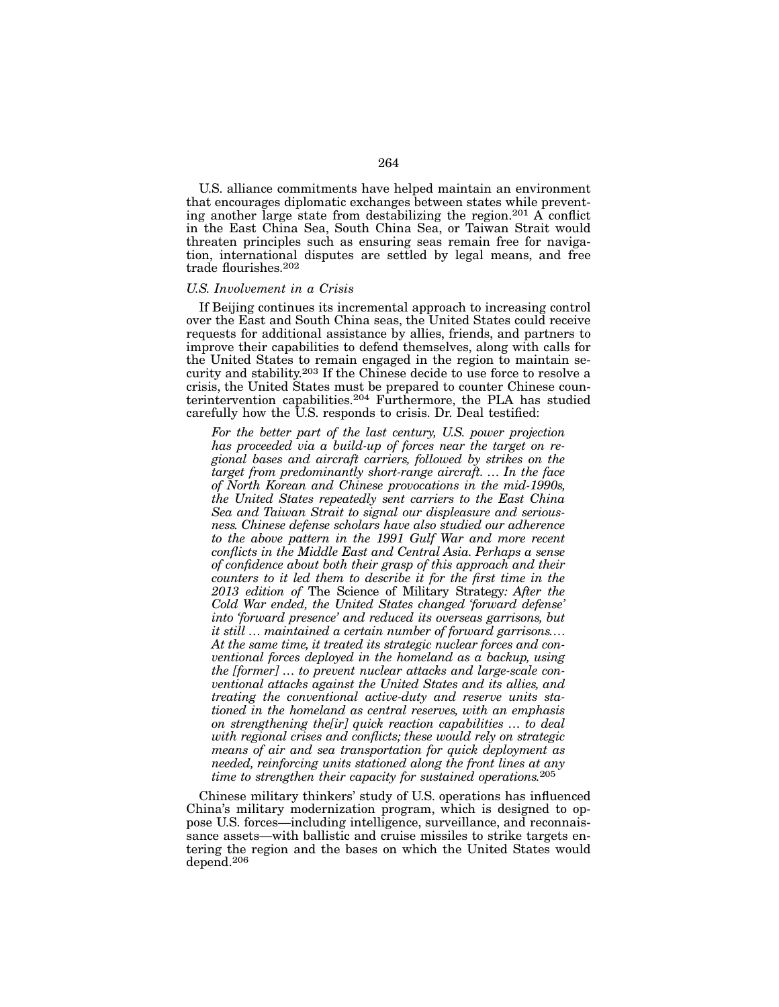U.S. alliance commitments have helped maintain an environment that encourages diplomatic exchanges between states while preventing another large state from destabilizing the region.<sup>201</sup> A conflict in the East China Sea, South China Sea, or Taiwan Strait would threaten principles such as ensuring seas remain free for navigation, international disputes are settled by legal means, and free trade flourishes.202

### *U.S. Involvement in a Crisis*

If Beijing continues its incremental approach to increasing control over the East and South China seas, the United States could receive requests for additional assistance by allies, friends, and partners to improve their capabilities to defend themselves, along with calls for the United States to remain engaged in the region to maintain security and stability.203 If the Chinese decide to use force to resolve a crisis, the United States must be prepared to counter Chinese counterintervention capabilities.204 Furthermore, the PLA has studied carefully how the U.S. responds to crisis. Dr. Deal testified:

*For the better part of the last century, U.S. power projection has proceeded via a build-up of forces near the target on regional bases and aircraft carriers, followed by strikes on the target from predominantly short-range aircraft. ... In the face of North Korean and Chinese provocations in the mid-1990s, the United States repeatedly sent carriers to the East China Sea and Taiwan Strait to signal our displeasure and seriousness. Chinese defense scholars have also studied our adherence to the above pattern in the 1991 Gulf War and more recent conflicts in the Middle East and Central Asia. Perhaps a sense of confidence about both their grasp of this approach and their counters to it led them to describe it for the first time in the 2013 edition of* The Science of Military Strategy*: After the Cold War ended, the United States changed 'forward defense' into 'forward presence' and reduced its overseas garrisons, but it still ... maintained a certain number of forward garrisons.... At the same time, it treated its strategic nuclear forces and conventional forces deployed in the homeland as a backup, using the [former] ... to prevent nuclear attacks and large-scale conventional attacks against the United States and its allies, and treating the conventional active-duty and reserve units stationed in the homeland as central reserves, with an emphasis on strengthening the[ir] quick reaction capabilities ... to deal with regional crises and conflicts; these would rely on strategic means of air and sea transportation for quick deployment as needed, reinforcing units stationed along the front lines at any time to strengthen their capacity for sustained operations.*205

Chinese military thinkers' study of U.S. operations has influenced China's military modernization program, which is designed to oppose U.S. forces—including intelligence, surveillance, and reconnaissance assets—with ballistic and cruise missiles to strike targets entering the region and the bases on which the United States would depend.206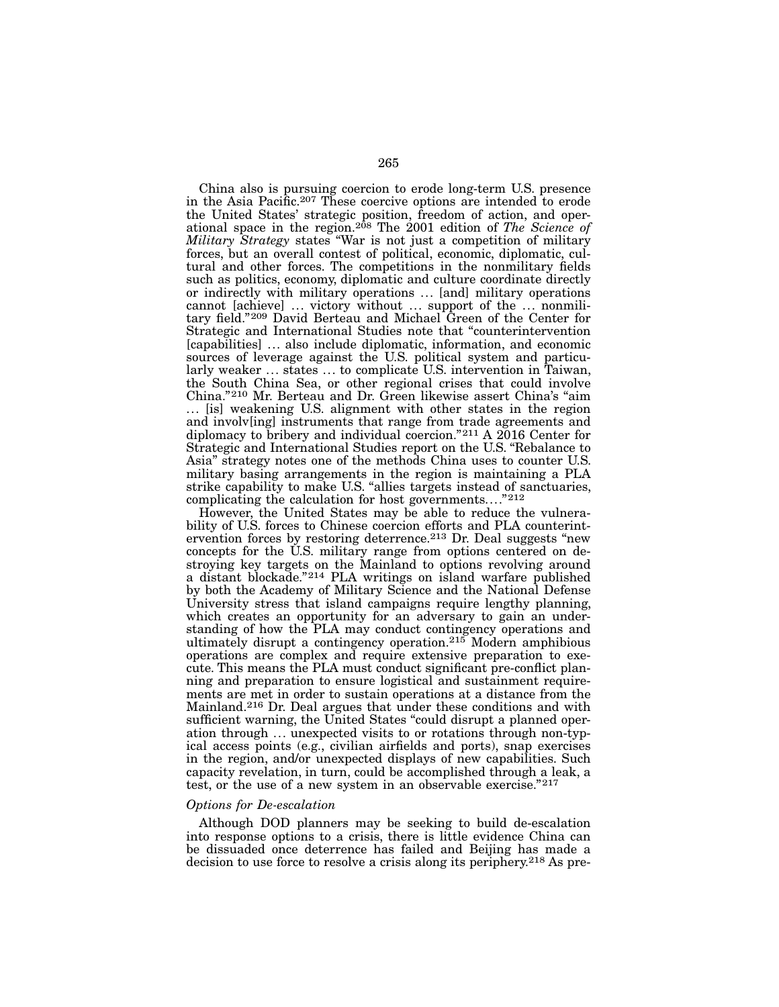China also is pursuing coercion to erode long-term U.S. presence in the Asia Pacific.207 These coercive options are intended to erode the United States' strategic position, freedom of action, and operational space in the region.208 The 2001 edition of *The Science of Military Strategy* states "War is not just a competition of military forces, but an overall contest of political, economic, diplomatic, cultural and other forces. The competitions in the nonmilitary fields such as politics, economy, diplomatic and culture coordinate directly or indirectly with military operations ... [and] military operations cannot [achieve] ... victory without ... support of the ... nonmilitary field."209 David Berteau and Michael Green of the Center for Strategic and International Studies note that "counterintervention [capabilities] ... also include diplomatic, information, and economic sources of leverage against the U.S. political system and particularly weaker ... states ... to complicate U.S. intervention in Taiwan, the South China Sea, or other regional crises that could involve China."210 Mr. Berteau and Dr. Green likewise assert China's "aim ... [is] weakening U.S. alignment with other states in the region and involv[ing] instruments that range from trade agreements and diplomacy to bribery and individual coercion."211 A 2016 Center for Strategic and International Studies report on the U.S. "Rebalance to Asia" strategy notes one of the methods China uses to counter U.S. military basing arrangements in the region is maintaining a PLA strike capability to make U.S. "allies targets instead of sanctuaries, complicating the calculation for host governments...."212

However, the United States may be able to reduce the vulnerability of U.S. forces to Chinese coercion efforts and PLA counterintervention forces by restoring deterrence.<sup>213</sup> Dr. Deal suggests "new concepts for the U.S. military range from options centered on destroying key targets on the Mainland to options revolving around a distant blockade."214 PLA writings on island warfare published by both the Academy of Military Science and the National Defense University stress that island campaigns require lengthy planning, which creates an opportunity for an adversary to gain an understanding of how the PLA may conduct contingency operations and ultimately disrupt a contingency operation.215 Modern amphibious operations are complex and require extensive preparation to execute. This means the PLA must conduct significant pre-conflict planning and preparation to ensure logistical and sustainment requirements are met in order to sustain operations at a distance from the Mainland.216 Dr. Deal argues that under these conditions and with sufficient warning, the United States "could disrupt a planned operation through ... unexpected visits to or rotations through non-typical access points (e.g., civilian airfields and ports), snap exercises in the region, and/or unexpected displays of new capabilities. Such capacity revelation, in turn, could be accomplished through a leak, a test, or the use of a new system in an observable exercise."217

#### *Options for De-escalation*

Although DOD planners may be seeking to build de-escalation into response options to a crisis, there is little evidence China can be dissuaded once deterrence has failed and Beijing has made a decision to use force to resolve a crisis along its periphery.218 As pre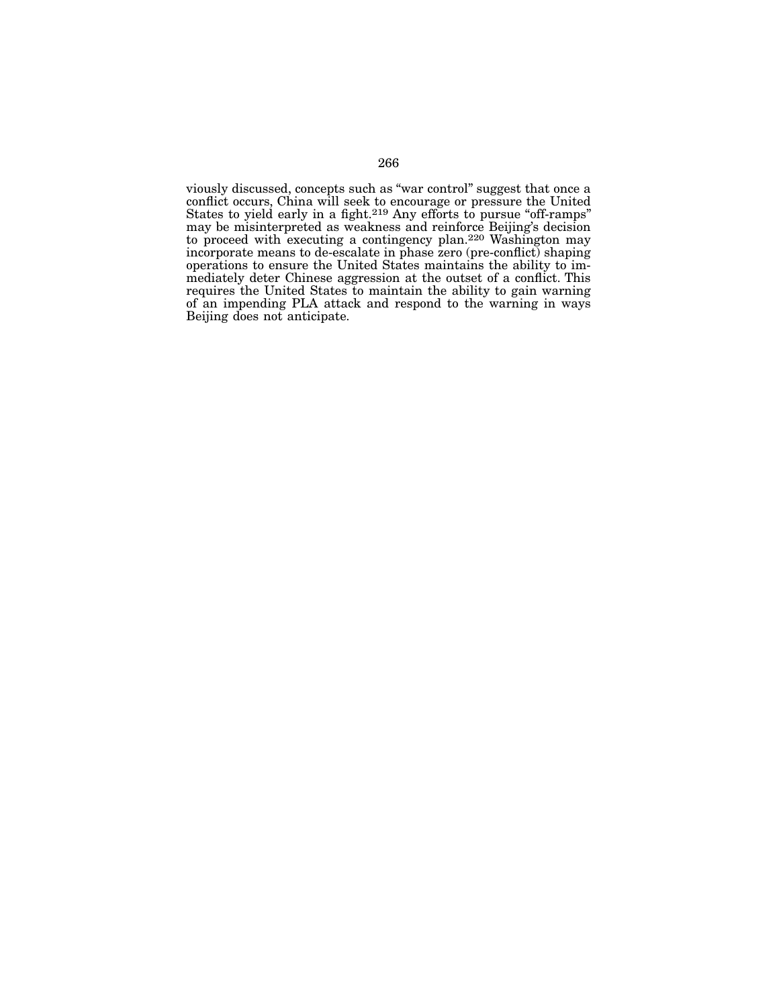viously discussed, concepts such as "war control" suggest that once a conflict occurs, China will seek to encourage or pressure the United States to yield early in a fight.<sup>219</sup> Any efforts to pursue "off-ramps" may be misinterpreted as weakness and reinforce Beijing's decision to proceed with executing a contingency plan.220 Washington may incorporate means to de-escalate in phase zero (pre-conflict) shaping operations to ensure the United States maintains the ability to im- mediately deter Chinese aggression at the outset of a conflict. This requires the United States to maintain the ability to gain warning of an impending PLA attack and respond to the warning in ways Beijing does not anticipate.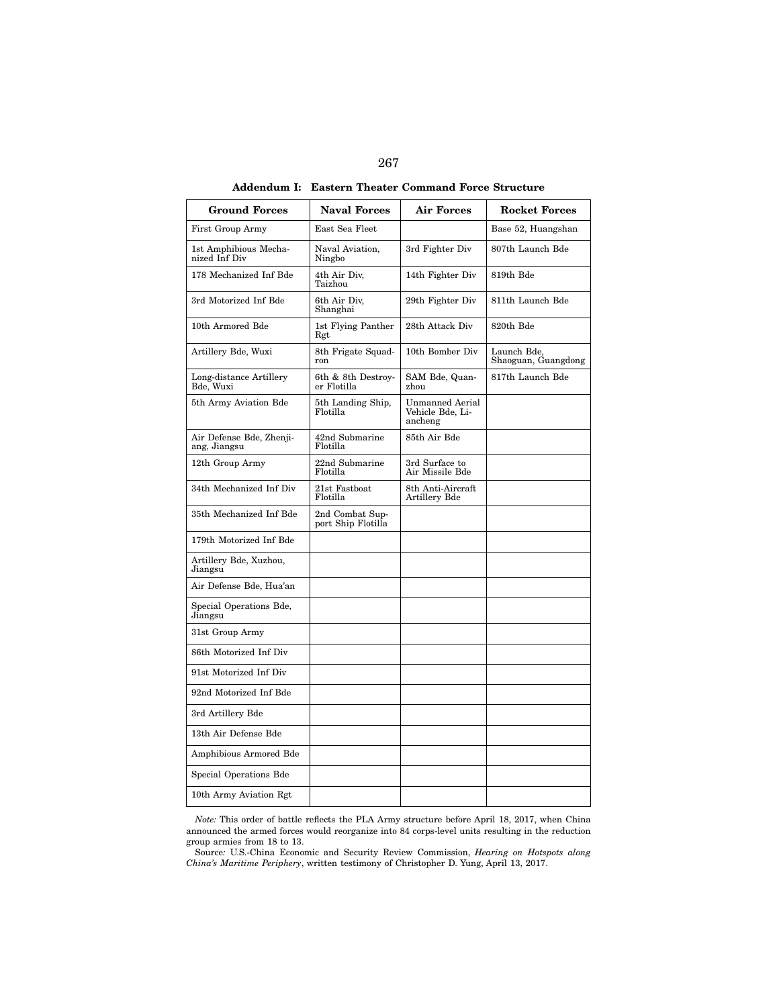| <b>Ground Forces</b>                     | <b>Naval Forces</b>                   | <b>Air Forces</b>                                     | <b>Rocket Forces</b>               |
|------------------------------------------|---------------------------------------|-------------------------------------------------------|------------------------------------|
| First Group Army                         | East Sea Fleet                        |                                                       | Base 52, Huangshan                 |
| 1st Amphibious Mecha-<br>nized Inf Div   | Naval Aviation,<br>Ningbo             | 3rd Fighter Div                                       | 807th Launch Bde                   |
| 178 Mechanized Inf Bde                   | 4th Air Div,<br>Taizhou               | 14th Fighter Div                                      | 819th Bde                          |
| 3rd Motorized Inf Bde                    | 6th Air Div.<br>Shanghai              | 29th Fighter Div                                      | 811th Launch Bde                   |
| 10th Armored Bde                         | 1st Flying Panther<br>Rgt             | 28th Attack Div                                       | 820th Bde                          |
| Artillery Bde, Wuxi                      | 8th Frigate Squad-<br>ron             | 10th Bomber Div                                       | Launch Bde.<br>Shaoguan, Guangdong |
| Long-distance Artillery<br>Bde, Wuxi     | 6th & 8th Destroy-<br>er Flotilla     | SAM Bde, Quan-<br>zhou                                | 817th Launch Bde                   |
| 5th Army Aviation Bde                    | 5th Landing Ship,<br>Flotilla         | <b>Unmanned Aerial</b><br>Vehicle Bde, Li-<br>ancheng |                                    |
| Air Defense Bde, Zhenji-<br>ang, Jiangsu | 42nd Submarine<br>Flotilla            | 85th Air Bde                                          |                                    |
| 12th Group Army                          | 22nd Submarine<br>Flotilla            | 3rd Surface to<br>Air Missile Bde                     |                                    |
| 34th Mechanized Inf Div                  | 21st Fastboat<br>Flotilla             | 8th Anti-Aircraft<br>Artillery Bde                    |                                    |
| 35th Mechanized Inf Bde                  | 2nd Combat Sup-<br>port Ship Flotilla |                                                       |                                    |
| 179th Motorized Inf Bde                  |                                       |                                                       |                                    |
| Artillery Bde, Xuzhou,<br>Jiangsu        |                                       |                                                       |                                    |
| Air Defense Bde, Hua'an                  |                                       |                                                       |                                    |
| Special Operations Bde,<br>Jiangsu       |                                       |                                                       |                                    |
| 31st Group Army                          |                                       |                                                       |                                    |
| 86th Motorized Inf Div                   |                                       |                                                       |                                    |
| 91st Motorized Inf Div                   |                                       |                                                       |                                    |
| 92nd Motorized Inf Bde                   |                                       |                                                       |                                    |
| 3rd Artillery Bde                        |                                       |                                                       |                                    |
| 13th Air Defense Bde                     |                                       |                                                       |                                    |
| Amphibious Armored Bde                   |                                       |                                                       |                                    |
| Special Operations Bde                   |                                       |                                                       |                                    |
| 10th Army Aviation Rgt                   |                                       |                                                       |                                    |

Addendum I: Eastern Theater Command Force Structure

*Note:* This order of battle reflects the PLA Army structure before April 18, 2017, when China announced the armed forces would reorganize into 84 corps-level units resulting in the reduction group armies from 18 to 13.

Source*:* U.S.-China Economic and Security Review Commission, *Hearing on Hotspots along China's Maritime Periphery*, written testimony of Christopher D. Yung, April 13, 2017.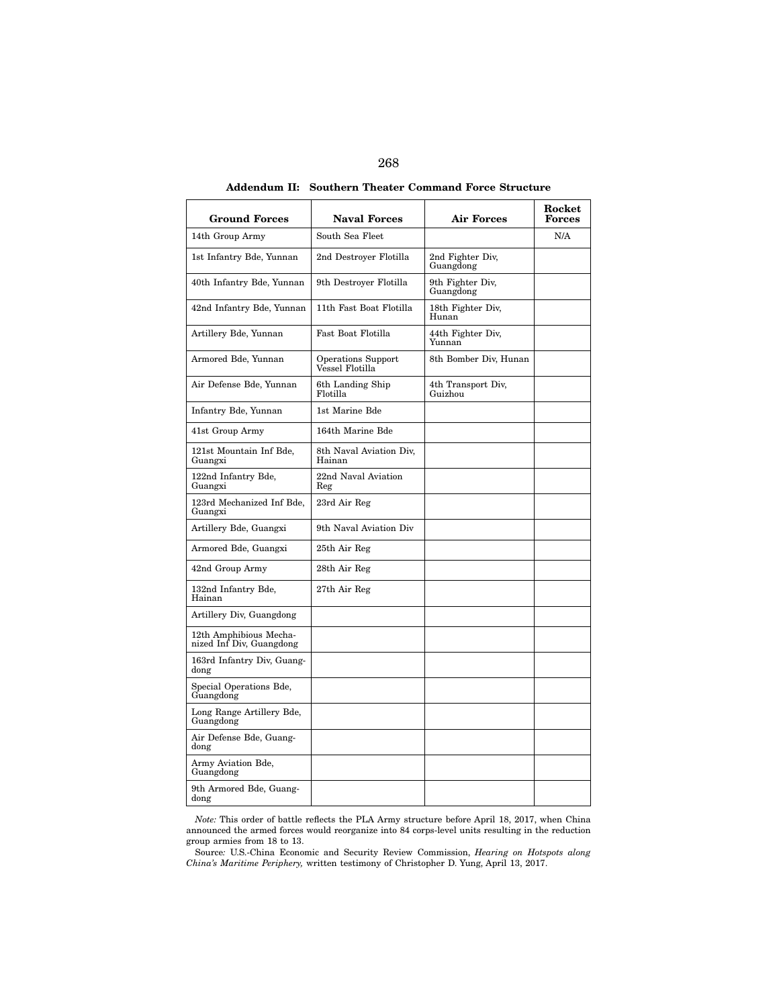| <b>Ground Forces</b>                               | <b>Naval Forces</b>                          | <b>Air Forces</b>             | Rocket<br><b>Forces</b> |
|----------------------------------------------------|----------------------------------------------|-------------------------------|-------------------------|
| 14th Group Army                                    | South Sea Fleet                              |                               | N/A                     |
| 1st Infantry Bde, Yunnan                           | 2nd Destroyer Flotilla                       | 2nd Fighter Div,<br>Guangdong |                         |
| 40th Infantry Bde, Yunnan                          | 9th Destroyer Flotilla                       | 9th Fighter Div.<br>Guangdong |                         |
| 42nd Infantry Bde, Yunnan                          | 11th Fast Boat Flotilla                      | 18th Fighter Div,<br>Hunan    |                         |
| Artillery Bde, Yunnan                              | Fast Boat Flotilla                           | 44th Fighter Div,<br>Yunnan   |                         |
| Armored Bde, Yunnan                                | <b>Operations Support</b><br>Vessel Flotilla | 8th Bomber Div, Hunan         |                         |
| Air Defense Bde, Yunnan                            | 6th Landing Ship<br>Flotilla                 | 4th Transport Div,<br>Guizhou |                         |
| Infantry Bde, Yunnan                               | 1st Marine Bde                               |                               |                         |
| 41st Group Army                                    | 164th Marine Bde                             |                               |                         |
| 121st Mountain Inf Bde,<br>Guangxi                 | 8th Naval Aviation Div,<br>Hainan            |                               |                         |
| 122nd Infantry Bde,<br>Guangxi                     | 22nd Naval Aviation<br>Reg                   |                               |                         |
| 123rd Mechanized Inf Bde,<br>Guangxi               | 23rd Air Reg                                 |                               |                         |
| Artillery Bde, Guangxi                             | 9th Naval Aviation Div                       |                               |                         |
| Armored Bde, Guangxi                               | 25th Air Reg                                 |                               |                         |
| 42nd Group Army                                    | 28th Air Reg                                 |                               |                         |
| 132nd Infantry Bde,<br>Hainan                      | 27th Air Reg                                 |                               |                         |
| Artillery Div, Guangdong                           |                                              |                               |                         |
| 12th Amphibious Mecha-<br>nized Inf Div, Guangdong |                                              |                               |                         |
| 163rd Infantry Div, Guang-<br>dong                 |                                              |                               |                         |
| Special Operations Bde,<br>Guangdong               |                                              |                               |                         |
| Long Range Artillery Bde,<br>Guangdong             |                                              |                               |                         |
| Air Defense Bde, Guang-<br>dong                    |                                              |                               |                         |
| Army Aviation Bde,<br>Guangdong                    |                                              |                               |                         |
| 9th Armored Bde, Guang-<br>dong                    |                                              |                               |                         |

Addendum II: Southern Theater Command Force Structure

*Note:* This order of battle reflects the PLA Army structure before April 18, 2017, when China announced the armed forces would reorganize into 84 corps-level units resulting in the reduction group armies from 18 to 13.

Source*:* U.S.-China Economic and Security Review Commission, *Hearing on Hotspots along China's Maritime Periphery,* written testimony of Christopher D. Yung, April 13, 2017.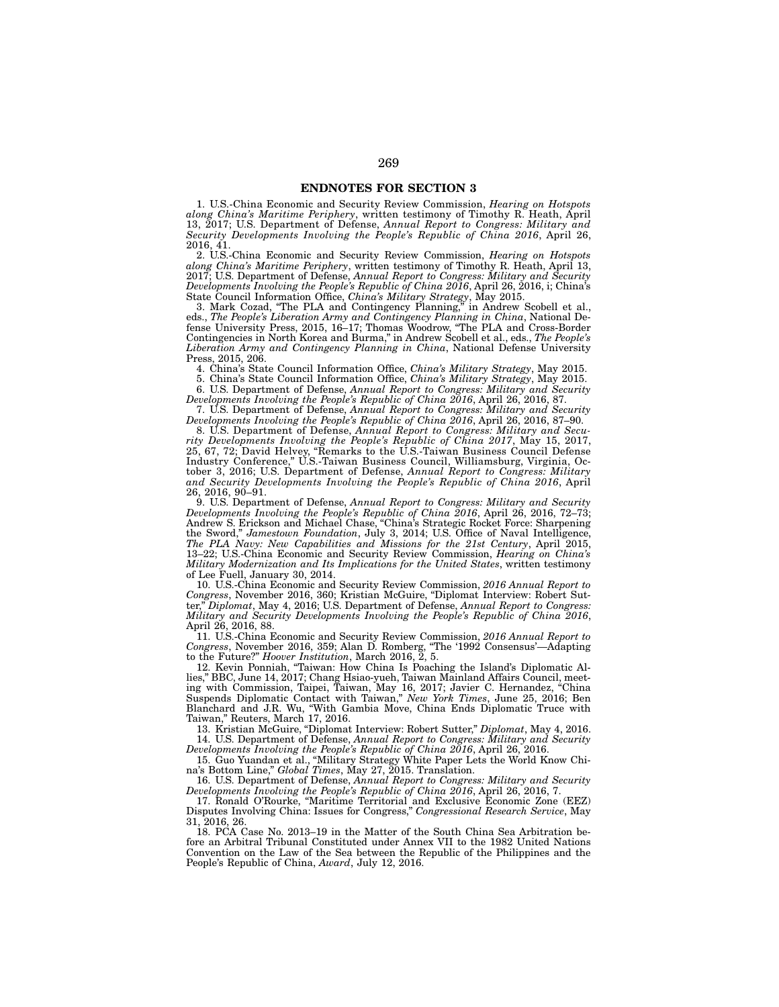## ENDNOTES FOR SECTION 3

1. U.S.-China Economic and Security Review Commission, *Hearing on Hotspots along China's Maritime Periphery*, written testimony of Timothy R. Heath, April 13, 2017; U.S. Department of Defense, *Annual Report to Congress: Military and Security Developments Involving the People's Republic of China 2016*, April 26, 2016, 41.

2. U.S.-China Economic and Security Review Commission, *Hearing on Hotspots along China's Maritime Periphery*, written testimony of Timothy R. Heath, April 13, 2017; U.S. Department of Defense, *Annual Report to Congress: Military and Security Developments Involving the People's Republic of China 2016*, April 26, 2016, i; China's State Council Information Office, *China's Military Strategy*, May 2015.<br>3. Mark Cozad, "The PLA and Contingency Planning," in Andrew Scobell et al.,

3. Mark Cozad, "The PLA and Contingency Planning," in Andrew Scobell et al., eds., *The People's Liberation Army and Contingency Planning in China*, National Defense University Press, 2015, 16–17; Thomas Woodrow, "The PLA and Cross-Border Contingencies in North Korea and Burma," in Andrew Scobell et al., eds., *The People's Liberation Army and Contingency Planning in China*, National Defense University Press, 2015, 206.

4. China's State Council Information Office, *China's Military Strategy*, May 2015.

5. China's State Council Information Office, *China's Military Strategy*, May 2015.

6. U.S. Department of Defense, *Annual Report to Congress: Military and Security Developments Involving the People's Republic of China 2016*, April 26, 2016, 87.

7. U.S. Department of Defense, *Annual Report to Congress: Military and Security Developments Involving the People's Republic of China 2016*, April 26, 2016, 87–90.

8. U.S. Department of Defense, *Annual Report to Congress: Military and Security Developments Involving the People's Republic of China 2017*, May 15, 2017, 25, 67, 72; David Helvey, "Remarks to the U.S.-Taiwan Business Council Defense Industry Conference," U.S.-Taiwan Business Council, Williamsburg, Virginia, October 3, 2016; U.S. Department of Defense, *Annual Report to Congress: Military and Security Developments Involving the People's Republic of China 2016*, April 26, 2016, 90–91.

9. U.S. Department of Defense, *Annual Report to Congress: Military and Security Developments Involving the People's Republic of China 2016*, April 26, 2016, 72–73; Andrew S. Erickson and Michael Chase, "China's Strategic Rocket Force: Sharpening the Sword," *Jamestown Foundation*, July 3, 2014; U.S. Office of Naval Intelligence, *The PLA Navy: New Capabilities and Missions for the 21st Century*, April 2015, 13–22; U.S.-China Economic and Security Review Commission, *Hearing on China's Military Modernization and Its Implications for the United States*, written testimony of Lee Fuell, January 30, 2014.

10. U.S.-China Economic and Security Review Commission, *2016 Annual Report to Congress*, November 2016, 360; Kristian McGuire, "Diplomat Interview: Robert Sutter," *Diplomat*, May 4, 2016; U.S. Department of Defense, *Annual Report to Congress: Military and Security Developments Involving the People's Republic of China 2016*, April 26, 2016, 88.

11. U.S.-China Economic and Security Review Commission, *2016 Annual Report to Congress*, November 2016, 359; Alan D. Romberg, "The '1992 Consensus'—Adapting to the Future?" *Hoover Institution*, March 2016, 2, 5.

12. Kevin Ponniah, "Taiwan: How China Is Poaching the Island's Diplomatic Allies," BBC, June 14, 2017; Chang Hsiao-yueh, Taiwan Mainland Affairs Council, meeting with Commission, Taipei, Taiwan, May 16, 2017; Javier C. Hernandez, "China Suspends Diplomatic Contact with Taiwan," *New York Times*, June 25, 2016; Ben Blanchard and J.R. Wu, "With Gambia Move, China Ends Diplomatic Truce with Taiwan," Reuters, March 17, 2016.

13. Kristian McGuire, "Diplomat Interview: Robert Sutter," *Diplomat*, May 4, 2016. 14. U.S. Department of Defense, *Annual Report to Congress: Military and Security Developments Involving the People's Republic of China 2016*, April 26, 2016.

15. Guo Yuandan et al., "Military Strategy White Paper Lets the World Know China's Bottom Line," *Global Times*, May 27, 2015. Translation.

16. U.S. Department of Defense, *Annual Report to Congress: Military and Security Developments Involving the People's Republic of China 2016*, April 26, 2016, 7.

17. Ronald O'Rourke, "Maritime Territorial and Exclusive Economic Zone (EEZ) Disputes Involving China: Issues for Congress," *Congressional Research Service*, May 31, 2016, 26.

18. PCA Case No. 2013–19 in the Matter of the South China Sea Arbitration before an Arbitral Tribunal Constituted under Annex VII to the 1982 United Nations Convention on the Law of the Sea between the Republic of the Philippines and the People's Republic of China, *Award*, July 12, 2016.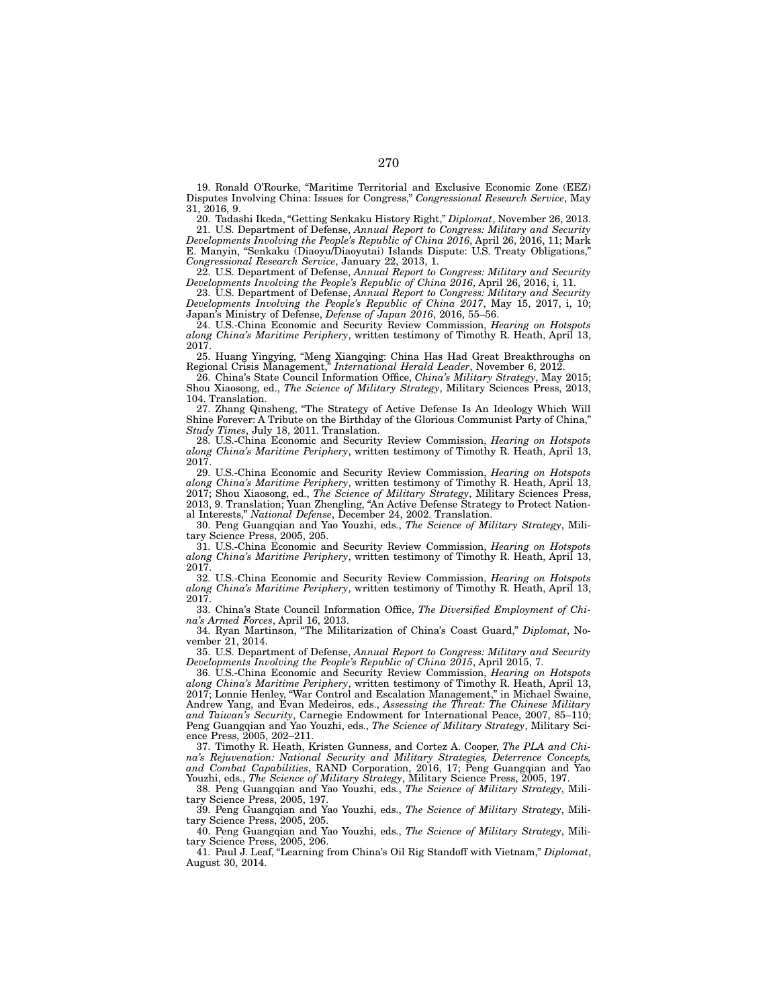19. Ronald O'Rourke, "Maritime Territorial and Exclusive Economic Zone (EEZ) Disputes Involving China: Issues for Congress," *Congressional Research Service*, May 31, 2016, 9.

20. Tadashi Ikeda, "Getting Senkaku History Right," *Diplomat*, November 26, 2013.

21. U.S. Department of Defense, *Annual Report to Congress: Military and Security Developments Involving the People's Republic of China 2016*, April 26, 2016, 11; Mark E. Manyin, "Senkaku (Diaoyu/Diaoyutai) Islands Dispute: U.S. Treaty Obligations," *Congressional Research Service*, January 22, 2013, 1.

22. U.S. Department of Defense, *Annual Report to Congress: Military and Security Developments Involving the People's Republic of China 2016*, April 26, 2016, i, 11.

23. U.S. Department of Defense, *Annual Report to Congress: Military and Security Developments Involving the People's Republic of China 2017*, May 15, 2017, i, 10; Japan's Ministry of Defense, *Defense of Japan 2016*, 2016, 55–56.

24. U.S.-China Economic and Security Review Commission, *Hearing on Hotspots along China's Maritime Periphery*, written testimony of Timothy R. Heath, April 13, 2017.

25. Huang Yingying, "Meng Xiangqing: China Has Had Great Breakthroughs on Regional Crisis Management," *International Herald Leader*, November 6, 2012.

26. China's State Council Information Office, *China's Military Strategy*, May 2015; Shou Xiaosong, ed., *The Science of Military Strategy*, Military Sciences Press, 2013, 104. Translation.

27. Zhang Qinsheng, "The Strategy of Active Defense Is An Ideology Which Will Shine Forever: A Tribute on the Birthday of the Glorious Communist Party of China," *Study Times*, July 18, 2011. Translation.

28. U.S.-China Economic and Security Review Commission, *Hearing on Hotspots along China's Maritime Periphery*, written testimony of Timothy R. Heath, April 13, 2017.

29. U.S.-China Economic and Security Review Commission, *Hearing on Hotspots along China's Maritime Periphery*, written testimony of Timothy R. Heath, April 13,

2017; Shou Xiaosong, ed., *The Science of Military Strategy*, Military Sciences Press, 2013, 9. Translation; Yuan Zhengling, "An Active Defense Strategy to Protect National Interests," *National Defense*, December 24, 2002. Translation.

30. Peng Guangqian and Yao Youzhi, eds., *The Science of Military Strategy*, Military Science Press, 2005, 205.

31. U.S.-China Economic and Security Review Commission, *Hearing on Hotspots along China's Maritime Periphery*, written testimony of Timothy R. Heath, April 13, 2017.

32. U.S.-China Economic and Security Review Commission, *Hearing on Hotspots along China's Maritime Periphery*, written testimony of Timothy R. Heath, April 13, 2017.

33. China's State Council Information Office, *The Diversified Employment of China's Armed Forces*, April 16, 2013.

34. Ryan Martinson, "The Militarization of China's Coast Guard," *Diplomat*, November 21, 2014.

35. U.S. Department of Defense, *Annual Report to Congress: Military and Security Developments Involving the People's Republic of China 2015*, April 2015, 7.

36. U.S.-China Economic and Security Review Commission, *Hearing on Hotspots along China's Maritime Periphery*, written testimony of Timothy R. Heath, April 13, 2017; Lonnie Henley, "War Control and Escalation Management," in Michael Swaine, Andrew Yang, and Evan Medeiros, eds., *Assessing the Threat: The Chinese Military and Taiwan's Security*, Carnegie Endowment for International Peace, 2007, 85–110; Peng Guangqian and Yao Youzhi, eds., *The Science of Military Strategy*, Military Science Press, 2005, 202–211.

37. Timothy R. Heath, Kristen Gunness, and Cortez A. Cooper, *The PLA and China's Rejuvenation: National Security and Military Strategies, Deterrence Concepts, and Combat Capabilities*, RAND Corporation, 2016, 17; Peng Guangqian and Yao Youzhi, eds., *The Science of Military Strategy*, Military Science Press, 2005, 197.

38. Peng Guangqian and Yao Youzhi, eds., *The Science of Military Strategy*, Military Science Press, 2005, 197.

39. Peng Guangqian and Yao Youzhi, eds., *The Science of Military Strategy*, Military Science Press, 2005, 205.

40. Peng Guangqian and Yao Youzhi, eds., *The Science of Military Strategy*, Military Science Press, 2005, 206.

41. Paul J. Leaf, "Learning from China's Oil Rig Standoff with Vietnam," *Diplomat*, August 30, 2014.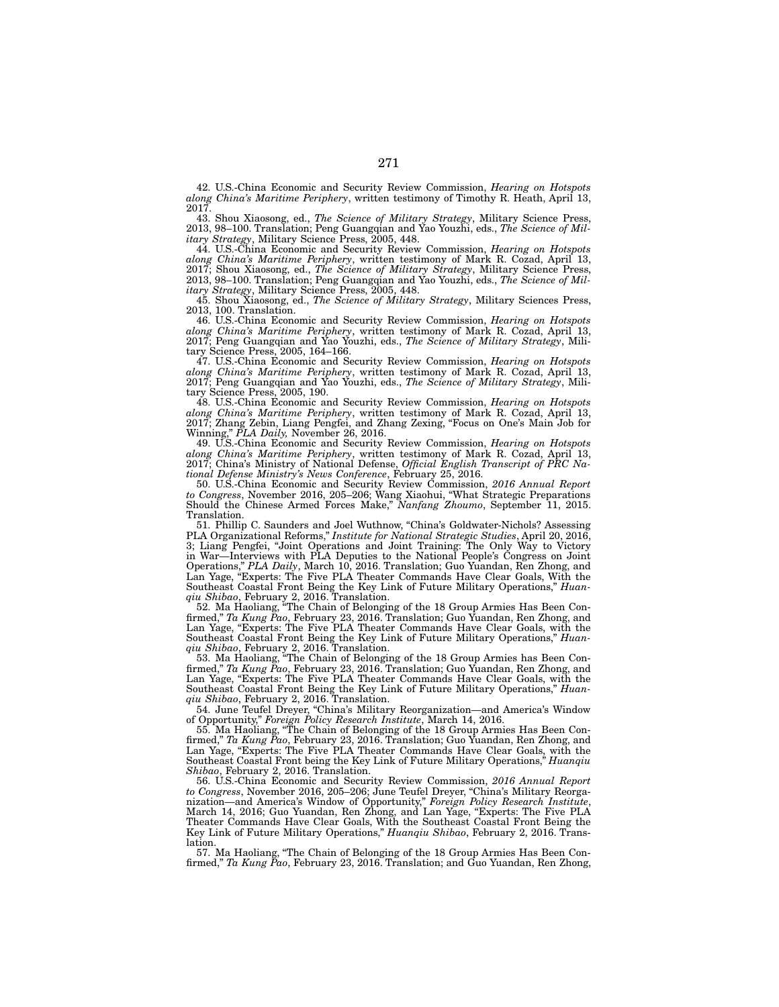42. U.S.-China Economic and Security Review Commission, *Hearing on Hotspots along China's Maritime Periphery*, written testimony of Timothy R. Heath, April 13, 2017.

43. Shou Xiaosong, ed., *The Science of Military Strategy*, Military Science Press, 2013, 98–100. Translation; Peng Guangqian and Yao Youzhi, eds., *The Science of Military Strategy*, Military Science Press, 2005, 448.

44. U.S.-China Economic and Security Review Commission, *Hearing on Hotspots along China's Maritime Periphery*, written testimony of Mark R. Cozad, April 13, 2017; Shou Xiaosong, ed., *The Science of Military Strategy*, Military Science Press, 2013, 98–100. Translation; Peng Guangqian and Yao Youzhi, eds., *The Science of Military Strategy*, Military Science Press, 2005, 448.

45. Shou Xiaosong, ed., *The Science of Military Strategy*, Military Sciences Press, 2013, 100. Translation.

46. U.S.-China Economic and Security Review Commission, *Hearing on Hotspots along China's Maritime Periphery*, written testimony of Mark R. Cozad, April 13, 2017; Peng Guangqian and Yao Youzhi, eds., *The Science of Military Strategy*, Military Science Press, 2005, 164–166.

47. U.S.-China Economic and Security Review Commission, *Hearing on Hotspots along China's Maritime Periphery*, written testimony of Mark R. Cozad, April 13, 2017; Peng Guangqian and Yao Youzhi, eds., *The Science of Military Strategy*, Military Science Press, 2005, 190.

48. U.S.-China Economic and Security Review Commission, *Hearing on Hotspots along China's Maritime Periphery*, written testimony of Mark R. Cozad, April 13, 2017; Zhang Zebin, Liang Pengfei, and Zhang Zexing, "Focus on One's Main Job for Winning," *PLA Daily,* November 26, 2016.

49. U.S.-China Economic and Security Review Commission, *Hearing on Hotspots along China's Maritime Periphery*, written testimony of Mark R. Cozad, April 13, 2017; China's Ministry of National Defense, *Official English Transcript of PRC National Defense Ministry's News Conference*, February 25, 2016.

50. U.S.-China Economic and Security Review Commission, *2016 Annual Report to Congress*, November 2016, 205–206; Wang Xiaohui, "What Strategic Preparations Should the Chinese Armed Forces Make," *Nanfang Zhoumo*, September 11, 2015. Translation.

51. Phillip C. Saunders and Joel Wuthnow, "China's Goldwater-Nichols? Assessing PLA Organizational Reforms," *Institute for National Strategic Studies*, April 20, 2016, 3; Liang Pengfei, "Joint Operations and Joint Training: The Only Way to Victory in War—Interviews with PLA Deputies to the National People's Congress on Joint Operations," *PLA Daily*, March 10, 2016. Translation; Guo Yuandan, Ren Zhong, and Lan Yage, "Experts: The Five PLA Theater Commands Have Clear Goals, With the Southeast Coastal Front Being the Key Link of Future Military Operations," *Huanqiu Shibao*, February 2, 2016. Translation.

52. Ma Haoliang, "The Chain of Belonging of the 18 Group Armies Has Been Confirmed," *Ta Kung Pao*, February 23, 2016. Translation; Guo Yuandan, Ren Zhong, and Lan Yage, "Experts: The Five PLA Theater Commands Have Clear Goals, with the Southeast Coastal Front Being the Key Link of Future Military Operations," *Huanqiu Shibao*, February 2, 2016. Translation.

53. Ma Haoliang, "The Chain of Belonging of the 18 Group Armies has Been Confirmed," *Ta Kung Pao*, February 23, 2016. Translation; Guo Yuandan, Ren Zhong, and Lan Yage, "Experts: The Five PLA Theater Commands Have Clear Goals, with the Southeast Coastal Front Being the Key Link of Future Military Operations," *Huanqiu Shibao*, February 2, 2016. Translation.

54. June Teufel Dreyer, "China's Military Reorganization—and America's Window of Opportunity," *Foreign Policy Research Institute*, March 14, 2016.

55. Ma Haoliang, "The Chain of Belonging of the 18 Group Armies Has Been Confirmed," *Ta Kung Pao*, February 23, 2016. Translation; Guo Yuandan, Ren Zhong, and Lan Yage, "Experts: The Five PLA Theater Commands Have Clear Goals, with the Southeast Coastal Front being the Key Link of Future Military Operations," *Huanqiu Shibao*, February 2, 2016. Translation.

56. U.S.-China Economic and Security Review Commission, *2016 Annual Report to Congress*, November 2016, 205–206; June Teufel Dreyer, "China's Military Reorganization—and America's Window of Opportunity," *Foreign Policy Research Institute*, March 14, 2016; Guo Yuandan, Ren Zhong, and Lan Yage, "Experts: The Five PLA Theater Commands Have Clear Goals, With the Southeast Coastal Front Being the Key Link of Future Military Operations," *Huanqiu Shibao*, February 2, 2016. Translation.

57. Ma Haoliang, "The Chain of Belonging of the 18 Group Armies Has Been Confirmed," *Ta Kung Pao*, February 23, 2016. Translation; and Guo Yuandan, Ren Zhong,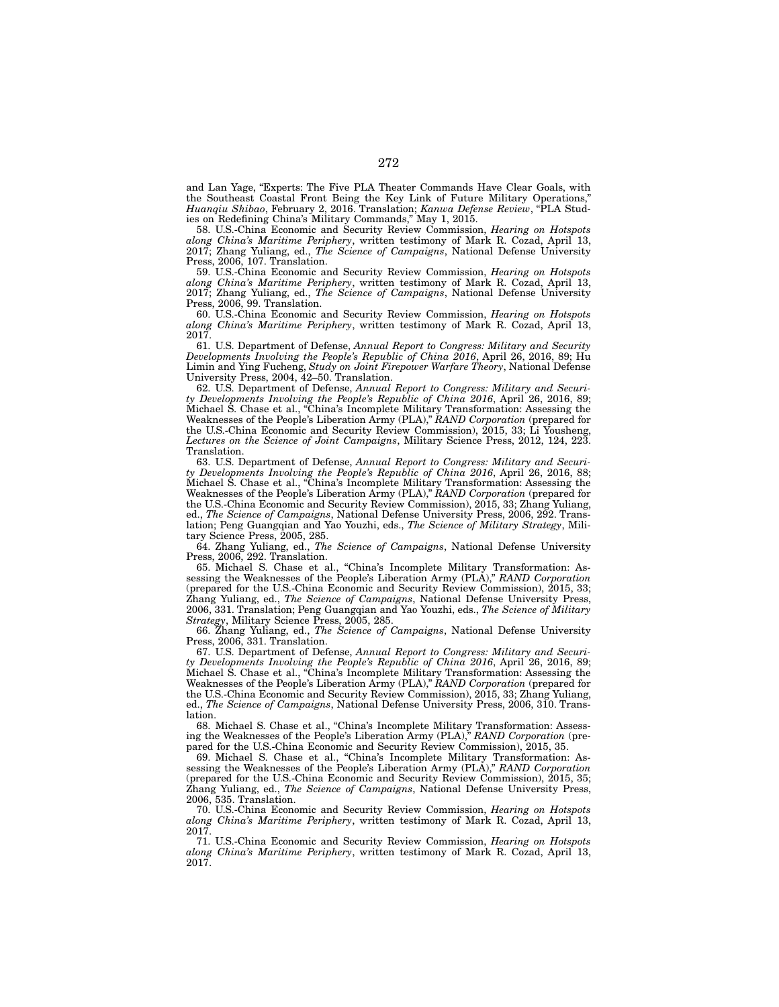and Lan Yage, "Experts: The Five PLA Theater Commands Have Clear Goals, with the Southeast Coastal Front Being the Key Link of Future Military Operations," *Huanqiu Shibao*, February 2, 2016. Translation; *Kanwa Defense Review*, "PLA Studies on Redefining China's Military Commands," May 1, 2015.

58. U.S.-China Economic and Security Review Commission, *Hearing on Hotspots along China's Maritime Periphery*, written testimony of Mark R. Cozad, April 13, 2017; Zhang Yuliang, ed., *The Science of Campaigns*, National Defense University Press, 2006, 107. Translation.

59. U.S.-China Economic and Security Review Commission, *Hearing on Hotspots along China's Maritime Periphery*, written testimony of Mark R. Cozad, April 13, 2017; Zhang Yuliang, ed., *The Science of Campaigns*, National Defense University Press, 2006, 99. Translation.

60. U.S.-China Economic and Security Review Commission, *Hearing on Hotspots along China's Maritime Periphery*, written testimony of Mark R. Cozad, April 13, 2017.

61. U.S. Department of Defense, *Annual Report to Congress: Military and Security Developments Involving the People's Republic of China 2016*, April 26, 2016, 89; Hu Limin and Ying Fucheng, *Study on Joint Firepower Warfare Theory*, National Defense University Press, 2004, 42–50. Translation.

62. U.S. Department of Defense, *Annual Report to Congress: Military and Security Developments Involving the People's Republic of China 2016*, April 26, 2016, 89; Michael S. Chase et al., "China's Incomplete Military Transformation: Assessing the Weaknesses of the People's Liberation Army (PLA)," *RAND Corporation* (prepared for the U.S.-China Economic and Security Review Commission), 2015, 33; Li Yousheng, *Lectures on the Science of Joint Campaigns*, Military Science Press, 2012, 124, 223. Translation.

63. U.S. Department of Defense, *Annual Report to Congress: Military and Security Developments Involving the People's Republic of China 2016*, April 26, 2016, 88; Michael S. Chase et al., "China's Incomplete Military Transformation: Assessing the Weaknesses of the People's Liberation Army (PLA)," *RAND Corporation* (prepared for the U.S.-China Economic and Security Review Commission), 2015, 33; Zhang Yuliang, ed., *The Science of Campaigns*, National Defense University Press, 2006, 292. Translation; Peng Guangqian and Yao Youzhi, eds., *The Science of Military Strategy*, Military Science Press, 2005, 285.

64. Zhang Yuliang, ed., *The Science of Campaigns*, National Defense University Press, 2006, 292. Translation.

65. Michael S. Chase et al., "China's Incomplete Military Transformation: Assessing the Weaknesses of the People's Liberation Army (PLA)," *RAND Corporation*  (prepared for the U.S.-China Economic and Security Review Commission), 2015, 33; Zhang Yuliang, ed., *The Science of Campaigns*, National Defense University Press, 2006, 331. Translation; Peng Guangqian and Yao Youzhi, eds., *The Science of Military Strategy*, Military Science Press, 2005, 285.

66. Zhang Yuliang, ed., *The Science of Campaigns*, National Defense University Press, 2006, 331. Translation.

67. U.S. Department of Defense, *Annual Report to Congress: Military and Security Developments Involving the People's Republic of China 2016*, April 26, 2016, 89; Michael S. Chase et al., "China's Incomplete Military Transformation: Assessing the Weaknesses of the People's Liberation Army (PLA)," *RAND Corporation* (prepared for the U.S.-China Economic and Security Review Commission), 2015, 33; Zhang Yuliang, ed., *The Science of Campaigns*, National Defense University Press, 2006, 310. Translation.

68. Michael S. Chase et al., "China's Incomplete Military Transformation: Assessing the Weaknesses of the People's Liberation Army (PLA)," *RAND Corporation* (prepared for the U.S.-China Economic and Security Review Commission), 2015, 35.

69. Michael S. Chase et al., "China's Incomplete Military Transformation: Assessing the Weaknesses of the People's Liberation Army (PLA)," *RAND Corporation*  (prepared for the U.S.-China Economic and Security Review Commission), 2015, 35; Zhang Yuliang, ed., *The Science of Campaigns*, National Defense University Press, 2006, 535. Translation.

70. U.S.-China Economic and Security Review Commission, *Hearing on Hotspots along China's Maritime Periphery*, written testimony of Mark R. Cozad, April 13, 2017.

71. U.S.-China Economic and Security Review Commission, *Hearing on Hotspots along China's Maritime Periphery*, written testimony of Mark R. Cozad, April 13, 2017.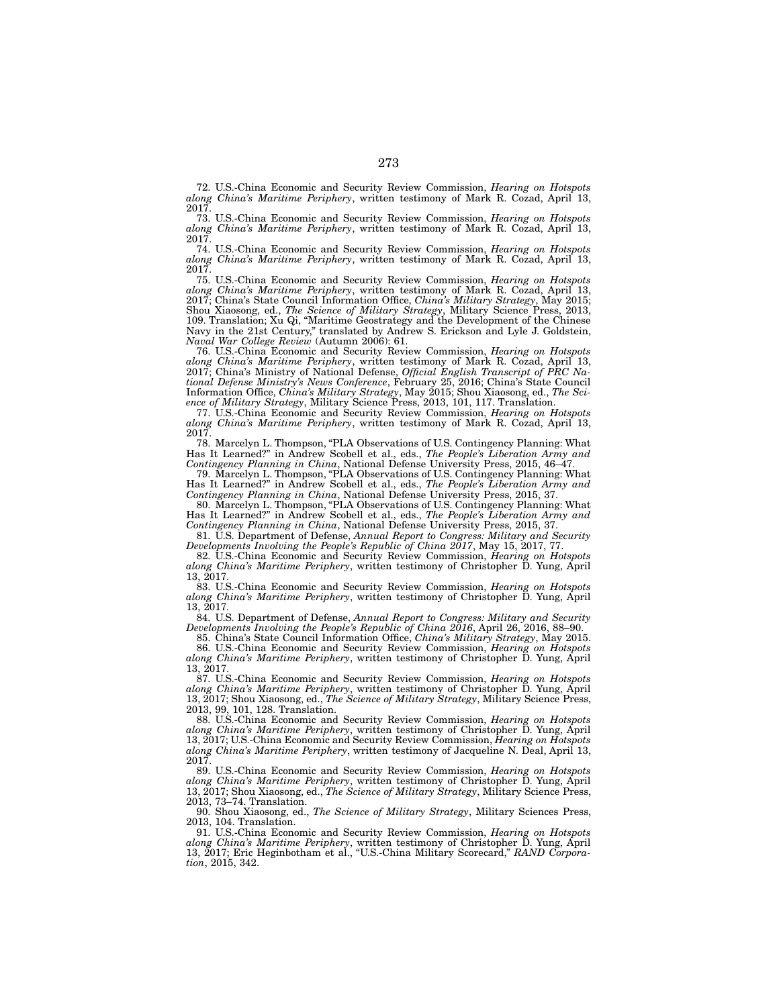72. U.S.-China Economic and Security Review Commission, *Hearing on Hotspots along China's Maritime Periphery*, written testimony of Mark R. Cozad, April 13, 2017.

73. U.S.-China Economic and Security Review Commission, *Hearing on Hotspots along China's Maritime Periphery*, written testimony of Mark R. Cozad, April 13, 2017.

74. U.S.-China Economic and Security Review Commission, *Hearing on Hotspots along China's Maritime Periphery*, written testimony of Mark R. Cozad, April 13, 2017.

75. U.S.-China Economic and Security Review Commission, *Hearing on Hotspots along China's Maritime Periphery*, written testimony of Mark R. Cozad, April 13, 2017; China's State Council Information Office, *China's Military Strategy*, May 2015; Shou Xiaosong, ed., *The Science of Military Strategy*, Military Science Press, 2013, 109. Translation; Xu Qi, "Maritime Geostrategy and the Development of the Chinese Navy in the 21st Century," translated by Andrew S. Erickson and Lyle J. Goldstein, *Naval War College Review* (Autumn 2006): 61.

76. U.S.-China Economic and Security Review Commission, *Hearing on Hotspots along China's Maritime Periphery*, written testimony of Mark R. Cozad, April 13, 2017; China's Ministry of National Defense, *Official English Transcript of PRC National Defense Ministry's News Conference*, February 25, 2016; China's State Council Information Office, *China's Military Strategy*, May 2015; Shou Xiaosong, ed., *The Science of Military Strategy*, Military Science Press, 2013, 101, 117. Translation.

77. U.S.-China Economic and Security Review Commission, *Hearing on Hotspots along China's Maritime Periphery*, written testimony of Mark R. Cozad, April 13, 2017.

78. Marcelyn L. Thompson, "PLA Observations of U.S. Contingency Planning: What Has It Learned?" in Andrew Scobell et al., eds., *The People's Liberation Army and Contingency Planning in China*, National Defense University Press, 2015, 46–47.

79. Marcelyn L. Thompson, "PLA Observations of U.S. Contingency Planning: What Has It Learned?" in Andrew Scobell et al., eds., *The People's Liberation Army and Contingency Planning in China*, National Defense University Press, 2015, 37.

80. Marcelyn L. Thompson, "PLA Observations of U.S. Contingency Planning: What Has It Learned?" in Andrew Scobell et al., eds., *The People's Liberation Army and Contingency Planning in China*, National Defense University Press, 2015, 37.

81. U.S. Department of Defense, *Annual Report to Congress: Military and Security Developments Involving the People's Republic of China 2017*, May 15, 2017, 77.

82. U.S.-China Economic and Security Review Commission, *Hearing on Hotspots along China's Maritime Periphery*, written testimony of Christopher D. Yung, April 13, 2017.

83. U.S.-China Economic and Security Review Commission, *Hearing on Hotspots along China's Maritime Periphery*, written testimony of Christopher D. Yung, April 13, 2017.

84. U.S. Department of Defense, *Annual Report to Congress: Military and Security Developments Involving the People's Republic of China 2016*, April 26, 2016, 88–90.

85. China's State Council Information Office, *China's Military Strategy*, May 2015. 86. U.S.-China Economic and Security Review Commission, *Hearing on Hotspots* 

*along China's Maritime Periphery*, written testimony of Christopher D. Yung, April 13, 2017.

87. U.S.-China Economic and Security Review Commission, *Hearing on Hotspots along China's Maritime Periphery*, written testimony of Christopher D. Yung, April 13, 2017; Shou Xiaosong, ed., *The Science of Military Strategy*, Military Science Press, 2013, 99, 101, 128. Translation.

88. U.S.-China Economic and Security Review Commission, *Hearing on Hotspots along China's Maritime Periphery*, written testimony of Christopher D. Yung, April 13, 2017; U.S.-China Economic and Security Review Commission, *Hearing on Hotspots along China's Maritime Periphery*, written testimony of Jacqueline N. Deal, April 13, 2017.

89. U.S.-China Economic and Security Review Commission, *Hearing on Hotspots along China's Maritime Periphery*, written testimony of Christopher D. Yung, April 13, 2017; Shou Xiaosong, ed., *The Science of Military Strategy*, Military Science Press, 2013, 73–74. Translation.

90. Shou Xiaosong, ed., *The Science of Military Strategy*, Military Sciences Press, 2013, 104. Translation.

91. U.S.-China Economic and Security Review Commission, *Hearing on Hotspots along China's Maritime Periphery*, written testimony of Christopher D. Yung, April 13, 2017; Eric Heginbotham et al., "U.S.-China Military Scorecard," *RAND Corporation*, 2015, 342.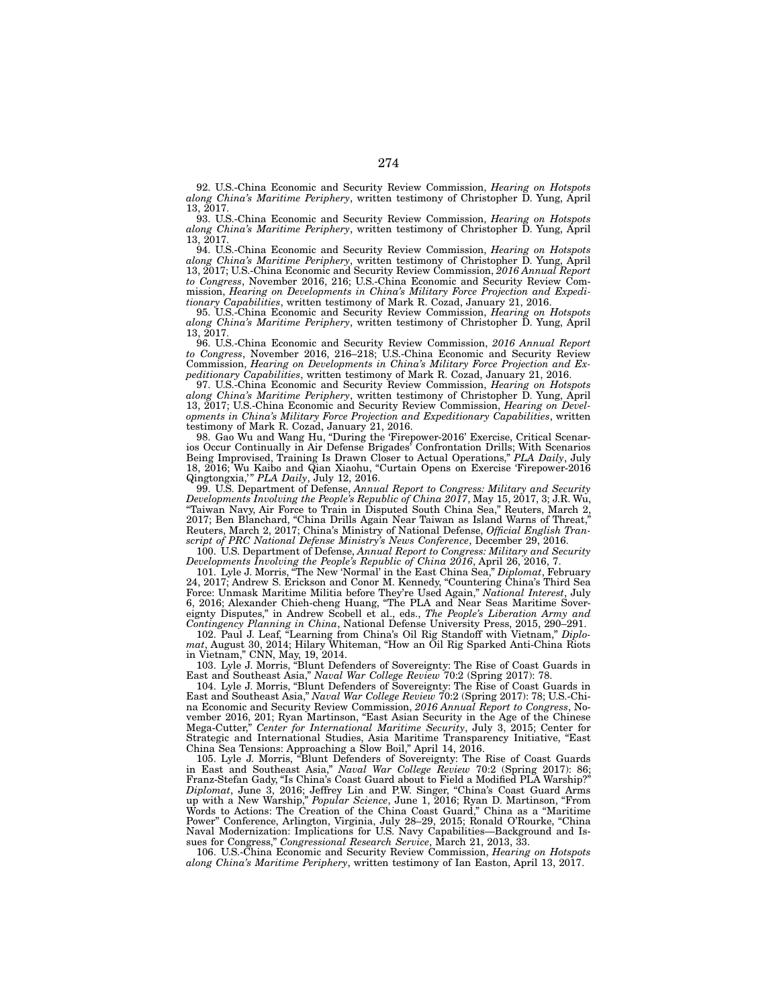92. U.S.-China Economic and Security Review Commission, *Hearing on Hotspots along China's Maritime Periphery*, written testimony of Christopher D. Yung, April 13, 2017.

93. U.S.-China Economic and Security Review Commission, *Hearing on Hotspots along China's Maritime Periphery*, written testimony of Christopher D. Yung, April 13, 2017.

94. U.S.-China Economic and Security Review Commission, *Hearing on Hotspots along China's Maritime Periphery*, written testimony of Christopher D. Yung, April 13, 2017; U.S.-China Economic and Security Review Commission, *2016 Annual Report to Congress*, November 2016, 216; U.S.-China Economic and Security Review Commission, *Hearing on Developments in China's Military Force Projection and Expeditionary Capabilities*, written testimony of Mark R. Cozad, January 21, 2016.

95. U.S.-China Economic and Security Review Commission, *Hearing on Hotspots along China's Maritime Periphery*, written testimony of Christopher D. Yung, April 13, 2017.

96. U.S.-China Economic and Security Review Commission, *2016 Annual Report to Congress*, November 2016, 216–218; U.S.-China Economic and Security Review Commission, *Hearing on Developments in China's Military Force Projection and Expeditionary Capabilities*, written testimony of Mark R. Cozad, January 21, 2016.

97. U.S.-China Economic and Security Review Commission, *Hearing on Hotspots along China's Maritime Periphery*, written testimony of Christopher D. Yung, April 13, 2017; U.S.-China Economic and Security Review Commission, *Hearing on Developments in China's Military Force Projection and Expeditionary Capabilities*, written testimony of Mark R. Cozad, January 21, 2016.

98. Gao Wu and Wang Hu, "During the 'Firepower-2016' Exercise, Critical Scenarios Occur Continually in Air Defense Brigades' Confrontation Drills; With Scenarios Being Improvised, Training Is Drawn Closer to Actual Operations," *PLA Daily*, July 18, 2016; Wu Kaibo and Qian Xiaohu, "Curtain Opens on Exercise 'Firepower-2016 Qingtongxia,'" *PLA Daily*, July 12, 2016.

99. U.S. Department of Defense, *Annual Report to Congress: Military and Security Developments Involving the People's Republic of China 2017*, May 15, 2017, 3; J.R. Wu, "Taiwan Navy, Air Force to Train in Disputed South China Sea," Reuters, March 2, 2017; Ben Blanchard, "China Drills Again Near Taiwan as Island Warns of Threat," Reuters, March 2, 2017; China's Ministry of National Defense, *Official English Transcript of PRC National Defense Ministry's News Conference*, December 29, 2016.

100. U.S. Department of Defense, *Annual Report to Congress: Military and Security Developments Involving the People's Republic of China 2016*, April 26, 2016, 7.

101. Lyle J. Morris, "The New 'Normal' in the East China Sea," *Diplomat*, February 24, 2017; Andrew S. Erickson and Conor M. Kennedy, "Countering China's Third Sea Force: Unmask Maritime Militia before They're Used Again," *National Interest*, July 6, 2016; Alexander Chieh-cheng Huang, "The PLA and Near Seas Maritime Sovereignty Disputes," in Andrew Scobell et al., eds., *The People's Liberation Army and Contingency Planning in China*, National Defense University Press, 2015, 290–291.

102. Paul J. Leaf, "Learning from China's Oil Rig Standoff with Vietnam," *Diplomat*, August 30, 2014; Hilary Whiteman, "How an Oil Rig Sparked Anti-China Riots in Vietnam," CNN, May, 19, 2014.

103. Lyle J. Morris, "Blunt Defenders of Sovereignty: The Rise of Coast Guards in East and Southeast Asia," *Naval War College Review* 70:2 (Spring 2017): 78.

104. Lyle J. Morris, "Blunt Defenders of Sovereignty: The Rise of Coast Guards in East and Southeast Asia," *Naval War College Review* 70:2 (Spring 2017): 78; U.S.-China Economic and Security Review Commission, *2016 Annual Report to Congress*, November 2016, 201; Ryan Martinson, "East Asian Security in the Age of the Chinese Mega-Cutter," *Center for International Maritime Security*, July 3, 2015; Center for Strategic and International Studies, Asia Maritime Transparency Initiative, "East China Sea Tensions: Approaching a Slow Boil," April 14, 2016.

105. Lyle J. Morris, "Blunt Defenders of Sovereignty: The Rise of Coast Guards in East and Southeast Asia," *Naval War College Review* 70:2 (Spring 2017): 86; Franz-Stefan Gady, "Is China's Coast Guard about to Field a Modified PLA Warship?" *Diplomat*, June 3, 2016; Jeffrey Lin and P.W. Singer, "China's Coast Guard Arms up with a New Warship," *Popular Science*, June 1, 2016; Ryan D. Martinson, "From Words to Actions: The Creation of the China Coast Guard," China as a "Maritime Power" Conference, Arlington, Virginia, July 28–29, 2015; Ronald O'Rourke, "China Naval Modernization: Implications for U.S. Navy Capabilities—Background and Issues for Congress," *Congressional Research Service*, March 21, 2013, 33.

106. U.S.-China Economic and Security Review Commission, *Hearing on Hotspots along China's Maritime Periphery*, written testimony of Ian Easton, April 13, 2017.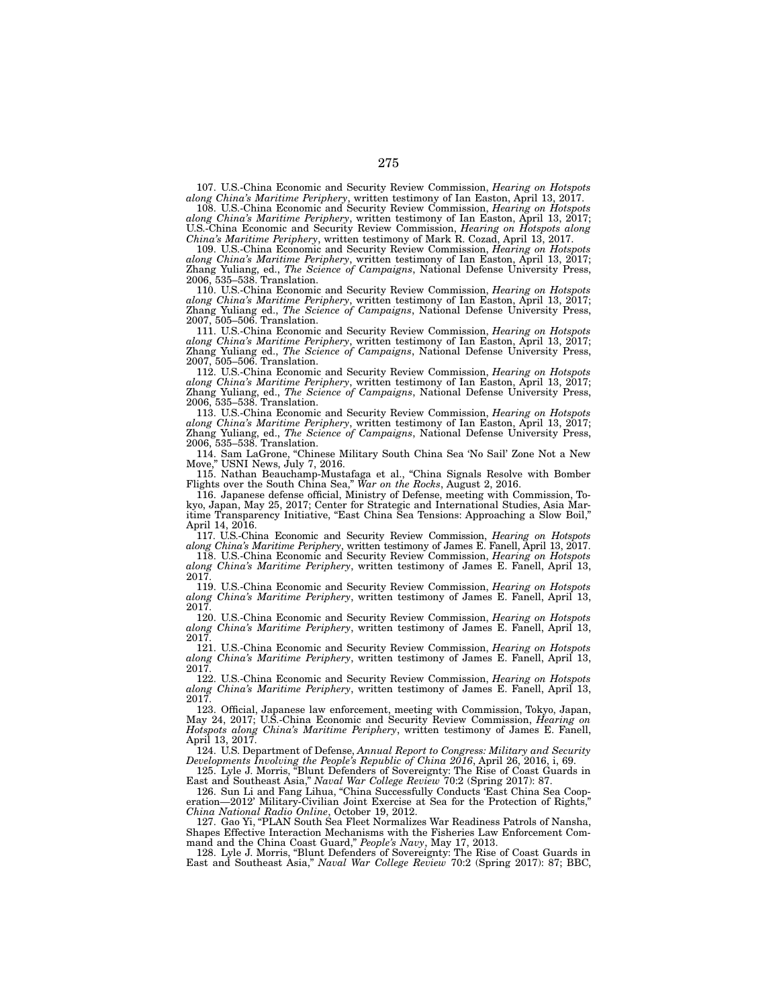107. U.S.-China Economic and Security Review Commission, *Hearing on Hotspots along China's Maritime Periphery*, written testimony of Ian Easton, April 13, 2017.

108. U.S.-China Economic and Security Review Commission, *Hearing on Hotspots along China's Maritime Periphery*, written testimony of Ian Easton, April 13, 2017; U.S.-China Economic and Security Review Commission, *Hearing on Hotspots along China's Maritime Periphery*, written testimony of Mark R. Cozad, April 13, 2017.

109. U.S.-China Economic and Security Review Commission, *Hearing on Hotspots along China's Maritime Periphery*, written testimony of Ian Easton, April 13, 2017; Zhang Yuliang, ed., *The Science of Campaigns*, National Defense University Press, 2006, 535–538. Translation.

110. U.S.-China Economic and Security Review Commission, *Hearing on Hotspots along China's Maritime Periphery*, written testimony of Ian Easton, April 13, 2017; Zhang Yuliang ed., *The Science of Campaigns*, National Defense University Press, 2007, 505–506. Translation.

111. U.S.-China Economic and Security Review Commission, *Hearing on Hotspots along China's Maritime Periphery*, written testimony of Ian Easton, April 13, 2017; Zhang Yuliang ed., *The Science of Campaigns*, National Defense University Press, 2007, 505–506. Translation.

112. U.S.-China Economic and Security Review Commission, *Hearing on Hotspots along China's Maritime Periphery*, written testimony of Ian Easton, April 13, 2017; Zhang Yuliang, ed., *The Science of Campaigns*, National Defense University Press, 2006, 535–538. Translation.

113. U.S.-China Economic and Security Review Commission, *Hearing on Hotspots along China's Maritime Periphery*, written testimony of Ian Easton, April 13, 2017; Zhang Yuliang, ed., *The Science of Campaigns*, National Defense University Press, 2006, 535–538. Translation.

114. Sam LaGrone, "Chinese Military South China Sea 'No Sail' Zone Not a New USNI News, July 7, 2016.

115. Nathan Beauchamp-Mustafaga et al., "China Signals Resolve with Bomber Flights over the South China Sea," *War on the Rocks*, August 2, 2016.

116. Japanese defense official, Ministry of Defense, meeting with Commission, Tokyo, Japan, May 25, 2017; Center for Strategic and International Studies, Asia Maritime Transparency Initiative, "East China Sea Tensions: Approaching a Slow Boil," April 14, 2016.

117. U.S.-China Economic and Security Review Commission, *Hearing on Hotspots along China's Maritime Periphery*, written testimony of James E. Fanell, April 13, 2017.

118. U.S.-China Economic and Security Review Commission, *Hearing on Hotspots along China's Maritime Periphery*, written testimony of James E. Fanell, April 13, 2017.

119. U.S.-China Economic and Security Review Commission, *Hearing on Hotspots along China's Maritime Periphery*, written testimony of James E. Fanell, April 13, 2017.

120. U.S.-China Economic and Security Review Commission, *Hearing on Hotspots along China's Maritime Periphery*, written testimony of James E. Fanell, April 13, 2017.

121. U.S.-China Economic and Security Review Commission, *Hearing on Hotspots along China's Maritime Periphery*, written testimony of James E. Fanell, April 13, 2017.

122. U.S.-China Economic and Security Review Commission, *Hearing on Hotspots along China's Maritime Periphery*, written testimony of James E. Fanell, April 13, 2017.

123. Official, Japanese law enforcement, meeting with Commission, Tokyo, Japan, May 24, 2017; U.S.-China Economic and Security Review Commission, *Hearing on Hotspots along China's Maritime Periphery*, written testimony of James E. Fanell, April 13, 2017.

124. U.S. Department of Defense, *Annual Report to Congress: Military and Security Developments Involving the People's Republic of China 2016*, April 26, 2016, i, 69.

125. Lyle J. Morris, "Blunt Defenders of Sovereignty: The Rise of Coast Guards in East and Southeast Asia," *Naval War College Review* 70:2 (Spring 2017): 87.

126. Sun Li and Fang Lihua, "China Successfully Conducts 'East China Sea Cooperation—2012' Military-Civilian Joint Exercise at Sea for the Protection of Rights, *China National Radio Online*, October 19, 2012.

127. Gao Yi, "PLAN South Sea Fleet Normalizes War Readiness Patrols of Nansha, Shapes Effective Interaction Mechanisms with the Fisheries Law Enforcement Command and the China Coast Guard," *People's Navy*, May 17, 2013.

128. Lyle J. Morris, "Blunt Defenders of Sovereignty: The Rise of Coast Guards in East and Southeast Asia," *Naval War College Review* 70:2 (Spring 2017): 87; BBC,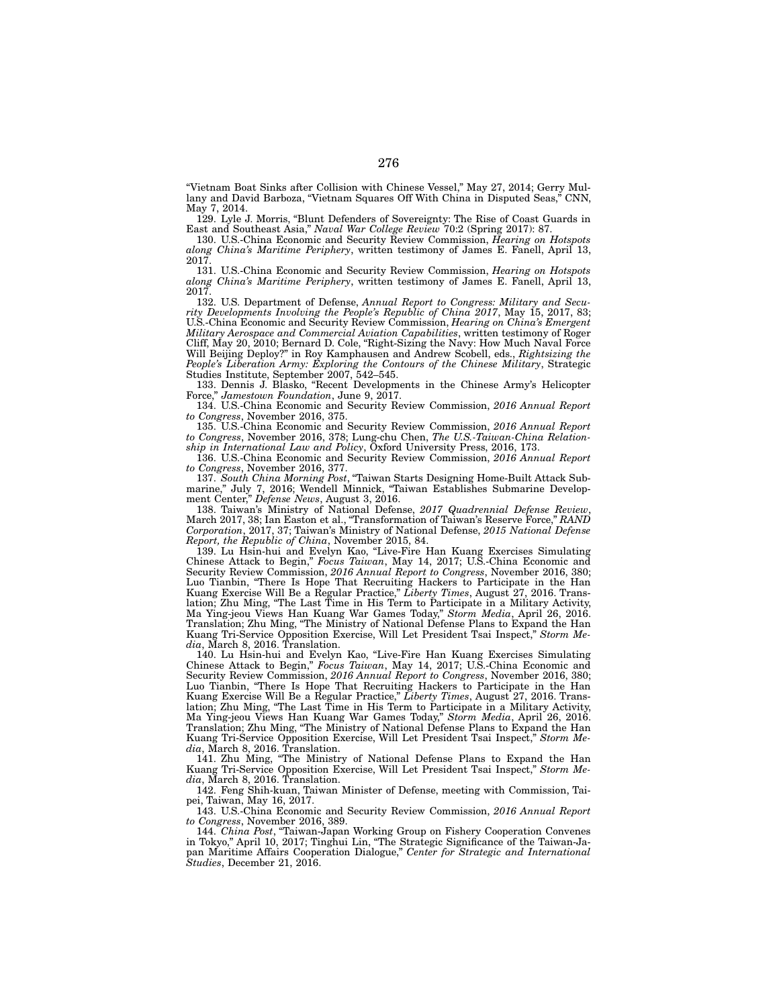"Vietnam Boat Sinks after Collision with Chinese Vessel," May 27, 2014; Gerry Mullany and David Barboza, "Vietnam Squares Off With China in Disputed Seas," CNN, May 7, 2014.

129. Lyle J. Morris, "Blunt Defenders of Sovereignty: The Rise of Coast Guards in East and Southeast Asia," *Naval War College Review* 70:2 (Spring 2017): 87.

130. U.S.-China Economic and Security Review Commission, *Hearing on Hotspots along China's Maritime Periphery*, written testimony of James E. Fanell, April 13, 2017.

131. U.S.-China Economic and Security Review Commission, *Hearing on Hotspots along China's Maritime Periphery*, written testimony of James E. Fanell, April 13, 2017.

132. U.S. Department of Defense, *Annual Report to Congress: Military and Security Developments Involving the People's Republic of China 2017*, May 15, 2017, 83; U.S.-China Economic and Security Review Commission, *Hearing on China's Emergent Military Aerospace and Commercial Aviation Capabilities*, written testimony of Roger Cliff, May 20, 2010; Bernard D. Cole, "Right-Sizing the Navy: How Much Naval Force Will Beijing Deploy?" in Roy Kamphausen and Andrew Scobell, eds., *Rightsizing the People's Liberation Army: Exploring the Contours of the Chinese Military*, Strategic Studies Institute, September 2007, 542–545.

133. Dennis J. Blasko, "Recent Developments in the Chinese Army's Helicopter Force," *Jamestown Foundation*, June 9, 2017.

134. U.S.-China Economic and Security Review Commission, *2016 Annual Report to Congress*, November 2016, 375.

135. U.S.-China Economic and Security Review Commission, *2016 Annual Report to Congress*, November 2016, 378; Lung-chu Chen, *The U.S.-Taiwan-China Relationship in International Law and Policy*, Oxford University Press, 2016, 173.

136. U.S.-China Economic and Security Review Commission, *2016 Annual Report to Congress*, November 2016, 377.

137. *South China Morning Post*, "Taiwan Starts Designing Home-Built Attack Submarine," July 7, 2016; Wendell Minnick, "Taiwan Establishes Submarine Development Center," *Defense News*, August 3, 2016.

138. Taiwan's Ministry of National Defense, *2017 Quadrennial Defense Review*, March 2017, 38; Ian Easton et al., "Transformation of Taiwan's Reserve Force," *RAND Corporation*, 2017, 37; Taiwan's Ministry of National Defense, *2015 National Defense Report, the Republic of China*, November 2015, 84.

139. Lu Hsin-hui and Evelyn Kao, "Live-Fire Han Kuang Exercises Simulating Chinese Attack to Begin," *Focus Taiwan*, May 14, 2017; U.S.-China Economic and Security Review Commission, *2016 Annual Report to Congress*, November 2016, 380; Luo Tianbin, "There Is Hope That Recruiting Hackers to Participate in the Han Kuang Exercise Will Be a Regular Practice," *Liberty Times*, August 27, 2016. Translation; Zhu Ming, "The Last Time in His Term to Participate in a Military Activity, Ma Ying-jeou Views Han Kuang War Games Today," *Storm Media*, April 26, 2016. Translation; Zhu Ming, "The Ministry of National Defense Plans to Expand the Han Kuang Tri-Service Opposition Exercise, Will Let President Tsai Inspect," *Storm Media*, March 8, 2016. Translation.

140. Lu Hsin-hui and Evelyn Kao, "Live-Fire Han Kuang Exercises Simulating Chinese Attack to Begin," *Focus Taiwan*, May 14, 2017; U.S.-China Economic and Security Review Commission, *2016 Annual Report to Congress*, November 2016, 380; Luo Tianbin, "There Is Hope That Recruiting Hackers to Participate in the Han Kuang Exercise Will Be a Regular Practice," *Liberty Times*, August 27, 2016. Translation; Zhu Ming, "The Last Time in His Term to Participate in a Military Activity, Ma Ying-jeou Views Han Kuang War Games Today," *Storm Media*, April 26, 2016. Translation; Zhu Ming, "The Ministry of National Defense Plans to Expand the Han Kuang Tri-Service Opposition Exercise, Will Let President Tsai Inspect," *Storm Media*, March 8, 2016. Translation.

141. Zhu Ming, "The Ministry of National Defense Plans to Expand the Han Kuang Tri-Service Opposition Exercise, Will Let President Tsai Inspect," *Storm Media*, March 8, 2016. Translation.

142. Feng Shih-kuan, Taiwan Minister of Defense, meeting with Commission, Taipei, Taiwan, May 16, 2017.

143. U.S.-China Economic and Security Review Commission, *2016 Annual Report to Congress*, November 2016, 389.

144. *China Post*, "Taiwan-Japan Working Group on Fishery Cooperation Convenes in Tokyo," April 10, 2017; Tinghui Lin, "The Strategic Significance of the Taiwan-Japan Maritime Affairs Cooperation Dialogue," *Center for Strategic and International Studies*, December 21, 2016.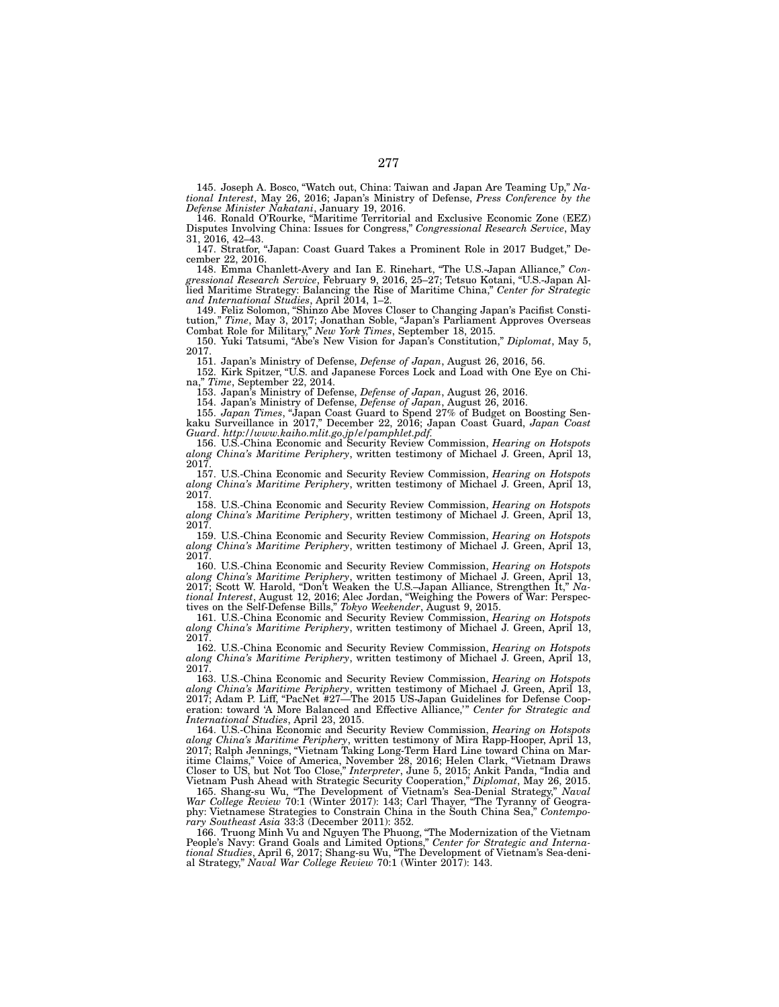145. Joseph A. Bosco, "Watch out, China: Taiwan and Japan Are Teaming Up," *National Interest*, May 26, 2016; Japan's Ministry of Defense, *Press Conference by the Defense Minister Nakatani*, January 19, 2016.

146. Ronald O'Rourke, "Maritime Territorial and Exclusive Economic Zone (EEZ) Disputes Involving China: Issues for Congress," *Congressional Research Service*, May 31, 2016, 42–43.

147. Stratfor, "Japan: Coast Guard Takes a Prominent Role in 2017 Budget," December 22, 2016.

148. Emma Chanlett-Avery and Ian E. Rinehart, "The U.S.-Japan Alliance," *Congressional Research Service*, February 9, 2016, 25–27; Tetsuo Kotani, "U.S.-Japan Allied Maritime Strategy: Balancing the Rise of Maritime China," *Center for Strategic and International Studies*, April 2014, 1–2.

149. Feliz Solomon, "Shinzo Abe Moves Closer to Changing Japan's Pacifist Constitution," *Time*, May 3, 2017; Jonathan Soble, "Japan's Parliament Approves Overseas Combat Role for Military," *New York Times*, September 18, 2015.

150. Yuki Tatsumi, "Abe's New Vision for Japan's Constitution," *Diplomat*, May 5, 2017.

151. Japan's Ministry of Defense, *Defense of Japan*, August 26, 2016, 56.

152. Kirk Spitzer, "U.S. and Japanese Forces Lock and Load with One Eye on China," *Time*, September 22, 2014.

153. Japan's Ministry of Defense, *Defense of Japan*, August 26, 2016.

154. Japan's Ministry of Defense, *Defense of Japan*, August 26, 2016.

155. *Japan Times*, "Japan Coast Guard to Spend 27% of Budget on Boosting Senkaku Surveillance in 2017," December 22, 2016; Japan Coast Guard, *Japan Coast Guard*. *http://www.kaiho.mlit.go.jp/e/pamphlet.pdf*.

156. U.S.-China Economic and Security Review Commission, *Hearing on Hotspots along China's Maritime Periphery*, written testimony of Michael J. Green, April 13, 2017.

157. U.S.-China Economic and Security Review Commission, *Hearing on Hotspots along China's Maritime Periphery*, written testimony of Michael J. Green, April 13, 2017.

158. U.S.-China Economic and Security Review Commission, *Hearing on Hotspots along China's Maritime Periphery*, written testimony of Michael J. Green, April 13, 2017.

159. U.S.-China Economic and Security Review Commission, *Hearing on Hotspots along China's Maritime Periphery*, written testimony of Michael J. Green, April 13, 2017.

160. U.S.-China Economic and Security Review Commission, *Hearing on Hotspots along China's Maritime Periphery*, written testimony of Michael J. Green, April 13, 2017; Scott W. Harold, "Don't Weaken the U.S.–Japan Alliance, Strengthen It," *National Interest*, August 12, 2016; Alec Jordan, "Weighing the Powers of War: Perspectives on the Self-Defense Bills," *Tokyo Weekender*, August 9, 2015.

161. U.S.-China Economic and Security Review Commission, *Hearing on Hotspots along China's Maritime Periphery*, written testimony of Michael J. Green, April 13, 2017.

162. U.S.-China Economic and Security Review Commission, *Hearing on Hotspots along China's Maritime Periphery*, written testimony of Michael J. Green, April 13, 2017.

163. U.S.-China Economic and Security Review Commission, *Hearing on Hotspots along China's Maritime Periphery*, written testimony of Michael J. Green, April 13, 2017; Adam P. Liff, "PacNet #27—The 2015 US-Japan Guidelines for Defense Cooperation: toward 'A More Balanced and Effective Alliance,'" *Center for Strategic and International Studies*, April 23, 2015.

164. U.S.-China Economic and Security Review Commission, *Hearing on Hotspots along China's Maritime Periphery*, written testimony of Mira Rapp-Hooper, April 13, 2017; Ralph Jennings, "Vietnam Taking Long-Term Hard Line toward China on Maritime Claims," Voice of America, November 28, 2016; Helen Clark, "Vietnam Draws Closer to US, but Not Too Close," *Interpreter*, June 5, 2015; Ankit Panda, "India and Vietnam Push Ahead with Strategic Security Cooperation," *Diplomat*, May 26, 2015.

165. Shang-su Wu, "The Development of Vietnam's Sea-Denial Strategy," *Naval War College Review* 70:1 (Winter 2017): 143; Carl Thayer, "The Tyranny of Geography: Vietnamese Strategies to Constrain China in the South China Sea," *Contemporary Southeast Asia* 33:3 (December 2011): 352.

166. Truong Minh Vu and Nguyen The Phuong, "The Modernization of the Vietnam People's Navy: Grand Goals and Limited Options," *Center for Strategic and International Studies*, April 6, 2017; Shang-su Wu, "The Development of Vietnam's Sea-denial Strategy," *Naval War College Review* 70:1 (Winter 2017): 143.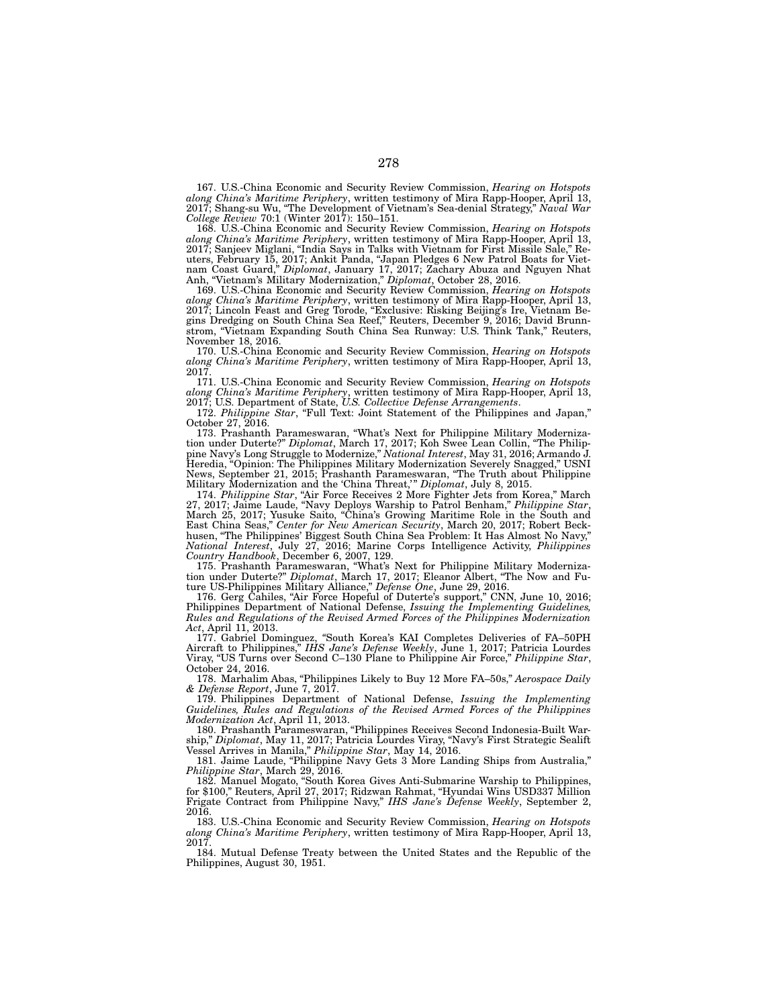167. U.S.-China Economic and Security Review Commission, *Hearing on Hotspots along China's Maritime Periphery*, written testimony of Mira Rapp-Hooper, April 13, 2017; Shang-su Wu, "The Development of Vietnam's Sea-denial Strategy," *Naval War College Review* 70:1 (Winter 2017): 150–151.

168. U.S.-China Economic and Security Review Commission, *Hearing on Hotspots along China's Maritime Periphery*, written testimony of Mira Rapp-Hooper, April 13, 2017; Sanjeev Miglani, "India Says in Talks with Vietnam for First Missile Sale," Reuters, February 15, 2017; Ankit Panda, "Japan Pledges 6 New Patrol Boats for Vietnam Coast Guard," *Diplomat*, January 17, 2017; Zachary Abuza and Nguyen Nhat Anh, "Vietnam's Military Modernization," *Diplomat*, October 28, 2016.

169. U.S.-China Economic and Security Review Commission, *Hearing on Hotspots along China's Maritime Periphery*, written testimony of Mira Rapp-Hooper, April 13, 2017; Lincoln Feast and Greg Torode, "Exclusive: Risking Beijing's Ire, Vietnam Begins Dredging on South China Sea Reef," Reuters, December 9, 2016; David Brunnstrom, "Vietnam Expanding South China Sea Runway: U.S. Think Tank," Reuters, November 18, 2016.

170. U.S.-China Economic and Security Review Commission, *Hearing on Hotspots along China's Maritime Periphery*, written testimony of Mira Rapp-Hooper, April 13, 2017.

171. U.S.-China Economic and Security Review Commission, *Hearing on Hotspots along China's Maritime Periphery*, written testimony of Mira Rapp-Hooper, April 13, 2017; U.S. Department of State, *U.S. Collective Defense Arrangements*.

172. *Philippine Star*, "Full Text: Joint Statement of the Philippines and Japan," October 27, 2016.

173. Prashanth Parameswaran, "What's Next for Philippine Military Modernization under Duterte?" *Diplomat*, March 17, 2017; Koh Swee Lean Collin, "The Philippine Navy's Long Struggle to Modernize," *National Interest*, May 31, 2016; Armando J. Heredia, "Opinion: The Philippines Military Modernization Severely Snagged," USNI News, September 21, 2015; Prashanth Parameswaran, "The Truth about Philippine Military Modernization and the 'China Threat,'" *Diplomat*, July 8, 2015.

174. *Philippine Star*, "Air Force Receives 2 More Fighter Jets from Korea," March 27, 2017; Jaime Laude, "Navy Deploys Warship to Patrol Benham," *Philippine Star*, March 25, 2017; Yusuke Saito, "China's Growing Maritime Role in the South and East China Seas," *Center for New American Security*, March 20, 2017; Robert Beckhusen, "The Philippines' Biggest South China Sea Problem: It Has Almost No Navy," *National Interest*, July 27, 2016; Marine Corps Intelligence Activity, *Philippines Country Handbook*, December 6, 2007, 129.

175. Prashanth Parameswaran, "What's Next for Philippine Military Modernization under Duterte?" *Diplomat*, March 17, 2017; Eleanor Albert, "The Now and Future US-Philippines Military Alliance," *Defense One*, June 29, 2016.

176. Gerg Cahiles, "Air Force Hopeful of Duterte's support," CNN, June 10, 2016; Philippines Department of National Defense, *Issuing the Implementing Guidelines, Rules and Regulations of the Revised Armed Forces of the Philippines Modernization Act*, April 11, 2013.

177. Gabriel Dominguez, *"*South Korea's KAI Completes Deliveries of FA–50PH Aircraft to Philippines," *IHS Jane's Defense Weekly*, June 1, 2017; Patricia Lourdes Viray, "US Turns over Second C–130 Plane to Philippine Air Force," *Philippine Star*, October 24, 2016.

178. Marhalim Abas, "Philippines Likely to Buy 12 More FA–50s," *Aerospace Daily & Defense Report*, June 7, 2017.

179. Philippines Department of National Defense, *Issuing the Implementing Guidelines, Rules and Regulations of the Revised Armed Forces of the Philippines Modernization Act*, April 11, 2013.

180. Prashanth Parameswaran, "Philippines Receives Second Indonesia-Built Warship," *Diplomat*, May 11, 2017; Patricia Lourdes Viray, "Navy's First Strategic Sealift Vessel Arrives in Manila," *Philippine Star*, May 14, 2016.

181. Jaime Laude, "Philippine Navy Gets 3 More Landing Ships from Australia," *Philippine Star*, March 29, 2016.

182. Manuel Mogato, "South Korea Gives Anti-Submarine Warship to Philippines, for \$100," Reuters, April 27, 2017; Ridzwan Rahmat, "Hyundai Wins USD337 Million Frigate Contract from Philippine Navy," *IHS Jane's Defense Weekly*, September 2, 2016.

183. U.S.-China Economic and Security Review Commission, *Hearing on Hotspots along China's Maritime Periphery*, written testimony of Mira Rapp-Hooper, April 13, 2017.

184. Mutual Defense Treaty between the United States and the Republic of the Philippines, August 30, 1951.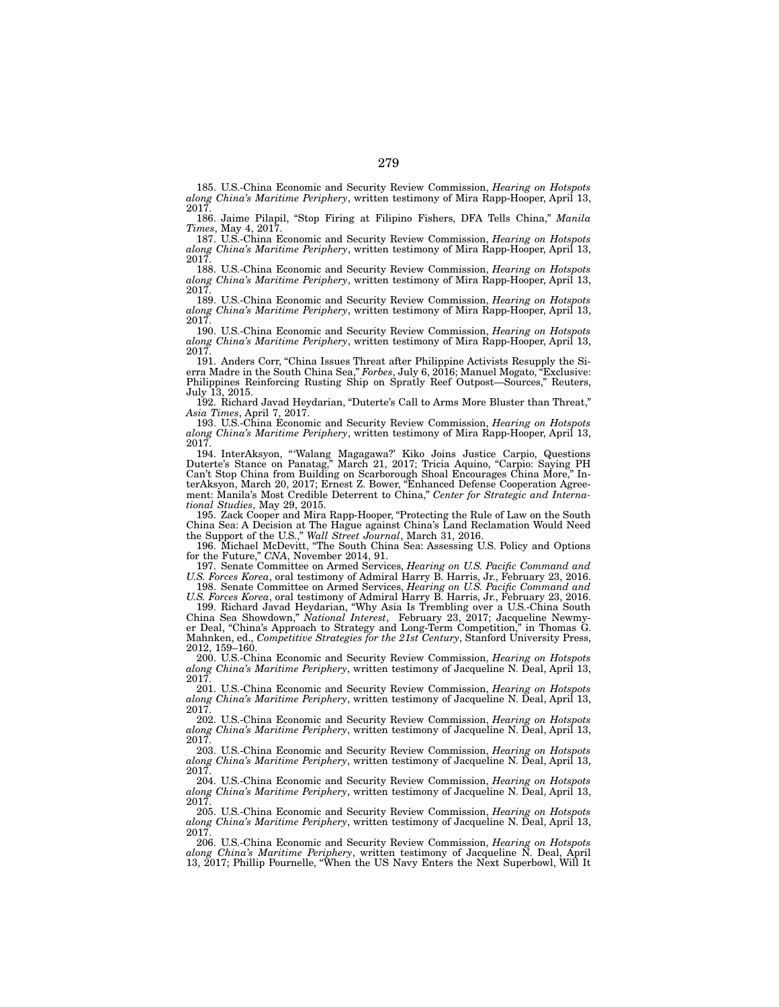185. U.S.-China Economic and Security Review Commission, *Hearing on Hotspots along China's Maritime Periphery*, written testimony of Mira Rapp-Hooper, April 13, 2017.

186. Jaime Pilapil, "Stop Firing at Filipino Fishers, DFA Tells China," *Manila Times*, May 4, 2017.

187. U.S.-China Economic and Security Review Commission, *Hearing on Hotspots along China's Maritime Periphery*, written testimony of Mira Rapp-Hooper, April 13, 2017.

188. U.S.-China Economic and Security Review Commission, *Hearing on Hotspots along China's Maritime Periphery*, written testimony of Mira Rapp-Hooper, April 13, 2017.

189. U.S.-China Economic and Security Review Commission, *Hearing on Hotspots along China's Maritime Periphery*, written testimony of Mira Rapp-Hooper, April 13, 2017.

190. U.S.-China Economic and Security Review Commission, *Hearing on Hotspots along China's Maritime Periphery*, written testimony of Mira Rapp-Hooper, April 13, 2017.

191. Anders Corr, "China Issues Threat after Philippine Activists Resupply the Sierra Madre in the South China Sea," *Forbes*, July 6, 2016; Manuel Mogato, "Exclusive: Philippines Reinforcing Rusting Ship on Spratly Reef Outpost—Sources," Reuters, July 13, 2015.

192. Richard Javad Heydarian, "Duterte's Call to Arms More Bluster than Threat," *Asia Times*, April 7, 2017.

193. U.S.-China Economic and Security Review Commission, *Hearing on Hotspots along China's Maritime Periphery*, written testimony of Mira Rapp-Hooper, April 13, 2017.

194. InterAksyon, "'Walang Magagawa?' Kiko Joins Justice Carpio, Questions Duterte's Stance on Panatag," March 21, 2017; Tricia Aquino, "Carpio: Saying PH Can't Stop China from Building on Scarborough Shoal Encourages China More," InterAksyon, March 20, 2017; Ernest Z. Bower, "Enhanced Defense Cooperation Agreement: Manila's Most Credible Deterrent to China," *Center for Strategic and International Studies*, May 29, 2015.

195. Zack Cooper and Mira Rapp-Hooper, "Protecting the Rule of Law on the South China Sea: A Decision at The Hague against China's Land Reclamation Would Need the Support of the U.S.," *Wall Street Journal*, March 31, 2016.

196. Michael McDevitt, "The South China Sea: Assessing U.S. Policy and Options for the Future," *CNA*, November 2014, 91.

197. Senate Committee on Armed Services, *Hearing on U.S. Pacific Command and U.S. Forces Korea*, oral testimony of Admiral Harry B. Harris, Jr., February 23, 2016.

198. Senate Committee on Armed Services, *Hearing on U.S. Pacific Command and U.S. Forces Korea*, oral testimony of Admiral Harry B. Harris, Jr., February 23, 2016. 199. Richard Javad Heydarian, "Why Asia Is Trembling over a U.S.-China South

China Sea Showdown," *National Interest*, February 23, 2017; Jacqueline Newmyer Deal, "China's Approach to Strategy and Long-Term Competition," in Thomas G. Mahnken, ed., *Competitive Strategies for the 21st Century*, Stanford University Press, 2012, 159–160.

200. U.S.-China Economic and Security Review Commission, *Hearing on Hotspots along China's Maritime Periphery*, written testimony of Jacqueline N. Deal, April 13, 2017.

201. U.S.-China Economic and Security Review Commission, *Hearing on Hotspots along China's Maritime Periphery*, written testimony of Jacqueline N. Deal, April 13, 2017.

202. U.S.-China Economic and Security Review Commission, *Hearing on Hotspots along China's Maritime Periphery*, written testimony of Jacqueline N. Deal, April 13, 2017.

203. U.S.-China Economic and Security Review Commission, *Hearing on Hotspots along China's Maritime Periphery*, written testimony of Jacqueline N. Deal, April 13, 2017.

204. U.S.-China Economic and Security Review Commission, *Hearing on Hotspots along China's Maritime Periphery*, written testimony of Jacqueline N. Deal, April 13, 2017.

205. U.S.-China Economic and Security Review Commission, *Hearing on Hotspots along China's Maritime Periphery*, written testimony of Jacqueline N. Deal, April 13, 2017.

206. U.S.-China Economic and Security Review Commission, *Hearing on Hotspots along China's Maritime Periphery*, written testimony of Jacqueline N. Deal, April 13, 2017; Phillip Pournelle, "When the US Navy Enters the Next Superbowl, Will It